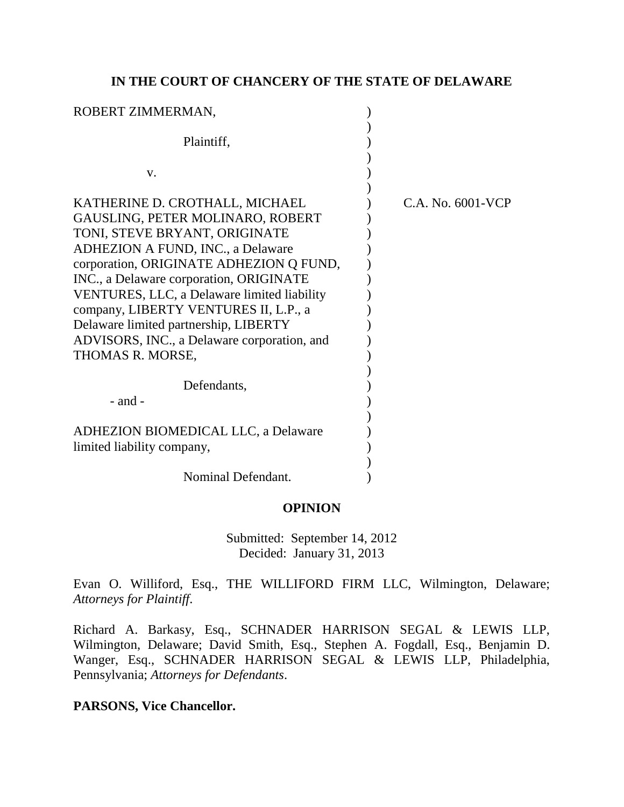# **IN THE COURT OF CHANCERY OF THE STATE OF DELAWARE**

| ROBERT ZIMMERMAN,                                                                                                                                                                                                                                                                                                                                                                                                                  |                   |
|------------------------------------------------------------------------------------------------------------------------------------------------------------------------------------------------------------------------------------------------------------------------------------------------------------------------------------------------------------------------------------------------------------------------------------|-------------------|
| Plaintiff,                                                                                                                                                                                                                                                                                                                                                                                                                         |                   |
| V.                                                                                                                                                                                                                                                                                                                                                                                                                                 |                   |
| KATHERINE D. CROTHALL, MICHAEL<br>GAUSLING, PETER MOLINARO, ROBERT<br>TONI, STEVE BRYANT, ORIGINATE<br>ADHEZION A FUND, INC., a Delaware<br>corporation, ORIGINATE ADHEZION Q FUND,<br>INC., a Delaware corporation, ORIGINATE<br>VENTURES, LLC, a Delaware limited liability<br>company, LIBERTY VENTURES II, L.P., a<br>Delaware limited partnership, LIBERTY<br>ADVISORS, INC., a Delaware corporation, and<br>THOMAS R. MORSE, | C.A. No. 6001-VCP |
| Defendants,<br>$-$ and $-$                                                                                                                                                                                                                                                                                                                                                                                                         |                   |
| ADHEZION BIOMEDICAL LLC, a Delaware<br>limited liability company,                                                                                                                                                                                                                                                                                                                                                                  |                   |
| Nominal Defendant.                                                                                                                                                                                                                                                                                                                                                                                                                 |                   |

# **OPINION**

Submitted: September 14, 2012 Decided: January 31, 2013

Evan O. Williford, Esq., THE WILLIFORD FIRM LLC, Wilmington, Delaware; *Attorneys for Plaintiff*.

Richard A. Barkasy, Esq., SCHNADER HARRISON SEGAL & LEWIS LLP, Wilmington, Delaware; David Smith, Esq., Stephen A. Fogdall, Esq., Benjamin D. Wanger, Esq., SCHNADER HARRISON SEGAL & LEWIS LLP, Philadelphia, Pennsylvania; *Attorneys for Defendants*.

# **PARSONS, Vice Chancellor.**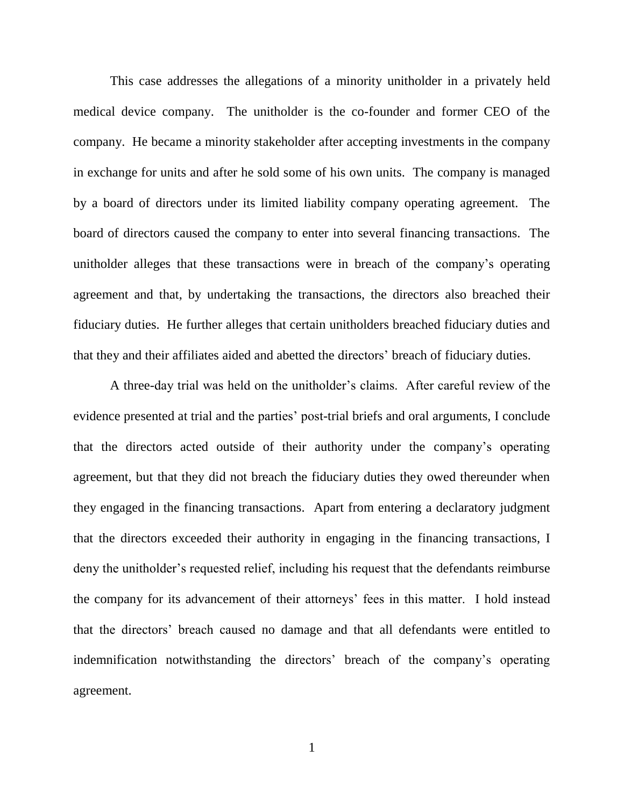This case addresses the allegations of a minority unitholder in a privately held medical device company. The unitholder is the co-founder and former CEO of the company. He became a minority stakeholder after accepting investments in the company in exchange for units and after he sold some of his own units. The company is managed by a board of directors under its limited liability company operating agreement. The board of directors caused the company to enter into several financing transactions. The unitholder alleges that these transactions were in breach of the company's operating agreement and that, by undertaking the transactions, the directors also breached their fiduciary duties. He further alleges that certain unitholders breached fiduciary duties and that they and their affiliates aided and abetted the directors' breach of fiduciary duties.

A three-day trial was held on the unitholder's claims. After careful review of the evidence presented at trial and the parties' post-trial briefs and oral arguments, I conclude that the directors acted outside of their authority under the company's operating agreement, but that they did not breach the fiduciary duties they owed thereunder when they engaged in the financing transactions. Apart from entering a declaratory judgment that the directors exceeded their authority in engaging in the financing transactions, I deny the unitholder's requested relief, including his request that the defendants reimburse the company for its advancement of their attorneys' fees in this matter. I hold instead that the directors' breach caused no damage and that all defendants were entitled to indemnification notwithstanding the directors' breach of the company's operating agreement.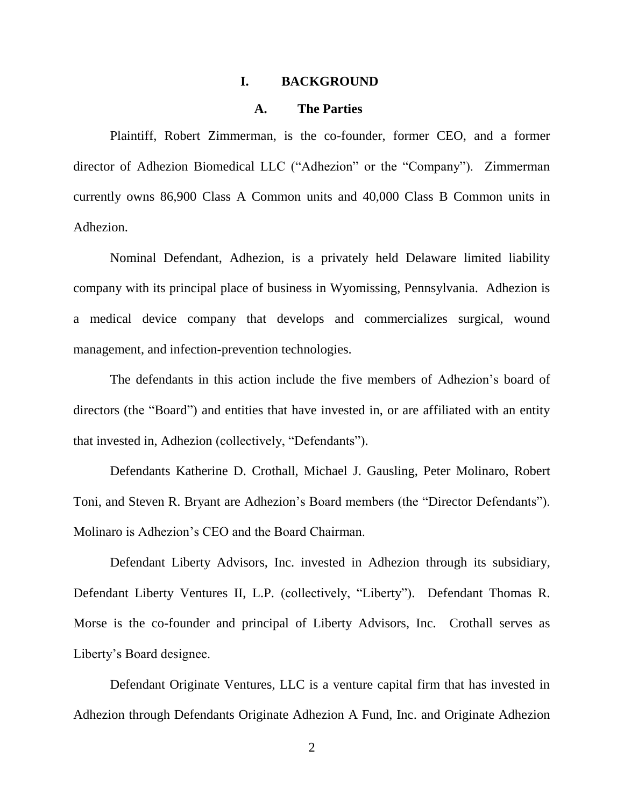### **I. BACKGROUND**

### **A. The Parties**

Plaintiff, Robert Zimmerman, is the co-founder, former CEO, and a former director of Adhezion Biomedical LLC ("Adhezion" or the "Company"). Zimmerman currently owns 86,900 Class A Common units and 40,000 Class B Common units in Adhezion.

Nominal Defendant, Adhezion, is a privately held Delaware limited liability company with its principal place of business in Wyomissing, Pennsylvania. Adhezion is a medical device company that develops and commercializes surgical, wound management, and infection-prevention technologies.

The defendants in this action include the five members of Adhezion's board of directors (the "Board") and entities that have invested in, or are affiliated with an entity that invested in, Adhezion (collectively, "Defendants").

Defendants Katherine D. Crothall, Michael J. Gausling, Peter Molinaro, Robert Toni, and Steven R. Bryant are Adhezion's Board members (the "Director Defendants"). Molinaro is Adhezion's CEO and the Board Chairman.

Defendant Liberty Advisors, Inc. invested in Adhezion through its subsidiary, Defendant Liberty Ventures II, L.P. (collectively, "Liberty"). Defendant Thomas R. Morse is the co-founder and principal of Liberty Advisors, Inc. Crothall serves as Liberty's Board designee.

Defendant Originate Ventures, LLC is a venture capital firm that has invested in Adhezion through Defendants Originate Adhezion A Fund, Inc. and Originate Adhezion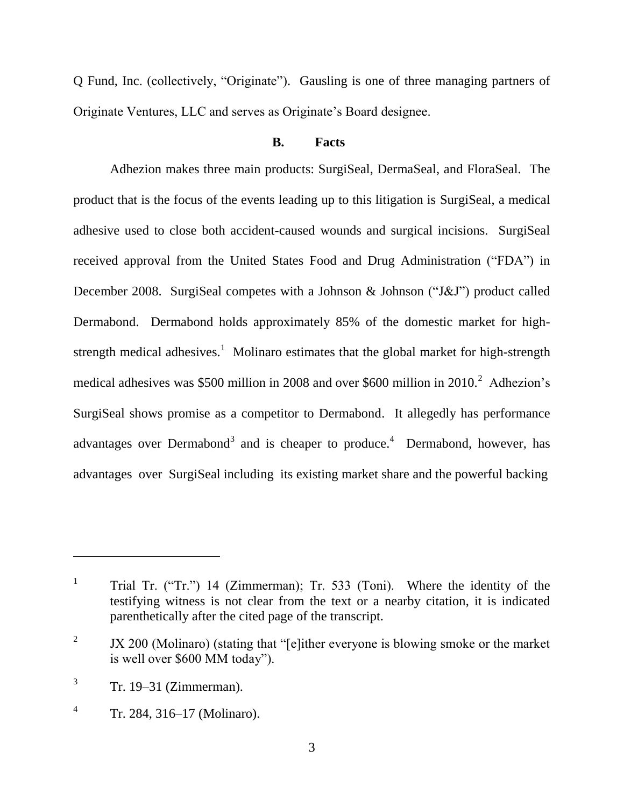Q Fund, Inc. (collectively, "Originate"). Gausling is one of three managing partners of Originate Ventures, LLC and serves as Originate's Board designee.

### **B. Facts**

Adhezion makes three main products: SurgiSeal, DermaSeal, and FloraSeal. The product that is the focus of the events leading up to this litigation is SurgiSeal, a medical adhesive used to close both accident-caused wounds and surgical incisions. SurgiSeal received approval from the United States Food and Drug Administration ("FDA") in December 2008. SurgiSeal competes with a Johnson  $\&$  Johnson ("J $\&$ J") product called Dermabond. Dermabond holds approximately 85% of the domestic market for highstrength medical adhesives.<sup>1</sup> Molinaro estimates that the global market for high-strength medical adhesives was \$500 million in 2008 and over \$600 million in 2010.<sup>2</sup> Adhezion's SurgiSeal shows promise as a competitor to Dermabond. It allegedly has performance advantages over Dermabond<sup>3</sup> and is cheaper to produce.<sup>4</sup> Dermabond, however, has advantages over SurgiSeal including its existing market share and the powerful backing

<sup>1</sup> Trial Tr. ("Tr.") 14 (Zimmerman); Tr. 533 (Toni). Where the identity of the testifying witness is not clear from the text or a nearby citation, it is indicated parenthetically after the cited page of the transcript.

<sup>2</sup> JX 200 (Molinaro) (stating that "[e]ither everyone is blowing smoke or the market is well over \$600 MM today").

<sup>3</sup> Tr. 19–31 (Zimmerman).

<sup>4</sup> Tr. 284, 316–17 (Molinaro).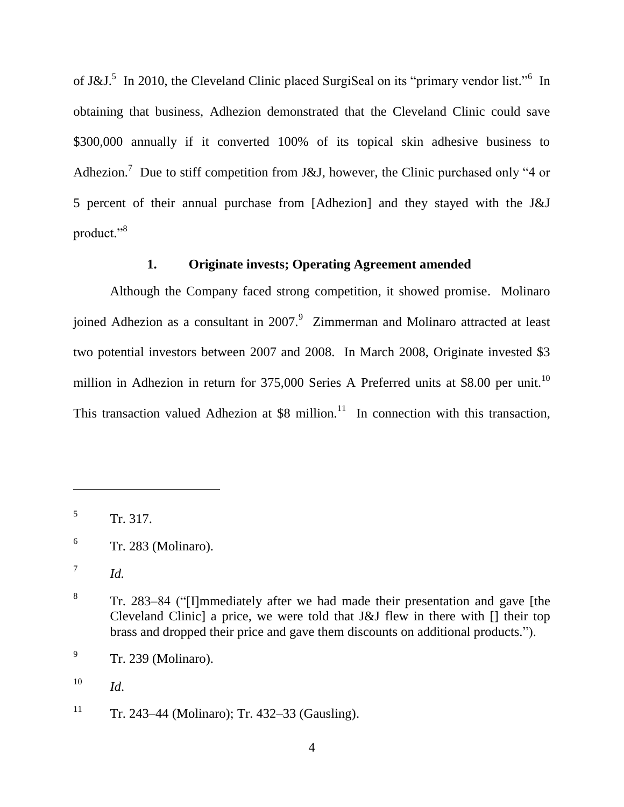of J&J.<sup>5</sup> In 2010, the Cleveland Clinic placed SurgiSeal on its "primary vendor list."<sup>6</sup> In obtaining that business, Adhezion demonstrated that the Cleveland Clinic could save \$300,000 annually if it converted 100% of its topical skin adhesive business to Adhezion.<sup>7</sup> Due to stiff competition from J&J, however, the Clinic purchased only "4 or 5 percent of their annual purchase from [Adhezion] and they stayed with the J&J product."<sup>8</sup>

# **1. Originate invests; Operating Agreement amended**

Although the Company faced strong competition, it showed promise. Molinaro joined Adhezion as a consultant in 2007.<sup>9</sup> Zimmerman and Molinaro attracted at least two potential investors between 2007 and 2008. In March 2008, Originate invested \$3 million in Adhezion in return for 375,000 Series A Preferred units at \$8.00 per unit.<sup>10</sup> This transaction valued Adhezion at  $$8 \text{ million}$ .<sup>11</sup> In connection with this transaction,

<sup>5</sup> Tr. 317.

<sup>6</sup> Tr. 283 (Molinaro).

<sup>7</sup> *Id.*

<sup>8</sup> Tr. 283–84 ("Illmmediately after we had made their presentation and gave [the Cleveland Clinic] a price, we were told that J&J flew in there with [] their top brass and dropped their price and gave them discounts on additional products.").

<sup>9</sup> Tr. 239 (Molinaro).

 $10$  *Id.* 

 $11$  Tr. 243–44 (Molinaro); Tr. 432–33 (Gausling).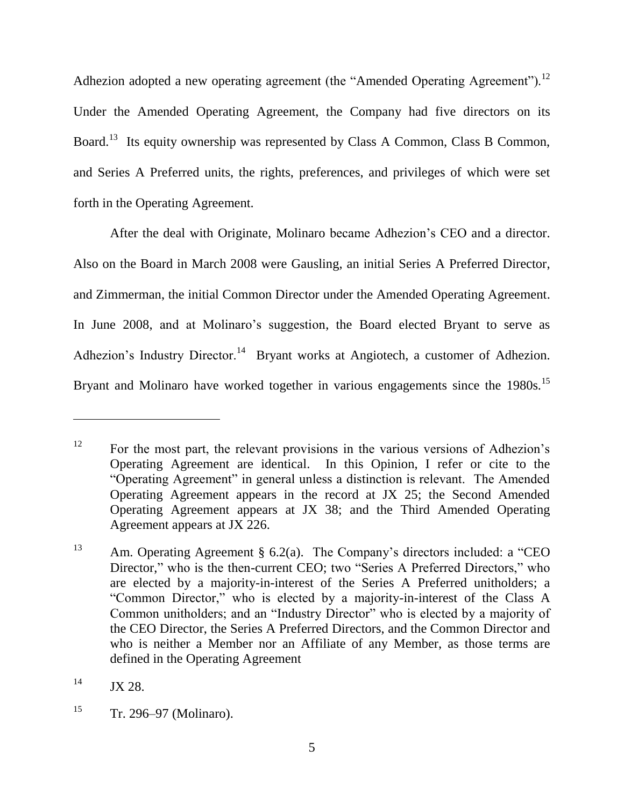Adhezion adopted a new operating agreement (the "Amended Operating Agreement").<sup>12</sup> Under the Amended Operating Agreement, the Company had five directors on its Board.<sup>13</sup> Its equity ownership was represented by Class A Common, Class B Common, and Series A Preferred units, the rights, preferences, and privileges of which were set forth in the Operating Agreement.

After the deal with Originate, Molinaro became Adhezion's CEO and a director. Also on the Board in March 2008 were Gausling, an initial Series A Preferred Director, and Zimmerman, the initial Common Director under the Amended Operating Agreement. In June 2008, and at Molinaro's suggestion, the Board elected Bryant to serve as Adhezion's Industry Director.<sup>14</sup> Bryant works at Angiotech, a customer of Adhezion. Bryant and Molinaro have worked together in various engagements since the 1980s.<sup>15</sup>

<sup>&</sup>lt;sup>12</sup> For the most part, the relevant provisions in the various versions of Adhezion's Operating Agreement are identical. In this Opinion, I refer or cite to the "Operating Agreement" in general unless a distinction is relevant. The Amended Operating Agreement appears in the record at JX 25; the Second Amended Operating Agreement appears at JX 38; and the Third Amended Operating Agreement appears at JX 226.

<sup>&</sup>lt;sup>13</sup> Am. Operating Agreement § 6.2(a). The Company's directors included: a "CEO Director," who is the then-current CEO; two "Series A Preferred Directors," who are elected by a majority-in-interest of the Series A Preferred unitholders; a "Common Director," who is elected by a majority-in-interest of the Class A Common unitholders; and an "Industry Director" who is elected by a majority of the CEO Director, the Series A Preferred Directors, and the Common Director and who is neither a Member nor an Affiliate of any Member, as those terms are defined in the Operating Agreement

 $14$  JX 28.

 $15$  Tr. 296–97 (Molinaro).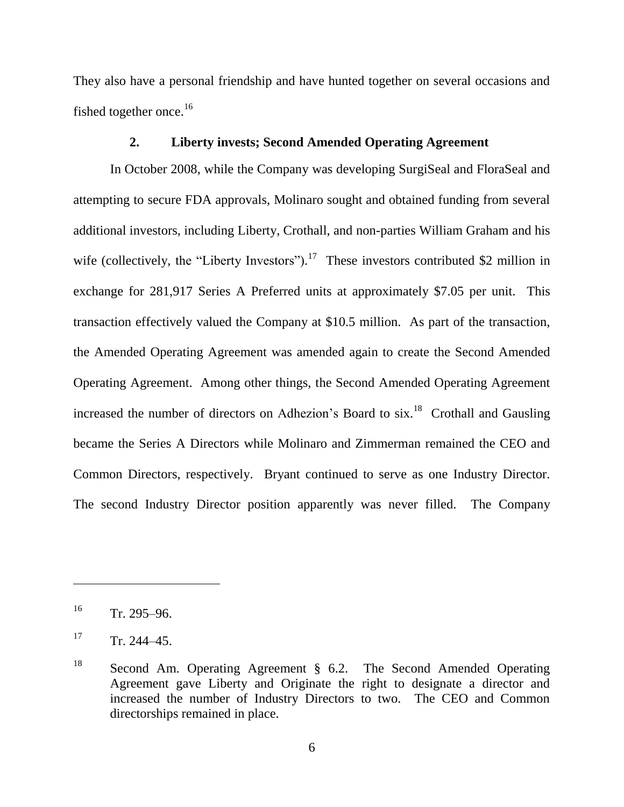They also have a personal friendship and have hunted together on several occasions and fished together once. $16$ 

# **2. Liberty invests; Second Amended Operating Agreement**

In October 2008, while the Company was developing SurgiSeal and FloraSeal and attempting to secure FDA approvals, Molinaro sought and obtained funding from several additional investors, including Liberty, Crothall, and non-parties William Graham and his wife (collectively, the "Liberty Investors").<sup>17</sup> These investors contributed \$2 million in exchange for 281,917 Series A Preferred units at approximately \$7.05 per unit. This transaction effectively valued the Company at \$10.5 million. As part of the transaction, the Amended Operating Agreement was amended again to create the Second Amended Operating Agreement. Among other things, the Second Amended Operating Agreement increased the number of directors on Adhezion's Board to  $s$ ix.<sup>18</sup> Crothall and Gausling became the Series A Directors while Molinaro and Zimmerman remained the CEO and Common Directors, respectively. Bryant continued to serve as one Industry Director. The second Industry Director position apparently was never filled. The Company

 $16$  Tr. 295–96.

 $\text{Tr. 244--45.}$ 

<sup>&</sup>lt;sup>18</sup> Second Am. Operating Agreement  $\S$  6.2. The Second Amended Operating Agreement gave Liberty and Originate the right to designate a director and increased the number of Industry Directors to two. The CEO and Common directorships remained in place.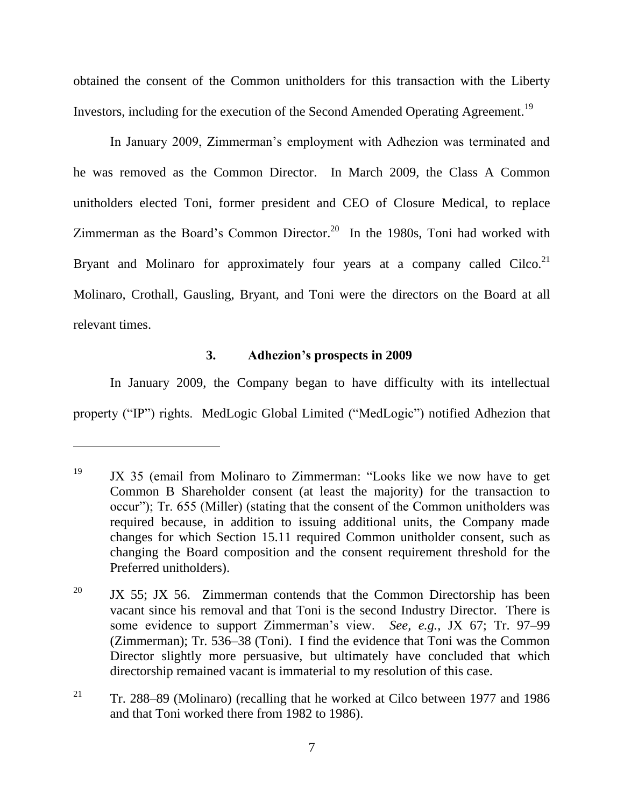obtained the consent of the Common unitholders for this transaction with the Liberty Investors, including for the execution of the Second Amended Operating Agreement.<sup>19</sup>

In January 2009, Zimmerman's employment with Adhezion was terminated and he was removed as the Common Director. In March 2009, the Class A Common unitholders elected Toni, former president and CEO of Closure Medical, to replace Zimmerman as the Board's Common Director.<sup>20</sup> In the 1980s, Toni had worked with Bryant and Molinaro for approximately four years at a company called Cilco.<sup>21</sup> Molinaro, Crothall, Gausling, Bryant, and Toni were the directors on the Board at all relevant times.

### **3. Adhezion's prospects in 2009**

In January 2009, the Company began to have difficulty with its intellectual property ("IP") rights. MedLogic Global Limited ("MedLogic") notified Adhezion that

 $19$  JX 35 (email from Molinaro to Zimmerman: "Looks like we now have to get Common B Shareholder consent (at least the majority) for the transaction to occur"); Tr. 655 (Miller) (stating that the consent of the Common unitholders was required because, in addition to issuing additional units, the Company made changes for which Section 15.11 required Common unitholder consent, such as changing the Board composition and the consent requirement threshold for the Preferred unitholders).

<sup>&</sup>lt;sup>20</sup> JX 55; JX 56. Zimmerman contends that the Common Directorship has been vacant since his removal and that Toni is the second Industry Director. There is some evidence to support Zimmerman's view. *See, e.g.*, JX 67; Tr. 97–99 (Zimmerman); Tr. 536–38 (Toni). I find the evidence that Toni was the Common Director slightly more persuasive, but ultimately have concluded that which directorship remained vacant is immaterial to my resolution of this case.

<sup>&</sup>lt;sup>21</sup> Tr. 288–89 (Molinaro) (recalling that he worked at Cilco between 1977 and 1986 and that Toni worked there from 1982 to 1986).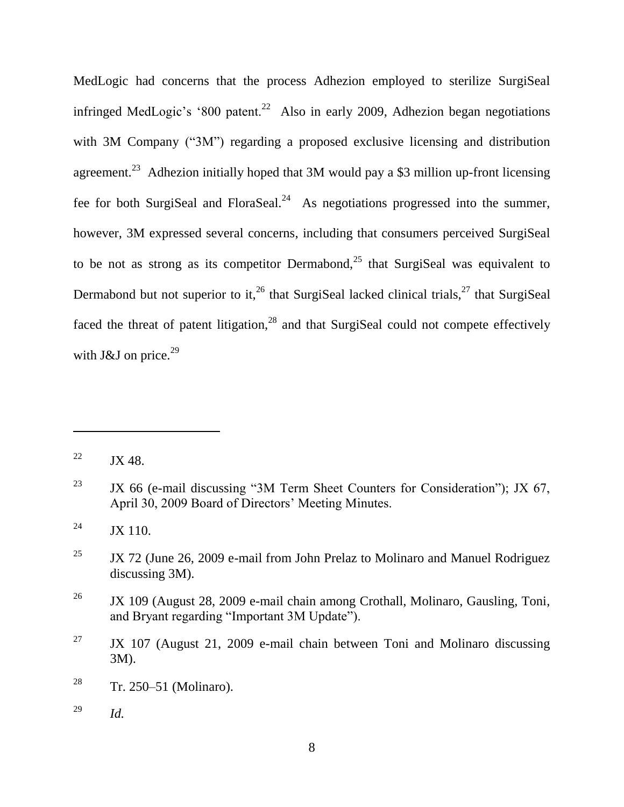MedLogic had concerns that the process Adhezion employed to sterilize SurgiSeal infringed MedLogic's '800 patent.<sup>22</sup> Also in early 2009, Adhezion began negotiations with 3M Company  $($ "3M") regarding a proposed exclusive licensing and distribution agreement.<sup>23</sup> Adhezion initially hoped that 3M would pay a \$3 million up-front licensing fee for both SurgiSeal and FloraSeal.<sup>24</sup> As negotiations progressed into the summer, however, 3M expressed several concerns, including that consumers perceived SurgiSeal to be not as strong as its competitor Dermabond,  $2^5$  that SurgiSeal was equivalent to Dermabond but not superior to it,  $^{26}$  that SurgiSeal lacked clinical trials,  $^{27}$  that SurgiSeal faced the threat of patent litigation,  $28$  and that SurgiSeal could not compete effectively with J&J on price. $29$ 

<sup>&</sup>lt;sup>22</sup> JX 48.

<sup>&</sup>lt;sup>23</sup> JX 66 (e-mail discussing "3M Term Sheet Counters for Consideration"); JX 67, April 30, 2009 Board of Directors' Meeting Minutes.

<sup>&</sup>lt;sup>24</sup> JX 110.

<sup>&</sup>lt;sup>25</sup> JX 72 (June 26, 2009 e-mail from John Prelaz to Molinaro and Manuel Rodriguez discussing 3M).

<sup>&</sup>lt;sup>26</sup> JX 109 (August 28, 2009 e-mail chain among Crothall, Molinaro, Gausling, Toni, and Bryant regarding "Important 3M Update").

<sup>&</sup>lt;sup>27</sup> JX 107 (August 21, 2009 e-mail chain between Toni and Molinaro discussing 3M).

<sup>&</sup>lt;sup>28</sup> Tr. 250–51 (Molinaro).

<sup>29</sup> *Id.*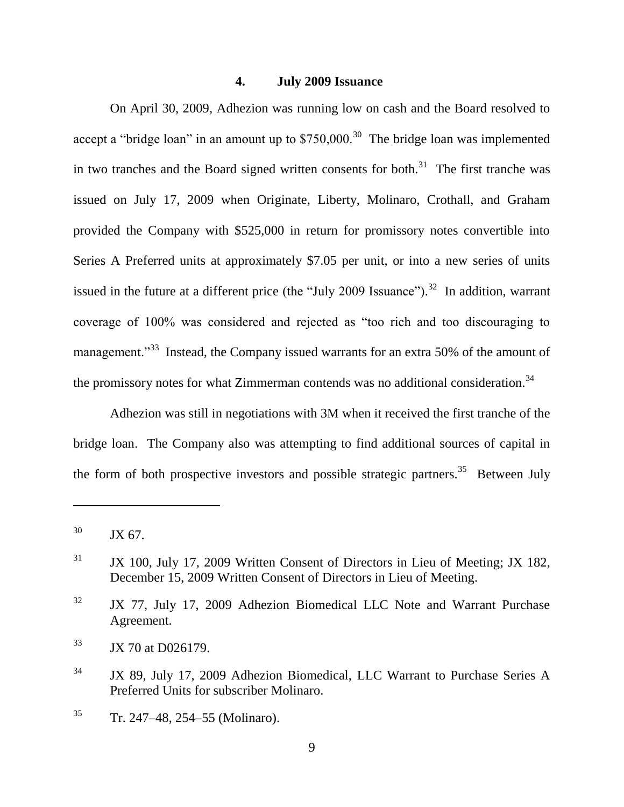#### **4. July 2009 Issuance**

On April 30, 2009, Adhezion was running low on cash and the Board resolved to accept a "bridge loan" in an amount up to \$750,000.<sup>30</sup> The bridge loan was implemented in two tranches and the Board signed written consents for both.<sup>31</sup> The first tranche was issued on July 17, 2009 when Originate, Liberty, Molinaro, Crothall, and Graham provided the Company with \$525,000 in return for promissory notes convertible into Series A Preferred units at approximately \$7.05 per unit, or into a new series of units issued in the future at a different price (the "July 2009 Issuance").<sup>32</sup> In addition, warrant coverage of 100% was considered and rejected as "too rich and too discouraging to management."<sup>33</sup> Instead, the Company issued warrants for an extra 50% of the amount of the promissory notes for what Zimmerman contends was no additional consideration.<sup>34</sup>

Adhezion was still in negotiations with 3M when it received the first tranche of the bridge loan. The Company also was attempting to find additional sources of capital in the form of both prospective investors and possible strategic partners.<sup>35</sup> Between July

 $30$  JX 67.

 $31$  JX 100, July 17, 2009 Written Consent of Directors in Lieu of Meeting; JX 182, December 15, 2009 Written Consent of Directors in Lieu of Meeting.

<sup>&</sup>lt;sup>32</sup> JX 77, July 17, 2009 Adhezion Biomedical LLC Note and Warrant Purchase Agreement.

<sup>&</sup>lt;sup>33</sup> JX 70 at D026179.

<sup>&</sup>lt;sup>34</sup> JX 89, July 17, 2009 Adhezion Biomedical, LLC Warrant to Purchase Series A Preferred Units for subscriber Molinaro.

<sup>35</sup> Tr. 247–48, 254–55 (Molinaro).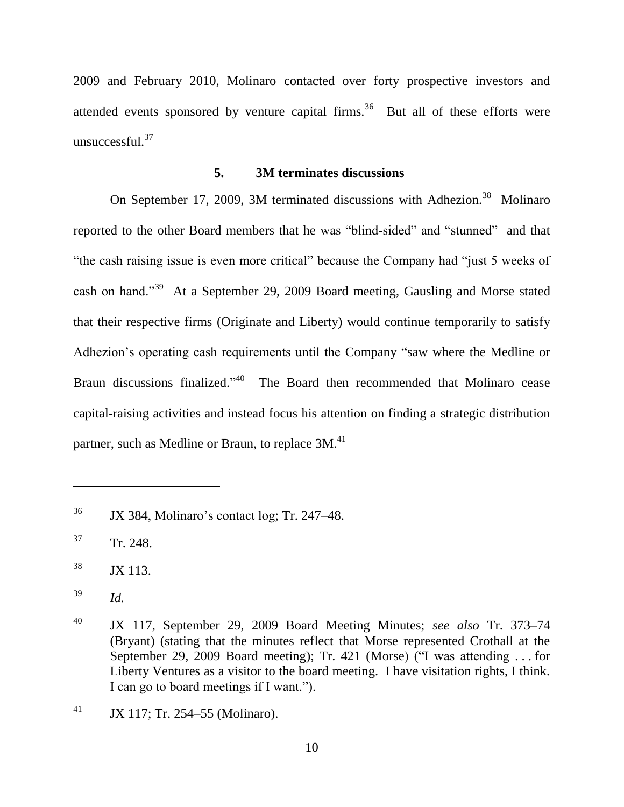2009 and February 2010, Molinaro contacted over forty prospective investors and attended events sponsored by venture capital firms.<sup>36</sup> But all of these efforts were unsuccessful. $37$ 

### **5. 3M terminates discussions**

On September 17, 2009, 3M terminated discussions with Adhezion.<sup>38</sup> Molinaro reported to the other Board members that he was "blind-sided" and "stunned" and that "the cash raising issue is even more critical" because the Company had "just 5 weeks of cash on hand."<sup>39</sup> At a September 29, 2009 Board meeting, Gausling and Morse stated that their respective firms (Originate and Liberty) would continue temporarily to satisfy Adhezion's operating cash requirements until the Company "saw where the Medline or Braun discussions finalized.<sup> $340$ </sup> The Board then recommended that Molinaro cease capital-raising activities and instead focus his attention on finding a strategic distribution partner, such as Medline or Braun, to replace  $3M<sup>41</sup>$ 

 $36$  JX 384, Molinaro's contact log; Tr. 247–48.

 $37 \text{ Tr. } 248.$ 

 $38$  JX 113.

<sup>39</sup> *Id.*

<sup>40</sup> JX 117, September 29, 2009 Board Meeting Minutes; *see also* Tr. 373–74 (Bryant) (stating that the minutes reflect that Morse represented Crothall at the September 29, 2009 Board meeting); Tr. 421 (Morse) ( $\degree$ I was attending ... for Liberty Ventures as a visitor to the board meeting. I have visitation rights, I think. I can go to board meetings if I want.").

 $^{41}$  JX 117; Tr. 254–55 (Molinaro).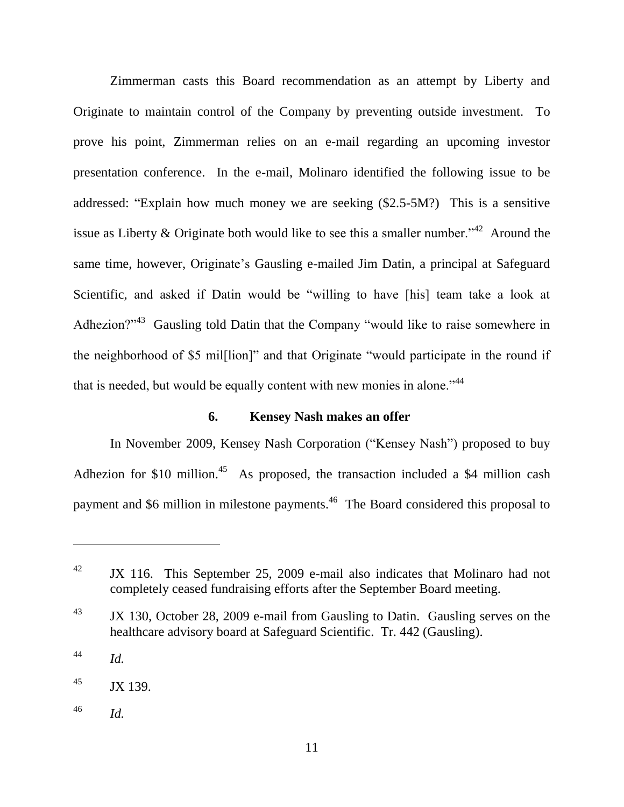Zimmerman casts this Board recommendation as an attempt by Liberty and Originate to maintain control of the Company by preventing outside investment. To prove his point, Zimmerman relies on an e-mail regarding an upcoming investor presentation conference. In the e-mail, Molinaro identified the following issue to be addressed: "Explain how much money we are seeking  $(\$2.5-5M$ ?) This is a sensitive issue as Liberty & Originate both would like to see this a smaller number."<sup>42</sup> Around the same time, however, Originate's Gausling e-mailed Jim Datin, a principal at Safeguard Scientific, and asked if Datin would be "willing to have [his] team take a look at Adhezion? $1^{43}$  Gausling told Datin that the Company "would like to raise somewhere in the neighborhood of \$5 millon]" and that Originate "would participate in the round if that is needed, but would be equally content with new monies in alone.<sup> $44$ </sup>

# **6. Kensey Nash makes an offer**

In November 2009, Kensey Nash Corporation ("Kensey Nash") proposed to buy Adhezion for \$10 million.<sup>45</sup> As proposed, the transaction included a \$4 million cash payment and \$6 million in milestone payments.<sup>46</sup> The Board considered this proposal to

<sup>42</sup> JX 116.This September 25, 2009 e-mail also indicates that Molinaro had not completely ceased fundraising efforts after the September Board meeting.

<sup>&</sup>lt;sup>43</sup> JX 130, October 28, 2009 e-mail from Gausling to Datin. Gausling serves on the healthcare advisory board at Safeguard Scientific. Tr. 442 (Gausling).

<sup>44</sup> *Id.*

 $^{45}$  JX 139.

<sup>46</sup> *Id.*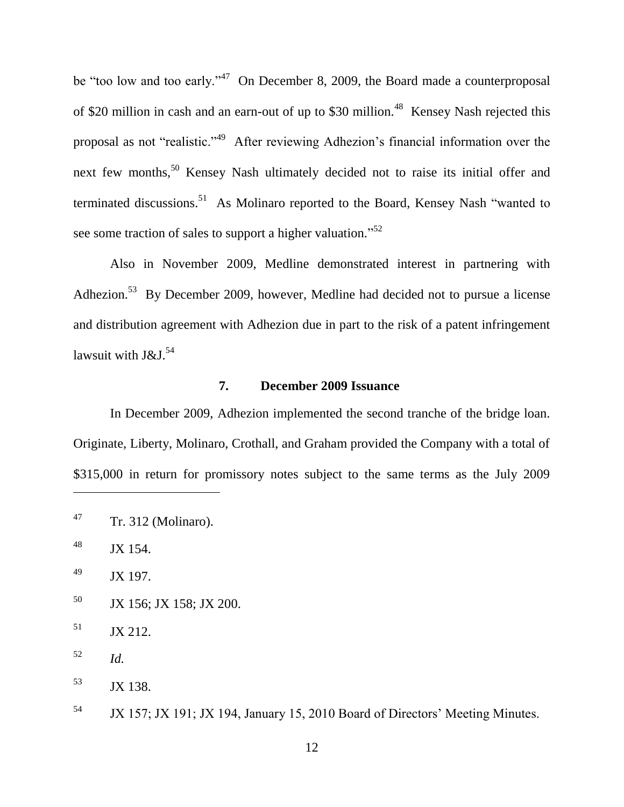be "too low and too early."<sup>47</sup> On December 8, 2009, the Board made a counterproposal of \$20 million in cash and an earn-out of up to \$30 million.<sup>48</sup> Kensey Nash rejected this proposal as not "realistic."<sup>49</sup> After reviewing Adhezion's financial information over the next few months,<sup>50</sup> Kensey Nash ultimately decided not to raise its initial offer and terminated discussions.<sup>51</sup> As Molinaro reported to the Board, Kensey Nash "wanted to see some traction of sales to support a higher valuation."<sup>52</sup>

Also in November 2009, Medline demonstrated interest in partnering with Adhezion.<sup>53</sup> By December 2009, however, Medline had decided not to pursue a license and distribution agreement with Adhezion due in part to the risk of a patent infringement lawsuit with J&J.<sup>54</sup>

### **7. December 2009 Issuance**

In December 2009, Adhezion implemented the second tranche of the bridge loan. Originate, Liberty, Molinaro, Crothall, and Graham provided the Company with a total of \$315,000 in return for promissory notes subject to the same terms as the July 2009

 $\overline{a}$ 

- $^{49}$  JX 197.
- <sup>50</sup> JX 156; JX 158; JX 200.
- $51$  JX 212.

<sup>52</sup> *Id.*

<sup>53</sup> JX 138.

<sup>54</sup> JX 157; JX 191; JX 194, January 15, 2010 Board of Directors' Meeting Minutes.

 $47$  Tr. 312 (Molinaro).

 $^{48}$  JX 154.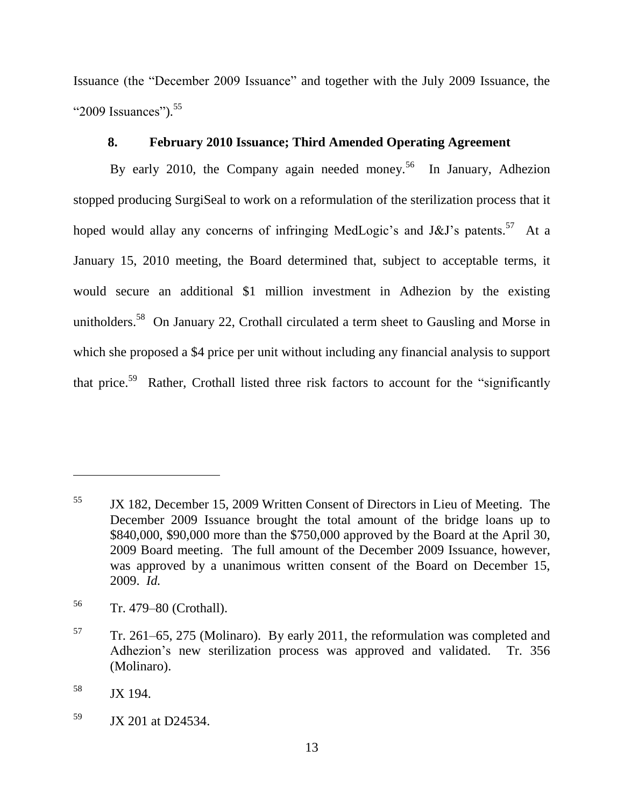Issuance (the "December 2009 Issuance" and together with the July 2009 Issuance, the "2009 Issuances"). $55$ 

# **8. February 2010 Issuance; Third Amended Operating Agreement**

By early 2010, the Company again needed money.<sup>56</sup> In January, Adhezion stopped producing SurgiSeal to work on a reformulation of the sterilization process that it hoped would allay any concerns of infringing MedLogic's and J&J's patents.<sup>57</sup> At a January 15, 2010 meeting, the Board determined that, subject to acceptable terms, it would secure an additional \$1 million investment in Adhezion by the existing unitholders.<sup>58</sup> On January 22, Crothall circulated a term sheet to Gausling and Morse in which she proposed a \$4 price per unit without including any financial analysis to support that price.<sup>59</sup> Rather, Crothall listed three risk factors to account for the "significantly

<sup>&</sup>lt;sup>55</sup> JX 182, December 15, 2009 Written Consent of Directors in Lieu of Meeting. The December 2009 Issuance brought the total amount of the bridge loans up to \$840,000, \$90,000 more than the \$750,000 approved by the Board at the April 30, 2009 Board meeting. The full amount of the December 2009 Issuance, however, was approved by a unanimous written consent of the Board on December 15, 2009. *Id.*

<sup>56</sup> Tr. 479–80 (Crothall).

<sup>57</sup> Tr. 261–65, 275 (Molinaro). By early 2011, the reformulation was completed and Adhezion's new sterilization process was approved and validated. Tr. 356 (Molinaro).

<sup>58</sup> JX 194.

<sup>&</sup>lt;sup>59</sup> JX 201 at D24534.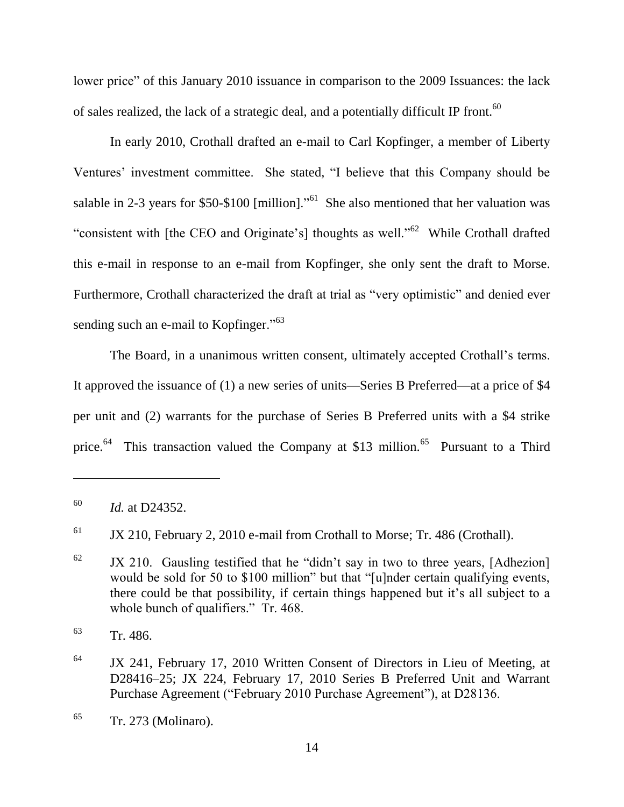lower price" of this January 2010 issuance in comparison to the 2009 Issuances: the lack of sales realized, the lack of a strategic deal, and a potentially difficult IP front.<sup>60</sup>

In early 2010, Crothall drafted an e-mail to Carl Kopfinger, a member of Liberty Ventures' investment committee. She stated, "I believe that this Company should be salable in 2-3 years for \$50-\$100 [million]."<sup>61</sup> She also mentioned that her valuation was "consistent with [the CEO and Originate's] thoughts as well." $62$  While Crothall drafted this e-mail in response to an e-mail from Kopfinger, she only sent the draft to Morse. Furthermore, Crothall characterized the draft at trial as "very optimistic" and denied ever sending such an e-mail to Kopfinger. $163$ 

The Board, in a unanimous written consent, ultimately accepted Crothall's terms. It approved the issuance of (1) a new series of units—Series B Preferred—at a price of \$4 per unit and (2) warrants for the purchase of Series B Preferred units with a \$4 strike price.<sup>64</sup> This transaction valued the Company at \$13 million.<sup>65</sup> Pursuant to a Third

 $\overline{a}$ 

 $61$  JX 210, February 2, 2010 e-mail from Crothall to Morse; Tr. 486 (Crothall).

 $^{63}$  Tr. 486.

<sup>60</sup> *Id.* at D24352.

 $62$  JX 210. Gausling testified that he "didn't say in two to three years, [Adhezion] would be sold for 50 to \$100 million" but that "[u]nder certain qualifying events, there could be that possibility, if certain things happened but it's all subject to a whole bunch of qualifiers." Tr. 468.

<sup>&</sup>lt;sup>64</sup> JX 241, February 17, 2010 Written Consent of Directors in Lieu of Meeting, at D28416–25; JX 224, February 17, 2010 Series B Preferred Unit and Warrant Purchase Agreement ("February 2010 Purchase Agreement"), at D28136.

<sup>65</sup> Tr. 273 (Molinaro).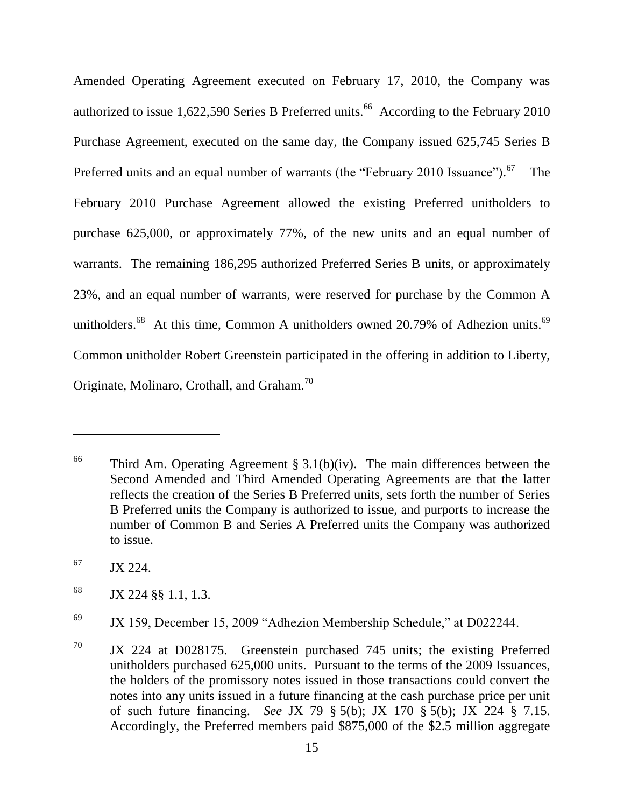Amended Operating Agreement executed on February 17, 2010, the Company was authorized to issue  $1,622,590$  Series B Preferred units.<sup>66</sup> According to the February 2010 Purchase Agreement, executed on the same day, the Company issued 625,745 Series B Preferred units and an equal number of warrants (the "February 2010 Issuance").<sup>67</sup> The February 2010 Purchase Agreement allowed the existing Preferred unitholders to purchase 625,000, or approximately 77%, of the new units and an equal number of warrants. The remaining 186,295 authorized Preferred Series B units, or approximately 23%, and an equal number of warrants, were reserved for purchase by the Common A unitholders.<sup>68</sup> At this time, Common A unitholders owned 20.79% of Adhezion units.<sup>69</sup> Common unitholder Robert Greenstein participated in the offering in addition to Liberty, Originate, Molinaro, Crothall, and Graham.<sup>70</sup>

<sup>&</sup>lt;sup>66</sup> Third Am. Operating Agreement § 3.1(b)(iv). The main differences between the Second Amended and Third Amended Operating Agreements are that the latter reflects the creation of the Series B Preferred units, sets forth the number of Series B Preferred units the Company is authorized to issue, and purports to increase the number of Common B and Series A Preferred units the Company was authorized to issue.

 $^{67}$  JX 224.

<sup>68</sup> JX 224 §§ 1.1, 1.3.

 $69$  JX 159, December 15, 2009 "Adhezion Membership Schedule," at D022244.

<sup>70</sup> JX 224 at D028175. Greenstein purchased 745 units; the existing Preferred unitholders purchased 625,000 units. Pursuant to the terms of the 2009 Issuances, the holders of the promissory notes issued in those transactions could convert the notes into any units issued in a future financing at the cash purchase price per unit of such future financing. *See* JX 79 § 5(b); JX 170 § 5(b); JX 224 § 7.15. Accordingly, the Preferred members paid \$875,000 of the \$2.5 million aggregate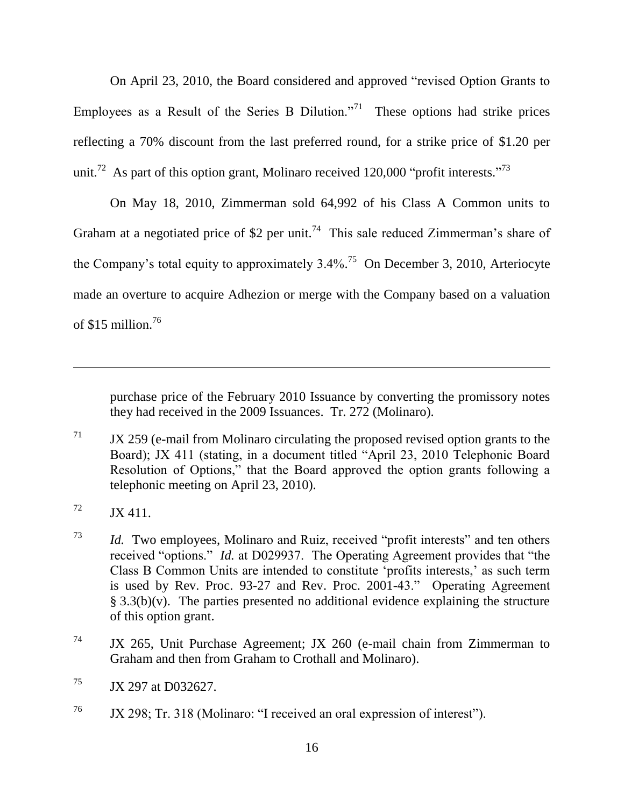On April 23, 2010, the Board considered and approved "revised Option Grants to Employees as a Result of the Series B Dilution.<sup>71</sup> These options had strike prices reflecting a 70% discount from the last preferred round, for a strike price of \$1.20 per unit.<sup>72</sup> As part of this option grant, Molinaro received 120,000 "profit interests."<sup>73</sup>

On May 18, 2010, Zimmerman sold 64,992 of his Class A Common units to Graham at a negotiated price of \$2 per unit.<sup>74</sup> This sale reduced Zimmerman's share of the Company's total equity to approximately  $3.4\%$ <sup>75</sup> On December 3, 2010, Arteriocyte made an overture to acquire Adhezion or merge with the Company based on a valuation of \$15 million. 76

purchase price of the February 2010 Issuance by converting the promissory notes they had received in the 2009 Issuances. Tr. 272 (Molinaro).

 $JX$  259 (e-mail from Molinaro circulating the proposed revised option grants to the Board); JX 411 (stating, in a document titled "April 23, 2010 Telephonic Board Resolution of Options," that the Board approved the option grants following a telephonic meeting on April 23, 2010).

- <sup>74</sup> JX 265, Unit Purchase Agreement; JX 260 (e-mail chain from Zimmerman to Graham and then from Graham to Crothall and Molinaro).
- <sup>75</sup> JX 297 at D032627.
- $76$  JX 298; Tr. 318 (Molinaro: "I received an oral expression of interest").

 $^{72}$  JX 411.

<sup>&</sup>lt;sup>73</sup> *Id.* Two employees, Molinaro and Ruiz, received "profit interests" and ten others received "options." *Id.* at D029937. The Operating Agreement provides that "the Class B Common Units are intended to constitute 'profits interests,' as such term is used by Rev. Proc. 93-27 and Rev. Proc. 2001-43." Operating Agreement  $§$  3.3(b)(v). The parties presented no additional evidence explaining the structure of this option grant.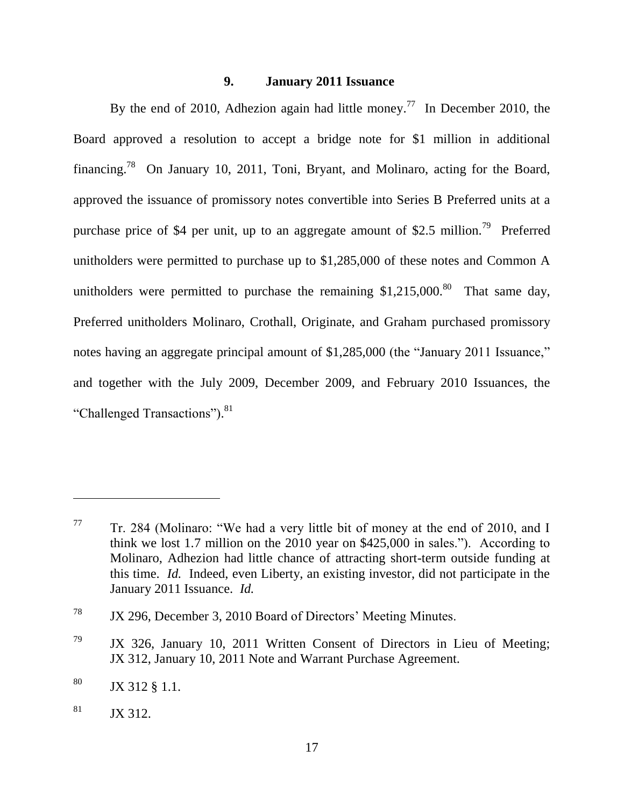### **9. January 2011 Issuance**

By the end of 2010, Adhezion again had little money.<sup>77</sup> In December 2010, the Board approved a resolution to accept a bridge note for \$1 million in additional financing.<sup>78</sup> On January 10, 2011, Toni, Bryant, and Molinaro, acting for the Board, approved the issuance of promissory notes convertible into Series B Preferred units at a purchase price of \$4 per unit, up to an aggregate amount of \$2.5 million.<sup>79</sup> Preferred unitholders were permitted to purchase up to \$1,285,000 of these notes and Common A unitholders were permitted to purchase the remaining  $$1,215,000$ .<sup>80</sup> That same day, Preferred unitholders Molinaro, Crothall, Originate, and Graham purchased promissory notes having an aggregate principal amount of \$1,285,000 (the "January 2011 Issuance," and together with the July 2009, December 2009, and February 2010 Issuances, the "Challenged Transactions").<sup>81</sup>

 $77$  Tr. 284 (Molinaro: "We had a very little bit of money at the end of 2010, and I think we lost 1.7 million on the  $2010$  year on \$425,000 in sales."). According to Molinaro, Adhezion had little chance of attracting short-term outside funding at this time. *Id.* Indeed, even Liberty, an existing investor, did not participate in the January 2011 Issuance. *Id.*

<sup>78</sup> JX 296, December 3, 2010 Board of Directors' Meeting Minutes.

<sup>&</sup>lt;sup>79</sup> JX 326, January 10, 2011 Written Consent of Directors in Lieu of Meeting; JX 312, January 10, 2011 Note and Warrant Purchase Agreement.

 $80$  JX 312 § 1.1.

 $81$  JX 312.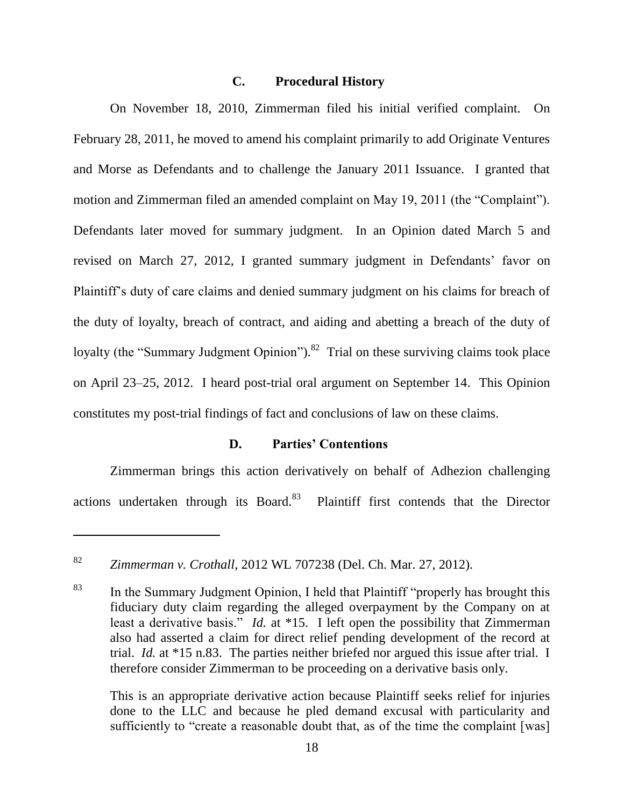### **C. Procedural History**

On November 18, 2010, Zimmerman filed his initial verified complaint. On February 28, 2011, he moved to amend his complaint primarily to add Originate Ventures and Morse as Defendants and to challenge the January 2011 Issuance. I granted that motion and Zimmerman filed an amended complaint on May 19, 2011 (the "Complaint"). Defendants later moved for summary judgment. In an Opinion dated March 5 and revised on March 27, 2012, I granted summary judgment in Defendants' favor on Plaintiff's duty of care claims and denied summary judgment on his claims for breach of the duty of loyalty, breach of contract, and aiding and abetting a breach of the duty of loyalty (the "Summary Judgment Opinion").<sup>82</sup> Trial on these surviving claims took place on April 23–25, 2012. I heard post-trial oral argument on September 14. This Opinion constitutes my post-trial findings of fact and conclusions of law on these claims.

#### **D. Parties' Contentions**

Zimmerman brings this action derivatively on behalf of Adhezion challenging actions undertaken through its Board. $83$  Plaintiff first contends that the Director

 $\overline{a}$ 

This is an appropriate derivative action because Plaintiff seeks relief for injuries done to the LLC and because he pled demand excusal with particularity and sufficiently to "create a reasonable doubt that, as of the time the complaint [was]

<sup>82</sup> *Zimmerman v. Crothall*, 2012 WL 707238 (Del. Ch. Mar. 27, 2012).

 $83$  In the Summary Judgment Opinion, I held that Plaintiff "properly has brought this fiduciary duty claim regarding the alleged overpayment by the Company on at least a derivative basis." *Id.* at \*15. I left open the possibility that Zimmerman also had asserted a claim for direct relief pending development of the record at trial. *Id.* at \*15 n.83. The parties neither briefed nor argued this issue after trial. I therefore consider Zimmerman to be proceeding on a derivative basis only.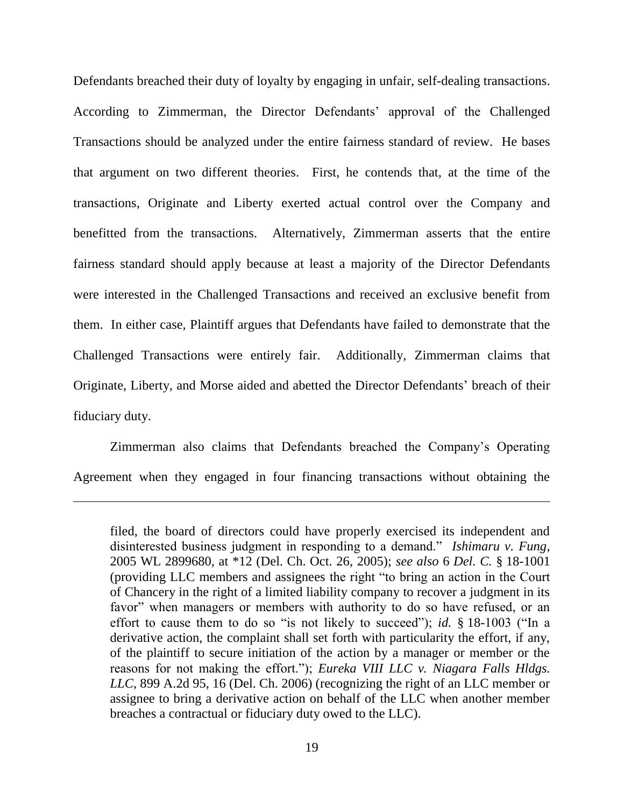Defendants breached their duty of loyalty by engaging in unfair, self-dealing transactions. According to Zimmerman, the Director Defendants' approval of the Challenged Transactions should be analyzed under the entire fairness standard of review. He bases that argument on two different theories. First, he contends that, at the time of the transactions, Originate and Liberty exerted actual control over the Company and benefitted from the transactions. Alternatively, Zimmerman asserts that the entire fairness standard should apply because at least a majority of the Director Defendants were interested in the Challenged Transactions and received an exclusive benefit from them. In either case, Plaintiff argues that Defendants have failed to demonstrate that the Challenged Transactions were entirely fair. Additionally, Zimmerman claims that Originate, Liberty, and Morse aided and abetted the Director Defendants' breach of their fiduciary duty.

Zimmerman also claims that Defendants breached the Company's Operating Agreement when they engaged in four financing transactions without obtaining the

filed, the board of directors could have properly exercised its independent and disinterested business judgment in responding to a demand." *Ishimaru v. Fung*, 2005 WL 2899680, at \*12 (Del. Ch. Oct. 26, 2005); *see also* 6 *Del. C.* § 18-1001 (providing LLC members and assignees the right "to bring an action in the Court") of Chancery in the right of a limited liability company to recover a judgment in its favor" when managers or members with authority to do so have refused, or an effort to cause them to do so "is not likely to succeed"); *id.*  $\S$  18-1003 ("In a derivative action, the complaint shall set forth with particularity the effort, if any, of the plaintiff to secure initiation of the action by a manager or member or the reasons for not making the effort."); *Eureka VIII LLC v. Niagara Falls Hldgs. LLC*, 899 A.2d 95, 16 (Del. Ch. 2006) (recognizing the right of an LLC member or assignee to bring a derivative action on behalf of the LLC when another member breaches a contractual or fiduciary duty owed to the LLC).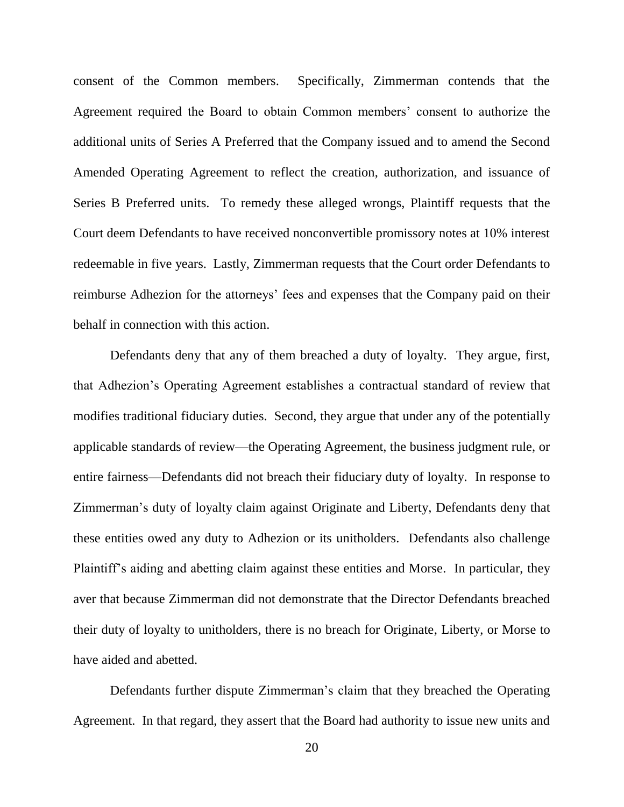consent of the Common members. Specifically, Zimmerman contends that the Agreement required the Board to obtain Common members' consent to authorize the additional units of Series A Preferred that the Company issued and to amend the Second Amended Operating Agreement to reflect the creation, authorization, and issuance of Series B Preferred units. To remedy these alleged wrongs, Plaintiff requests that the Court deem Defendants to have received nonconvertible promissory notes at 10% interest redeemable in five years. Lastly, Zimmerman requests that the Court order Defendants to reimburse Adhezion for the attorneys' fees and expenses that the Company paid on their behalf in connection with this action.

Defendants deny that any of them breached a duty of loyalty. They argue, first, that Adhezion's Operating Agreement establishes a contractual standard of review that modifies traditional fiduciary duties. Second, they argue that under any of the potentially applicable standards of review—the Operating Agreement, the business judgment rule, or entire fairness—Defendants did not breach their fiduciary duty of loyalty. In response to Zimmerman's duty of loyalty claim against Originate and Liberty, Defendants deny that these entities owed any duty to Adhezion or its unitholders. Defendants also challenge Plaintiff's aiding and abetting claim against these entities and Morse. In particular, they aver that because Zimmerman did not demonstrate that the Director Defendants breached their duty of loyalty to unitholders, there is no breach for Originate, Liberty, or Morse to have aided and abetted.

Defendants further dispute Zimmerman's claim that they breached the Operating Agreement. In that regard, they assert that the Board had authority to issue new units and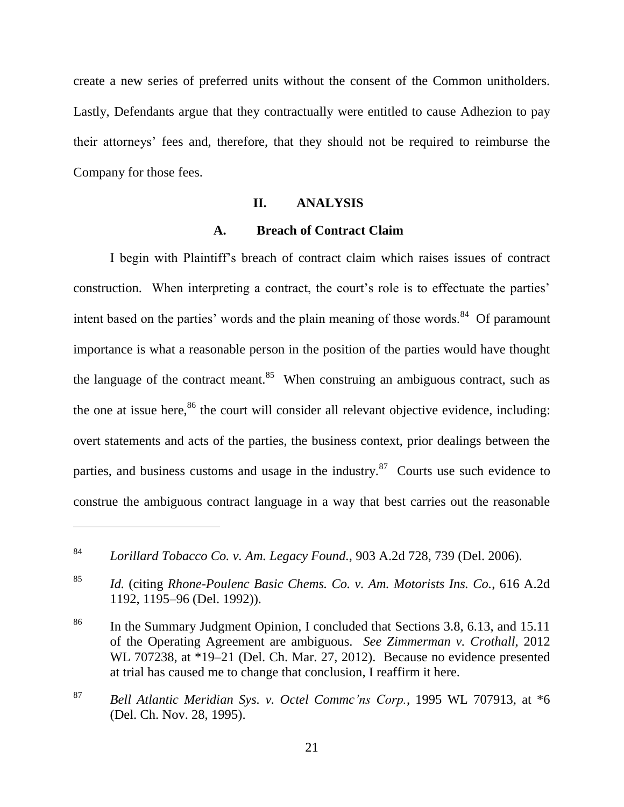create a new series of preferred units without the consent of the Common unitholders. Lastly, Defendants argue that they contractually were entitled to cause Adhezion to pay their attorneys' fees and, therefore, that they should not be required to reimburse the Company for those fees.

### **II. ANALYSIS**

### **A. Breach of Contract Claim**

I begin with Plaintiff's breach of contract claim which raises issues of contract construction. When interpreting a contract, the court's role is to effectuate the parties' intent based on the parties' words and the plain meaning of those words. $84$  Of paramount importance is what a reasonable person in the position of the parties would have thought the language of the contract meant.<sup>85</sup> When construing an ambiguous contract, such as the one at issue here, $86$  the court will consider all relevant objective evidence, including: overt statements and acts of the parties, the business context, prior dealings between the parties, and business customs and usage in the industry. $87$  Courts use such evidence to construe the ambiguous contract language in a way that best carries out the reasonable

<sup>84</sup> *Lorillard Tobacco Co. v. Am. Legacy Found.*, 903 A.2d 728, 739 (Del. 2006).

<sup>85</sup> *Id.* (citing *Rhone-Poulenc Basic Chems. Co. v. Am. Motorists Ins. Co.*, 616 A.2d 1192, 1195–96 (Del. 1992)).

<sup>86</sup> In the Summary Judgment Opinion, I concluded that Sections 3.8, 6.13, and 15.11 of the Operating Agreement are ambiguous. *See Zimmerman v. Crothall*, 2012 WL 707238, at \*19–21 (Del. Ch. Mar. 27, 2012). Because no evidence presented at trial has caused me to change that conclusion, I reaffirm it here.

<sup>87</sup> *Bell Atlantic Meridian Sys. v. Octel Commc'ns Corp.*, 1995 WL 707913, at \*6 (Del. Ch. Nov. 28, 1995).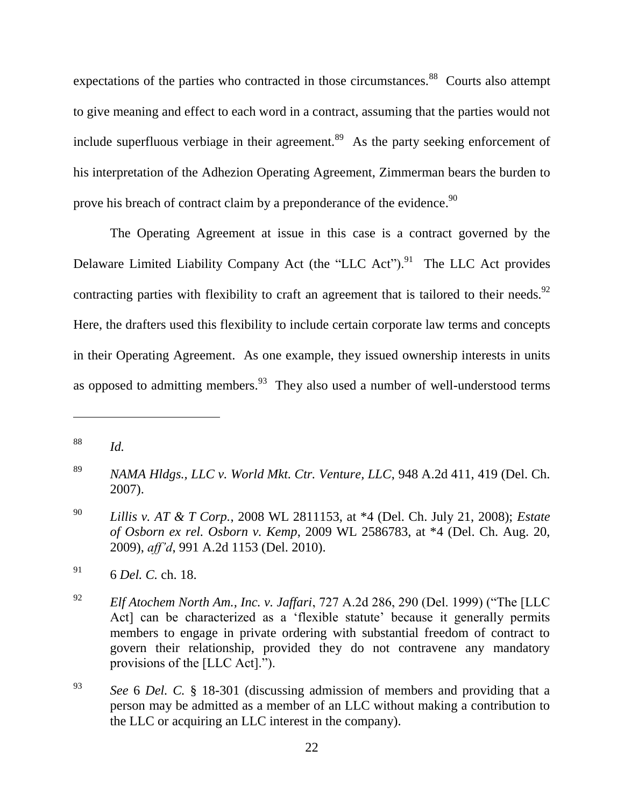expectations of the parties who contracted in those circumstances.<sup>88</sup> Courts also attempt to give meaning and effect to each word in a contract, assuming that the parties would not include superfluous verbiage in their agreement.<sup>89</sup> As the party seeking enforcement of his interpretation of the Adhezion Operating Agreement, Zimmerman bears the burden to prove his breach of contract claim by a preponderance of the evidence.<sup>90</sup>

The Operating Agreement at issue in this case is a contract governed by the Delaware Limited Liability Company Act (the "LLC Act").<sup>91</sup> The LLC Act provides contracting parties with flexibility to craft an agreement that is tailored to their needs.  $92$ Here, the drafters used this flexibility to include certain corporate law terms and concepts in their Operating Agreement. As one example, they issued ownership interests in units as opposed to admitting members.<sup>93</sup> They also used a number of well-understood terms

- <sup>90</sup> *Lillis v. AT & T Corp.*, 2008 WL 2811153, at \*4 (Del. Ch. July 21, 2008); *Estate of Osborn ex rel. Osborn v. Kemp*, 2009 WL 2586783, at \*4 (Del. Ch. Aug. 20, 2009), *aff'd*, 991 A.2d 1153 (Del. 2010).
- <sup>91</sup> 6 *Del. C.* ch. 18.
- <sup>92</sup> *Elf Atochem North Am., Inc. v. Jaffari, 727 A.2d 286, 290 (Del. 1999) ("The [LLC* Act] can be characterized as a 'flexible statute' because it generally permits members to engage in private ordering with substantial freedom of contract to govern their relationship, provided they do not contravene any mandatory provisions of the [LLC Act].").
- <sup>93</sup> *See* 6 *Del. C.* § 18-301 (discussing admission of members and providing that a person may be admitted as a member of an LLC without making a contribution to the LLC or acquiring an LLC interest in the company).

<sup>88</sup> *Id.*

<sup>89</sup> *NAMA Hldgs., LLC v. World Mkt. Ctr. Venture, LLC*, 948 A.2d 411, 419 (Del. Ch. 2007).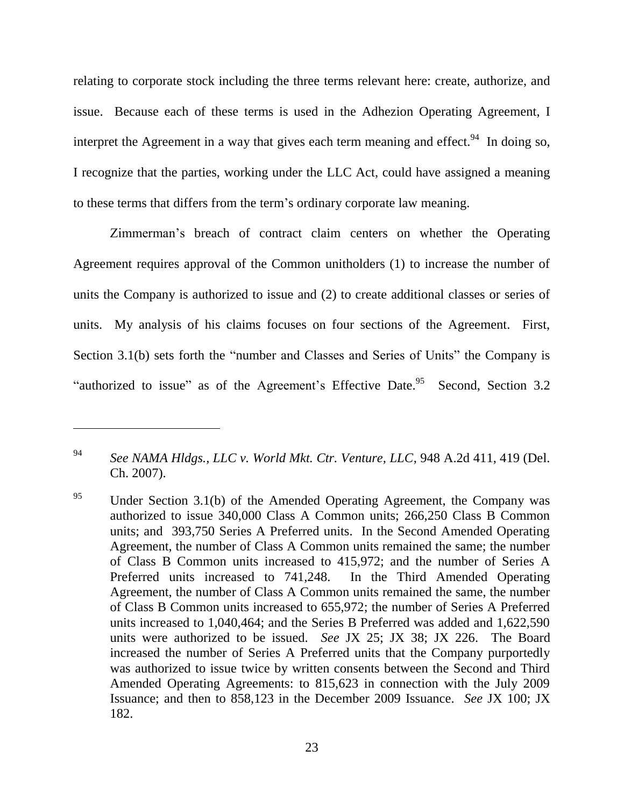relating to corporate stock including the three terms relevant here: create, authorize, and issue. Because each of these terms is used in the Adhezion Operating Agreement, I interpret the Agreement in a way that gives each term meaning and effect.<sup>94</sup> In doing so, I recognize that the parties, working under the LLC Act, could have assigned a meaning to these terms that differs from the term's ordinary corporate law meaning.

Zimmerman's breach of contract claim centers on whether the Operating Agreement requires approval of the Common unitholders (1) to increase the number of units the Company is authorized to issue and (2) to create additional classes or series of units. My analysis of his claims focuses on four sections of the Agreement. First, Section  $3.1(b)$  sets forth the "number and Classes and Series of Units" the Company is "authorized to issue" as of the Agreement's Effective Date.<sup>95</sup> Second, Section 3.2

<sup>94</sup> *See NAMA Hldgs., LLC v. World Mkt. Ctr. Venture, LLC*, 948 A.2d 411, 419 (Del. Ch. 2007).

<sup>&</sup>lt;sup>95</sup> Under Section 3.1(b) of the Amended Operating Agreement, the Company was authorized to issue 340,000 Class A Common units; 266,250 Class B Common units; and 393,750 Series A Preferred units. In the Second Amended Operating Agreement, the number of Class A Common units remained the same; the number of Class B Common units increased to 415,972; and the number of Series A Preferred units increased to 741,248. In the Third Amended Operating Agreement, the number of Class A Common units remained the same, the number of Class B Common units increased to 655,972; the number of Series A Preferred units increased to 1,040,464; and the Series B Preferred was added and 1,622,590 units were authorized to be issued. *See* JX 25; JX 38; JX 226. The Board increased the number of Series A Preferred units that the Company purportedly was authorized to issue twice by written consents between the Second and Third Amended Operating Agreements: to 815,623 in connection with the July 2009 Issuance; and then to 858,123 in the December 2009 Issuance. *See* JX 100; JX 182.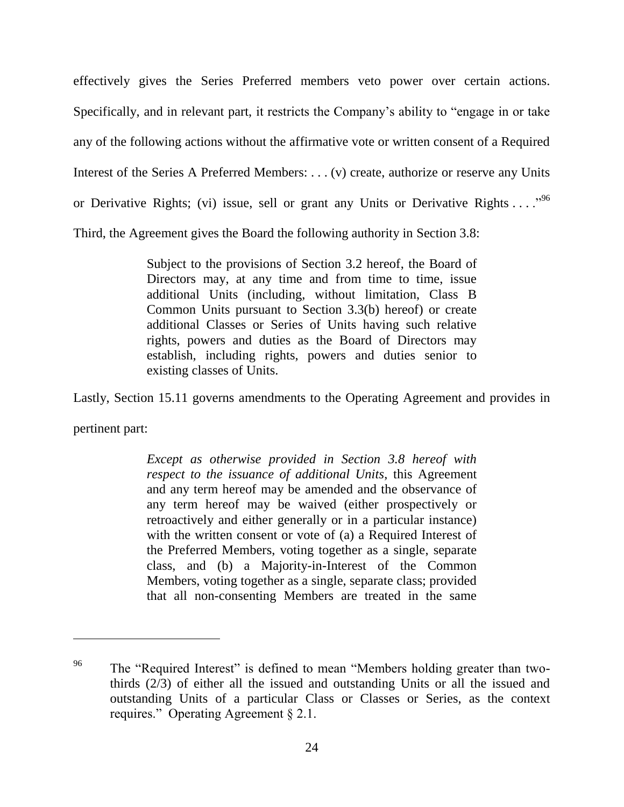effectively gives the Series Preferred members veto power over certain actions. Specifically, and in relevant part, it restricts the Company's ability to "engage in or take any of the following actions without the affirmative vote or written consent of a Required Interest of the Series A Preferred Members: . . . (v) create, authorize or reserve any Units or Derivative Rights; (vi) issue, sell or grant any Units or Derivative Rights  $\dots$ .<sup>96</sup> Third, the Agreement gives the Board the following authority in Section 3.8:

> Subject to the provisions of Section 3.2 hereof, the Board of Directors may, at any time and from time to time, issue additional Units (including, without limitation, Class B Common Units pursuant to Section 3.3(b) hereof) or create additional Classes or Series of Units having such relative rights, powers and duties as the Board of Directors may establish, including rights, powers and duties senior to existing classes of Units.

Lastly, Section 15.11 governs amendments to the Operating Agreement and provides in

pertinent part:

*Except as otherwise provided in Section 3.8 hereof with respect to the issuance of additional Units*, this Agreement and any term hereof may be amended and the observance of any term hereof may be waived (either prospectively or retroactively and either generally or in a particular instance) with the written consent or vote of (a) a Required Interest of the Preferred Members, voting together as a single, separate class, and (b) a Majority-in-Interest of the Common Members, voting together as a single, separate class; provided that all non-consenting Members are treated in the same

 $96$  The "Required Interest" is defined to mean "Members holding greater than twothirds (2/3) of either all the issued and outstanding Units or all the issued and outstanding Units of a particular Class or Classes or Series, as the context requires." Operating Agreement  $\S 2.1$ .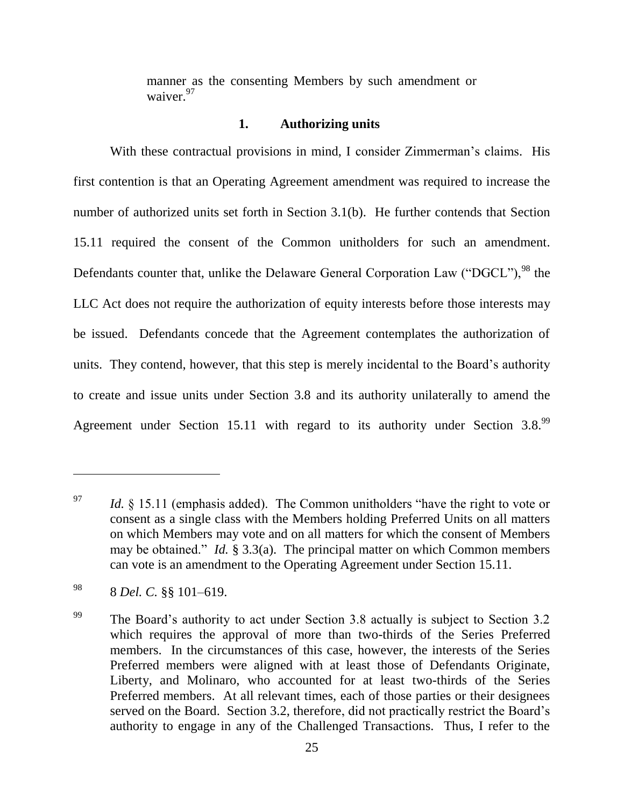manner as the consenting Members by such amendment or waiver.<sup>97</sup>

### **1. Authorizing units**

With these contractual provisions in mind, I consider Zimmerman's claims. His first contention is that an Operating Agreement amendment was required to increase the number of authorized units set forth in Section 3.1(b). He further contends that Section 15.11 required the consent of the Common unitholders for such an amendment. Defendants counter that, unlike the Delaware General Corporation Law ("DGCL"),<sup>98</sup> the LLC Act does not require the authorization of equity interests before those interests may be issued. Defendants concede that the Agreement contemplates the authorization of units. They contend, however, that this step is merely incidental to the Board's authority to create and issue units under Section 3.8 and its authority unilaterally to amend the Agreement under Section 15.11 with regard to its authority under Section  $3.8.^{99}$ 

<sup>&</sup>lt;sup>97</sup> *Id.* § 15.11 (emphasis added). The Common unitholders "have the right to vote or consent as a single class with the Members holding Preferred Units on all matters on which Members may vote and on all matters for which the consent of Members may be obtained." *Id.* § 3.3(a). The principal matter on which Common members can vote is an amendment to the Operating Agreement under Section 15.11.

<sup>98</sup> 8 *Del. C.* §§ 101–619.

<sup>&</sup>lt;sup>99</sup> The Board's authority to act under Section 3.8 actually is subject to Section 3.2 which requires the approval of more than two-thirds of the Series Preferred members. In the circumstances of this case, however, the interests of the Series Preferred members were aligned with at least those of Defendants Originate, Liberty, and Molinaro, who accounted for at least two-thirds of the Series Preferred members. At all relevant times, each of those parties or their designees served on the Board. Section 3.2, therefore, did not practically restrict the Board's authority to engage in any of the Challenged Transactions. Thus, I refer to the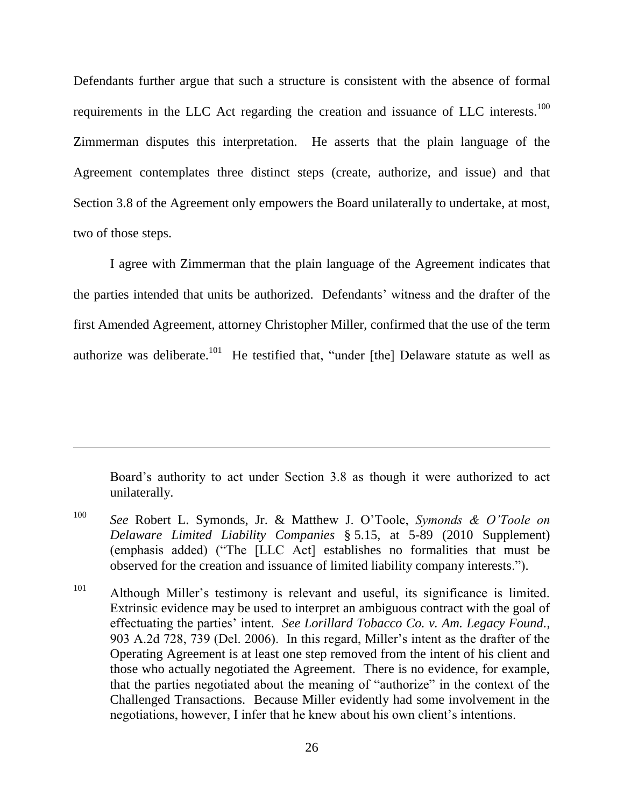Defendants further argue that such a structure is consistent with the absence of formal requirements in the LLC Act regarding the creation and issuance of LLC interests.<sup>100</sup> Zimmerman disputes this interpretation. He asserts that the plain language of the Agreement contemplates three distinct steps (create, authorize, and issue) and that Section 3.8 of the Agreement only empowers the Board unilaterally to undertake, at most, two of those steps.

I agree with Zimmerman that the plain language of the Agreement indicates that the parties intended that units be authorized. Defendants' witness and the drafter of the first Amended Agreement, attorney Christopher Miller, confirmed that the use of the term authorize was deliberate.<sup>101</sup> He testified that, "under [the] Delaware statute as well as

Board's authority to act under Section 3.8 as though it were authorized to act unilaterally.

<sup>100</sup> *See* Robert L. Symonds, Jr. & Matthew J. O'Toole, *Symonds & O'Toole on Delaware Limited Liability Companies* § 5.15, at 5-89 (2010 Supplement) (emphasis added) ("The [LLC Act] establishes no formalities that must be observed for the creation and issuance of limited liability company interests.").

<sup>101</sup> Although Miller's testimony is relevant and useful, its significance is limited. Extrinsic evidence may be used to interpret an ambiguous contract with the goal of effectuating the parties' intent. *See Lorillard Tobacco Co. v. Am. Legacy Found.*, 903 A.2d 728, 739 (Del. 2006). In this regard, Miller's intent as the drafter of the Operating Agreement is at least one step removed from the intent of his client and those who actually negotiated the Agreement. There is no evidence, for example, that the parties negotiated about the meaning of "authorize" in the context of the Challenged Transactions. Because Miller evidently had some involvement in the negotiations, however, I infer that he knew about his own client's intentions.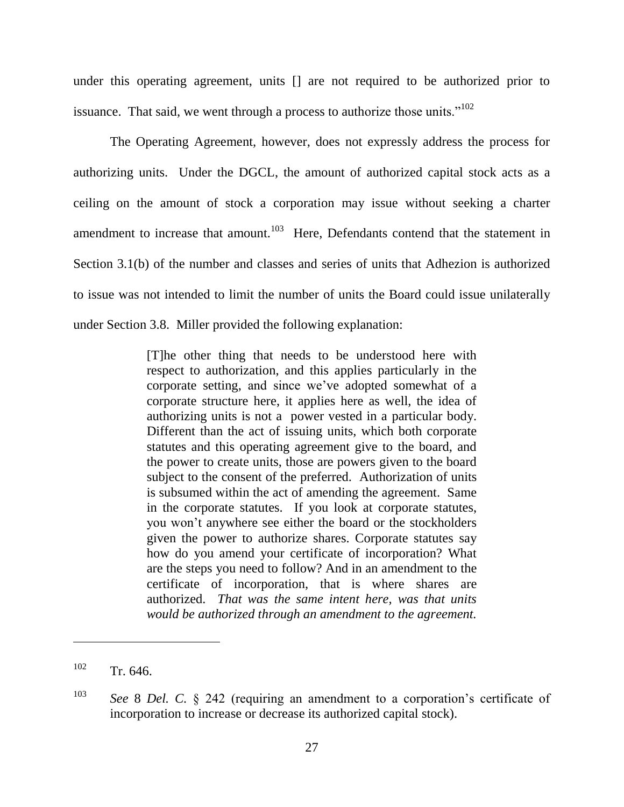under this operating agreement, units [] are not required to be authorized prior to issuance. That said, we went through a process to authorize those units. $102$ 

The Operating Agreement, however, does not expressly address the process for authorizing units. Under the DGCL, the amount of authorized capital stock acts as a ceiling on the amount of stock a corporation may issue without seeking a charter amendment to increase that amount.<sup>103</sup> Here, Defendants contend that the statement in Section 3.1(b) of the number and classes and series of units that Adhezion is authorized to issue was not intended to limit the number of units the Board could issue unilaterally under Section 3.8. Miller provided the following explanation:

> [T]he other thing that needs to be understood here with respect to authorization, and this applies particularly in the corporate setting, and since we've adopted somewhat of a corporate structure here, it applies here as well, the idea of authorizing units is not a power vested in a particular body. Different than the act of issuing units, which both corporate statutes and this operating agreement give to the board, and the power to create units, those are powers given to the board subject to the consent of the preferred. Authorization of units is subsumed within the act of amending the agreement. Same in the corporate statutes. If you look at corporate statutes, you won't anywhere see either the board or the stockholders given the power to authorize shares. Corporate statutes say how do you amend your certificate of incorporation? What are the steps you need to follow? And in an amendment to the certificate of incorporation, that is where shares are authorized. *That was the same intent here, was that units would be authorized through an amendment to the agreement.*

 $102$  Tr. 646.

<sup>103</sup> *See* 8 *Del. C.* § 242 (requiring an amendment to a corporation's certificate of incorporation to increase or decrease its authorized capital stock).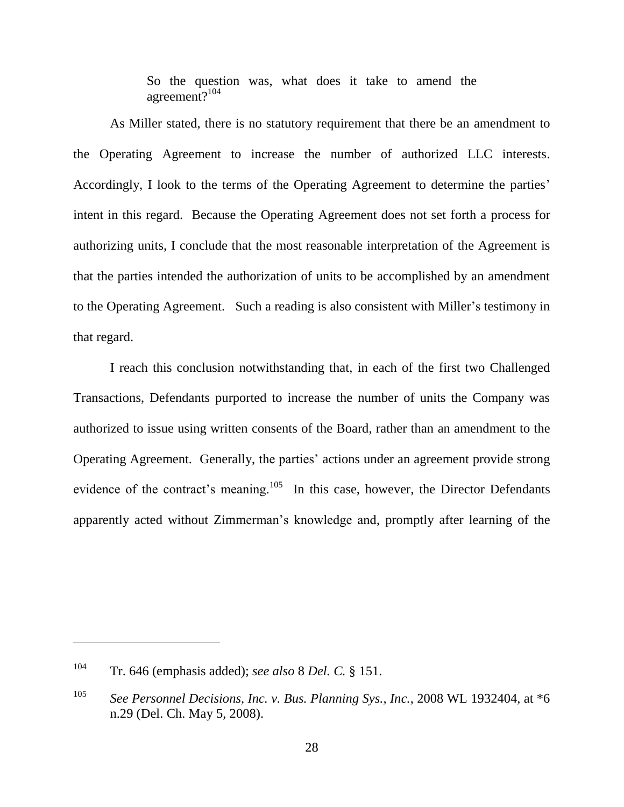So the question was, what does it take to amend the agreement?<sup>104</sup>

As Miller stated, there is no statutory requirement that there be an amendment to the Operating Agreement to increase the number of authorized LLC interests. Accordingly, I look to the terms of the Operating Agreement to determine the parties' intent in this regard. Because the Operating Agreement does not set forth a process for authorizing units, I conclude that the most reasonable interpretation of the Agreement is that the parties intended the authorization of units to be accomplished by an amendment to the Operating Agreement. Such a reading is also consistent with Miller's testimony in that regard.

I reach this conclusion notwithstanding that, in each of the first two Challenged Transactions, Defendants purported to increase the number of units the Company was authorized to issue using written consents of the Board, rather than an amendment to the Operating Agreement. Generally, the parties' actions under an agreement provide strong evidence of the contract's meaning.<sup>105</sup> In this case, however, the Director Defendants apparently acted without Zimmerman's knowledge and, promptly after learning of the

<sup>104</sup> Tr. 646 (emphasis added); *see also* 8 *Del. C.* § 151.

<sup>105</sup> *See Personnel Decisions, Inc. v. Bus. Planning Sys., Inc.*, 2008 WL 1932404, at \*6 n.29 (Del. Ch. May 5, 2008).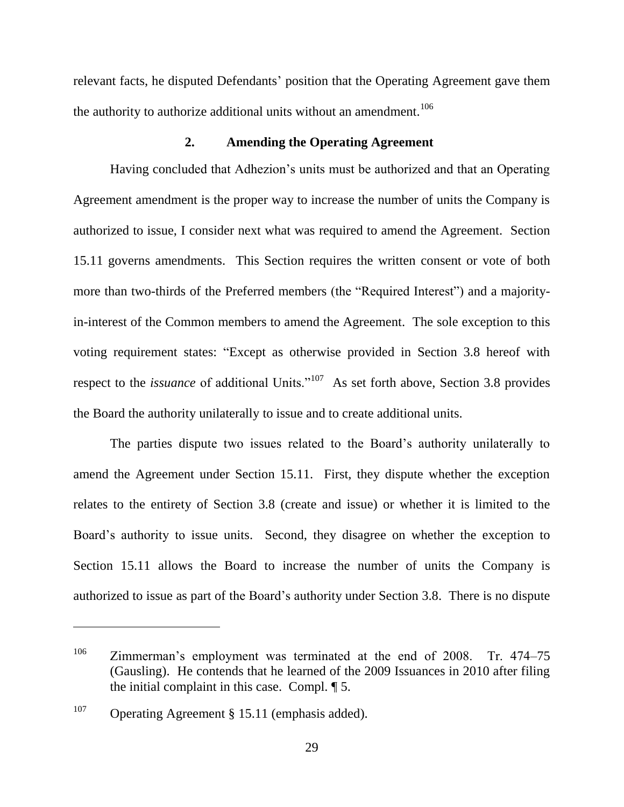relevant facts, he disputed Defendants' position that the Operating Agreement gave them the authority to authorize additional units without an amendment.<sup>106</sup>

# **2. Amending the Operating Agreement**

Having concluded that Adhezion's units must be authorized and that an Operating Agreement amendment is the proper way to increase the number of units the Company is authorized to issue, I consider next what was required to amend the Agreement. Section 15.11 governs amendments. This Section requires the written consent or vote of both more than two-thirds of the Preferred members (the "Required Interest") and a majorityin-interest of the Common members to amend the Agreement. The sole exception to this voting requirement states: "Except as otherwise provided in Section 3.8 hereof with respect to the *issuance* of additional Units."<sup>107</sup> As set forth above, Section 3.8 provides the Board the authority unilaterally to issue and to create additional units.

The parties dispute two issues related to the Board's authority unilaterally to amend the Agreement under Section 15.11. First, they dispute whether the exception relates to the entirety of Section 3.8 (create and issue) or whether it is limited to the Board's authority to issue units. Second, they disagree on whether the exception to Section 15.11 allows the Board to increase the number of units the Company is authorized to issue as part of the Board's authority under Section 3.8. There is no dispute

<sup>&</sup>lt;sup>106</sup> Zimmerman's employment was terminated at the end of 2008. Tr. 474–75 (Gausling). He contends that he learned of the 2009 Issuances in 2010 after filing the initial complaint in this case. Compl. ¶ 5.

<sup>&</sup>lt;sup>107</sup> Operating Agreement § 15.11 (emphasis added).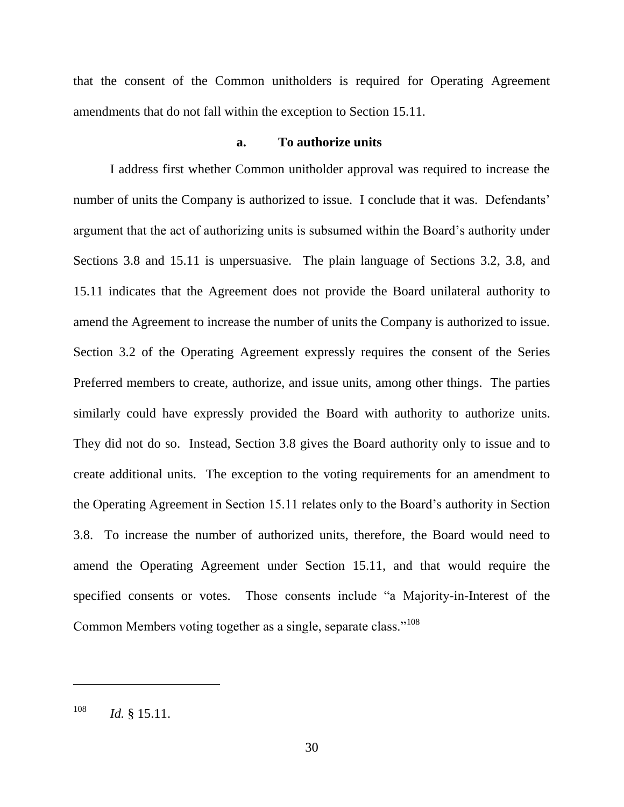that the consent of the Common unitholders is required for Operating Agreement amendments that do not fall within the exception to Section 15.11.

# **a. To authorize units**

I address first whether Common unitholder approval was required to increase the number of units the Company is authorized to issue. I conclude that it was. Defendants' argument that the act of authorizing units is subsumed within the Board's authority under Sections 3.8 and 15.11 is unpersuasive. The plain language of Sections 3.2, 3.8, and 15.11 indicates that the Agreement does not provide the Board unilateral authority to amend the Agreement to increase the number of units the Company is authorized to issue. Section 3.2 of the Operating Agreement expressly requires the consent of the Series Preferred members to create, authorize, and issue units, among other things. The parties similarly could have expressly provided the Board with authority to authorize units. They did not do so. Instead, Section 3.8 gives the Board authority only to issue and to create additional units. The exception to the voting requirements for an amendment to the Operating Agreement in Section 15.11 relates only to the Board's authority in Section 3.8. To increase the number of authorized units, therefore, the Board would need to amend the Operating Agreement under Section 15.11, and that would require the specified consents or votes. Those consents include "a Majority-in-Interest of the Common Members voting together as a single, separate class."<sup>108</sup>

<sup>108</sup> *Id.* § 15.11.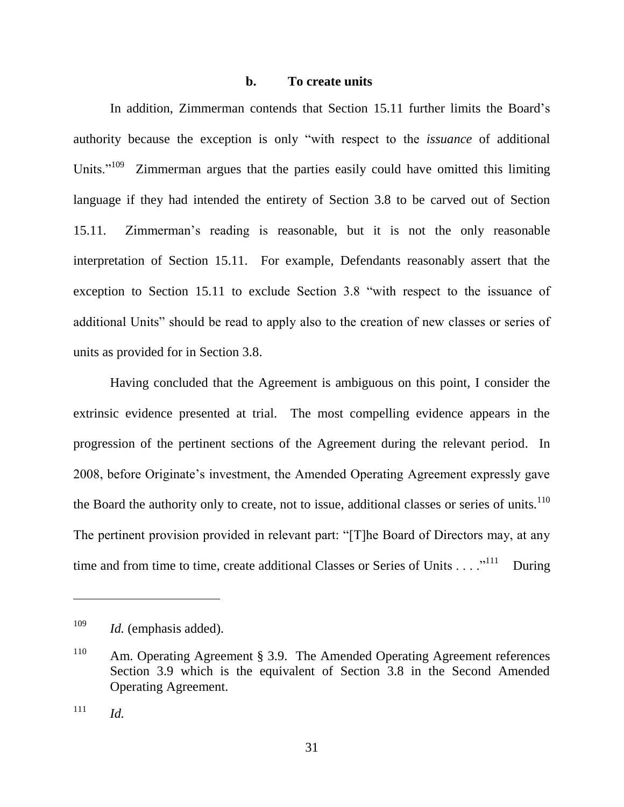### **b. To create units**

In addition, Zimmerman contends that Section 15.11 further limits the Board's authority because the exception is only "with respect to the *issuance* of additional Units."<sup>109</sup> Zimmerman argues that the parties easily could have omitted this limiting language if they had intended the entirety of Section 3.8 to be carved out of Section 15.11. Zimmerman's reading is reasonable, but it is not the only reasonable interpretation of Section 15.11. For example, Defendants reasonably assert that the exception to Section 15.11 to exclude Section 3.8 "with respect to the issuance of additional Units" should be read to apply also to the creation of new classes or series of units as provided for in Section 3.8.

Having concluded that the Agreement is ambiguous on this point, I consider the extrinsic evidence presented at trial. The most compelling evidence appears in the progression of the pertinent sections of the Agreement during the relevant period. In 2008, before Originate's investment, the Amended Operating Agreement expressly gave the Board the authority only to create, not to issue, additional classes or series of units.<sup>110</sup> The pertinent provision provided in relevant part: "[T]he Board of Directors may, at any time and from time to time, create additional Classes or Series of Units  $\dots$ <sup>111</sup> During

<sup>109</sup> *Id.* (emphasis added).

<sup>&</sup>lt;sup>110</sup> Am. Operating Agreement § 3.9. The Amended Operating Agreement references Section 3.9 which is the equivalent of Section 3.8 in the Second Amended Operating Agreement.

<sup>111</sup> *Id.*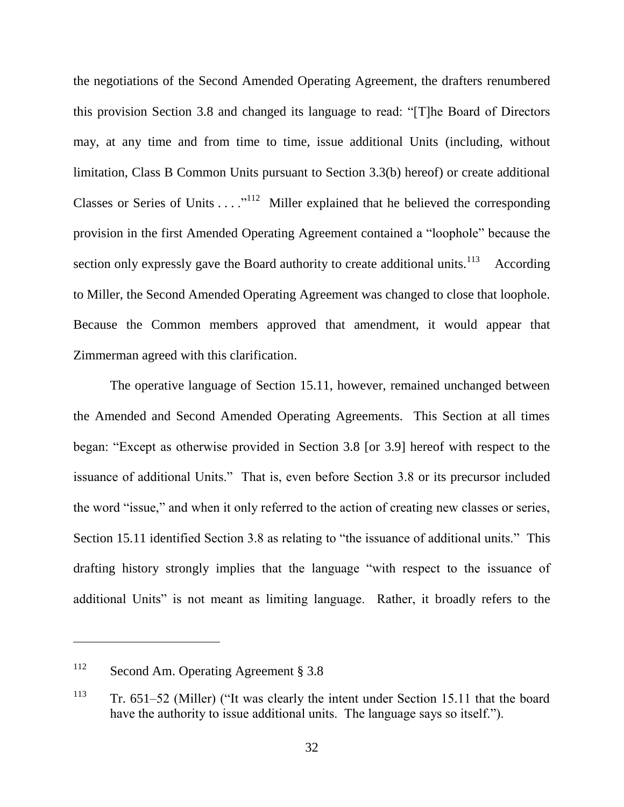the negotiations of the Second Amended Operating Agreement, the drafters renumbered this provision Section 3.8 and changed its language to read: "[T]he Board of Directors may, at any time and from time to time, issue additional Units (including, without limitation, Class B Common Units pursuant to Section 3.3(b) hereof) or create additional Classes or Series of Units  $\dots$ <sup>112</sup> Miller explained that he believed the corresponding provision in the first Amended Operating Agreement contained a "loophole" because the section only expressly gave the Board authority to create additional units.<sup>113</sup> According to Miller, the Second Amended Operating Agreement was changed to close that loophole. Because the Common members approved that amendment, it would appear that Zimmerman agreed with this clarification.

The operative language of Section 15.11, however, remained unchanged between the Amended and Second Amended Operating Agreements. This Section at all times began: "Except as otherwise provided in Section 3.8 [or 3.9] hereof with respect to the issuance of additional Units." That is, even before Section 3.8 or its precursor included the word "issue," and when it only referred to the action of creating new classes or series, Section 15.11 identified Section 3.8 as relating to "the issuance of additional units." This drafting history strongly implies that the language "with respect to the issuance of additional Units" is not meant as limiting language. Rather, it broadly refers to the

<sup>112</sup> Second Am. Operating Agreement § 3.8

 $113$  Tr. 651–52 (Miller) ("It was clearly the intent under Section 15.11 that the board have the authority to issue additional units. The language says so itself.").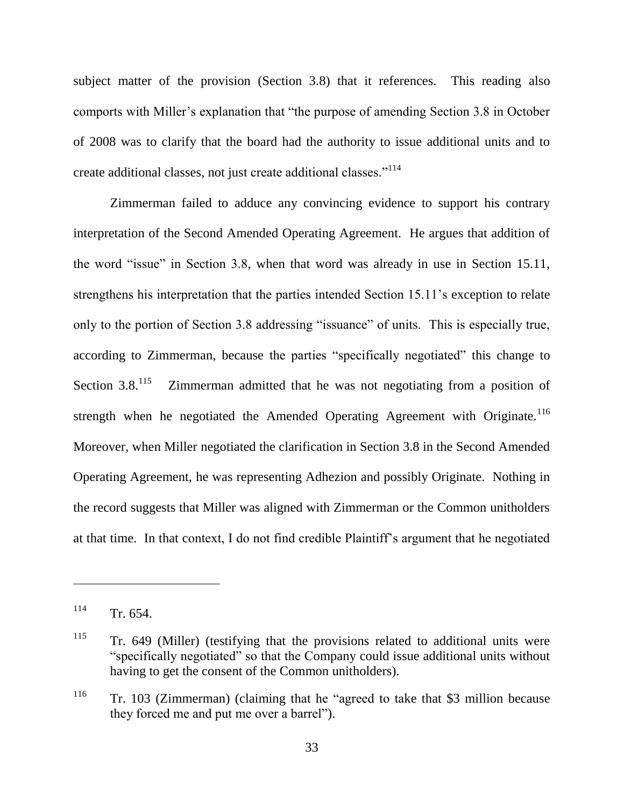subject matter of the provision (Section 3.8) that it references. This reading also comports with Miller's explanation that "the purpose of amending Section 3.8 in October of 2008 was to clarify that the board had the authority to issue additional units and to create additional classes, not just create additional classes."<sup>114</sup>

Zimmerman failed to adduce any convincing evidence to support his contrary interpretation of the Second Amended Operating Agreement. He argues that addition of the word "issue" in Section 3.8, when that word was already in use in Section 15.11, strengthens his interpretation that the parties intended Section 15.11's exception to relate only to the portion of Section 3.8 addressing "issuance" of units. This is especially true, according to Zimmerman, because the parties "specifically negotiated" this change to Section  $3.8$ .<sup>115</sup> Zimmerman admitted that he was not negotiating from a position of strength when he negotiated the Amended Operating Agreement with Originate.<sup>116</sup> Moreover, when Miller negotiated the clarification in Section 3.8 in the Second Amended Operating Agreement, he was representing Adhezion and possibly Originate. Nothing in the record suggests that Miller was aligned with Zimmerman or the Common unitholders at that time. In that context, I do not find credible Plaintiff's argument that he negotiated

 $114$  Tr. 654.

<sup>115</sup> Tr. 649 (Miller) (testifying that the provisions related to additional units were "specifically negotiated" so that the Company could issue additional units without having to get the consent of the Common unitholders).

<sup>&</sup>lt;sup>116</sup> Tr. 103 (Zimmerman) (claiming that he "agreed to take that \$3 million because they forced me and put me over a barrel".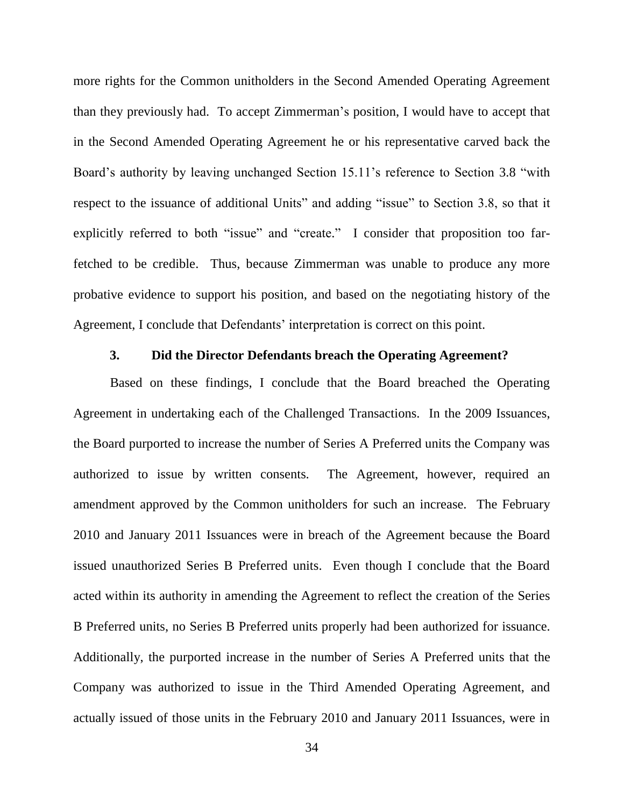more rights for the Common unitholders in the Second Amended Operating Agreement than they previously had. To accept Zimmerman's position, I would have to accept that in the Second Amended Operating Agreement he or his representative carved back the Board's authority by leaving unchanged Section 15.11's reference to Section 3.8 "with respect to the issuance of additional Units" and adding "issue" to Section 3.8, so that it explicitly referred to both "issue" and "create." I consider that proposition too farfetched to be credible. Thus, because Zimmerman was unable to produce any more probative evidence to support his position, and based on the negotiating history of the Agreement, I conclude that Defendants' interpretation is correct on this point.

# **3. Did the Director Defendants breach the Operating Agreement?**

Based on these findings, I conclude that the Board breached the Operating Agreement in undertaking each of the Challenged Transactions. In the 2009 Issuances, the Board purported to increase the number of Series A Preferred units the Company was authorized to issue by written consents. The Agreement, however, required an amendment approved by the Common unitholders for such an increase. The February 2010 and January 2011 Issuances were in breach of the Agreement because the Board issued unauthorized Series B Preferred units. Even though I conclude that the Board acted within its authority in amending the Agreement to reflect the creation of the Series B Preferred units, no Series B Preferred units properly had been authorized for issuance. Additionally, the purported increase in the number of Series A Preferred units that the Company was authorized to issue in the Third Amended Operating Agreement, and actually issued of those units in the February 2010 and January 2011 Issuances, were in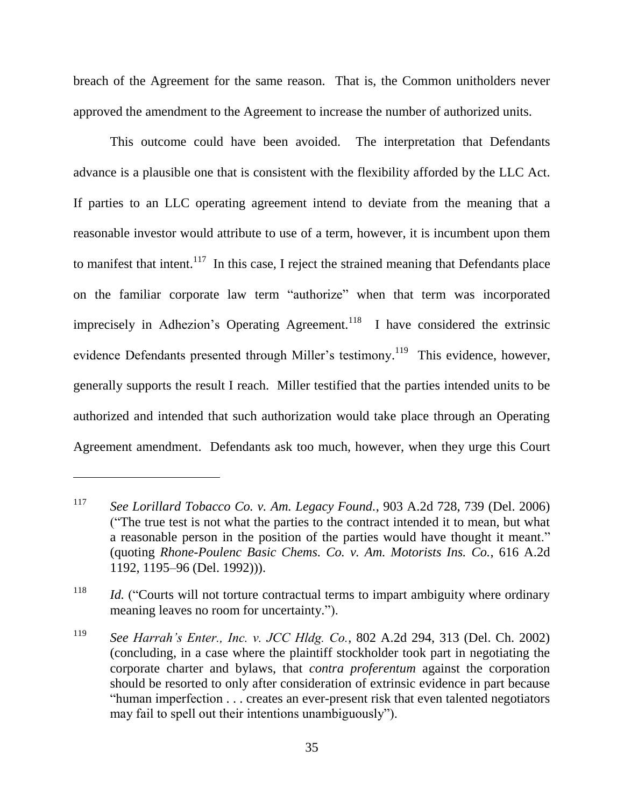breach of the Agreement for the same reason. That is, the Common unitholders never approved the amendment to the Agreement to increase the number of authorized units.

This outcome could have been avoided. The interpretation that Defendants advance is a plausible one that is consistent with the flexibility afforded by the LLC Act. If parties to an LLC operating agreement intend to deviate from the meaning that a reasonable investor would attribute to use of a term, however, it is incumbent upon them to manifest that intent.<sup>117</sup> In this case, I reject the strained meaning that Defendants place on the familiar corporate law term "authorize" when that term was incorporated imprecisely in Adhezion's Operating Agreement.<sup>118</sup> I have considered the extrinsic evidence Defendants presented through Miller's testimony.<sup>119</sup> This evidence, however, generally supports the result I reach. Miller testified that the parties intended units to be authorized and intended that such authorization would take place through an Operating Agreement amendment. Defendants ask too much, however, when they urge this Court

<sup>117</sup> *See Lorillard Tobacco Co. v. Am. Legacy Found.*, 903 A.2d 728, 739 (Del. 2006) (―The true test is not what the parties to the contract intended it to mean, but what a reasonable person in the position of the parties would have thought it meant." (quoting *Rhone-Poulenc Basic Chems. Co. v. Am. Motorists Ins. Co.*, 616 A.2d 1192, 1195–96 (Del. 1992))).

<sup>&</sup>lt;sup>118</sup> *Id.* ("Courts will not torture contractual terms to impart ambiguity where ordinary meaning leaves no room for uncertainty.").

<sup>119</sup> *See Harrah's Enter., Inc. v. JCC Hldg. Co.*, 802 A.2d 294, 313 (Del. Ch. 2002) (concluding, in a case where the plaintiff stockholder took part in negotiating the corporate charter and bylaws, that *contra proferentum* against the corporation should be resorted to only after consideration of extrinsic evidence in part because "human imperfection . . . creates an ever-present risk that even talented negotiators may fail to spell out their intentions unambiguously".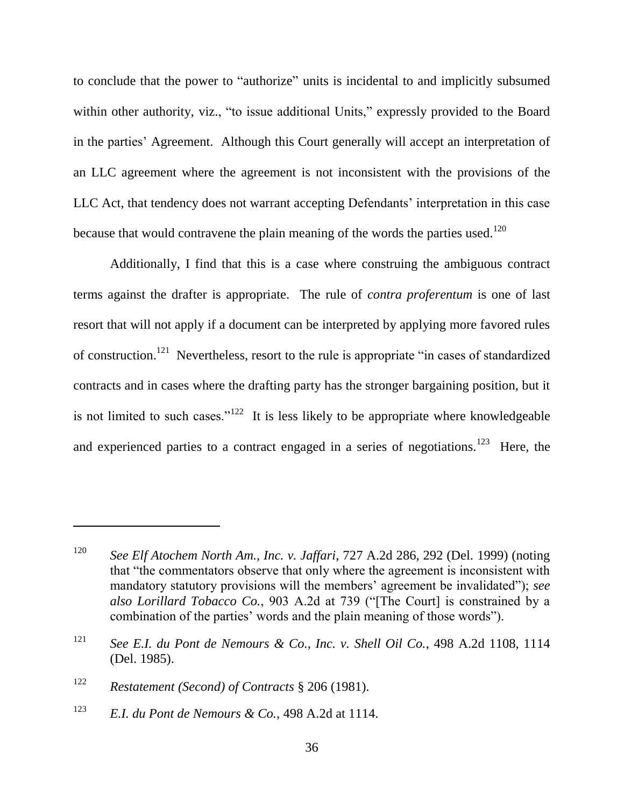to conclude that the power to "authorize" units is incidental to and implicitly subsumed within other authority, viz., "to issue additional Units," expressly provided to the Board in the parties' Agreement. Although this Court generally will accept an interpretation of an LLC agreement where the agreement is not inconsistent with the provisions of the LLC Act, that tendency does not warrant accepting Defendants' interpretation in this case because that would contravene the plain meaning of the words the parties used.<sup>120</sup>

Additionally, I find that this is a case where construing the ambiguous contract terms against the drafter is appropriate. The rule of *contra proferentum* is one of last resort that will not apply if a document can be interpreted by applying more favored rules of construction.<sup>121</sup> Nevertheless, resort to the rule is appropriate "in cases of standardized contracts and in cases where the drafting party has the stronger bargaining position, but it is not limited to such cases." $122$  It is less likely to be appropriate where knowledgeable and experienced parties to a contract engaged in a series of negotiations.<sup>123</sup> Here, the

<sup>122</sup> *Restatement (Second) of Contracts* § 206 (1981).

<sup>120</sup> *See Elf Atochem North Am., Inc. v. Jaffari*, 727 A.2d 286, 292 (Del. 1999) (noting that "the commentators observe that only where the agreement is inconsistent with mandatory statutory provisions will the members' agreement be invalidated"); *see also Lorillard Tobacco Co.*, 903 A.2d at 739 ("The Court] is constrained by a combination of the parties' words and the plain meaning of those words").

<sup>121</sup> *See E.I. du Pont de Nemours & Co., Inc. v. Shell Oil Co.*, 498 A.2d 1108, 1114 (Del. 1985).

<sup>123</sup> *E.I. du Pont de Nemours & Co.*, 498 A.2d at 1114.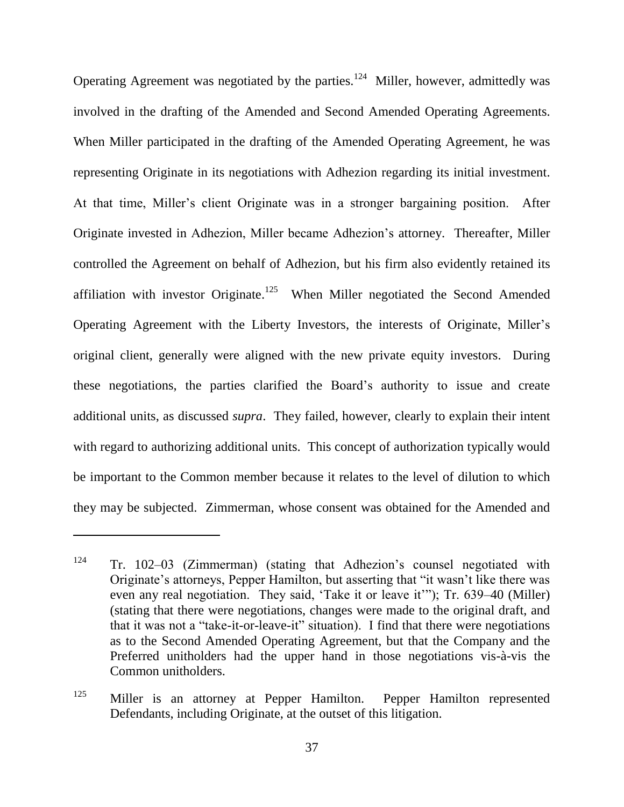Operating Agreement was negotiated by the parties.<sup>124</sup> Miller, however, admittedly was involved in the drafting of the Amended and Second Amended Operating Agreements. When Miller participated in the drafting of the Amended Operating Agreement, he was representing Originate in its negotiations with Adhezion regarding its initial investment. At that time, Miller's client Originate was in a stronger bargaining position. After Originate invested in Adhezion, Miller became Adhezion's attorney. Thereafter, Miller controlled the Agreement on behalf of Adhezion, but his firm also evidently retained its affiliation with investor Originate.<sup>125</sup> When Miller negotiated the Second Amended Operating Agreement with the Liberty Investors, the interests of Originate, Miller's original client, generally were aligned with the new private equity investors. During these negotiations, the parties clarified the Board's authority to issue and create additional units, as discussed *supra*. They failed, however, clearly to explain their intent with regard to authorizing additional units. This concept of authorization typically would be important to the Common member because it relates to the level of dilution to which they may be subjected. Zimmerman, whose consent was obtained for the Amended and

 $124$  Tr. 102–03 (Zimmerman) (stating that Adhezion's counsel negotiated with Originate's attorneys, Pepper Hamilton, but asserting that "it wasn't like there was even any real negotiation. They said, 'Take it or leave it'"); Tr.  $639-40$  (Miller) (stating that there were negotiations, changes were made to the original draft, and that it was not a "take-it-or-leave-it" situation). I find that there were negotiations as to the Second Amended Operating Agreement, but that the Company and the Preferred unitholders had the upper hand in those negotiations vis-à-vis the Common unitholders.

<sup>&</sup>lt;sup>125</sup> Miller is an attorney at Pepper Hamilton. Pepper Hamilton represented Defendants, including Originate, at the outset of this litigation.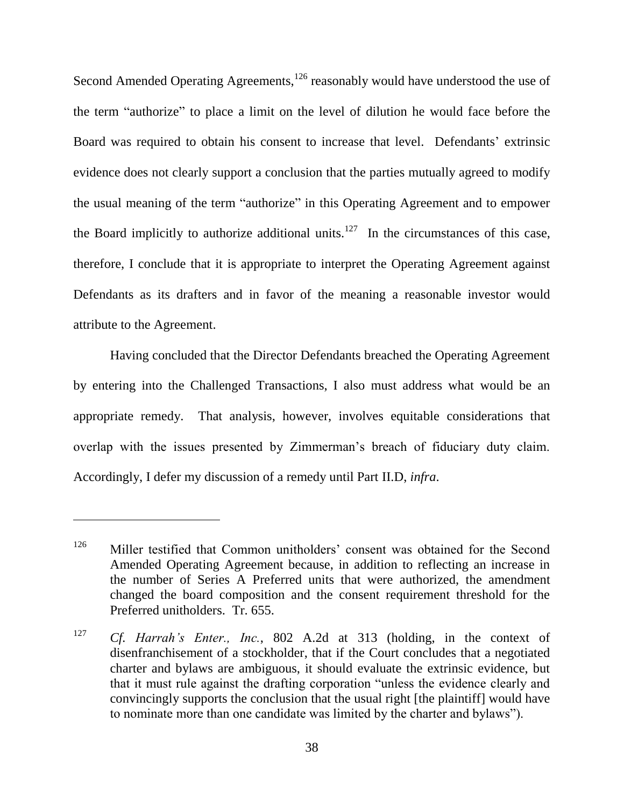Second Amended Operating Agreements,<sup>126</sup> reasonably would have understood the use of the term "authorize" to place a limit on the level of dilution he would face before the Board was required to obtain his consent to increase that level. Defendants' extrinsic evidence does not clearly support a conclusion that the parties mutually agreed to modify the usual meaning of the term "authorize" in this Operating Agreement and to empower the Board implicitly to authorize additional units.<sup>127</sup> In the circumstances of this case, therefore, I conclude that it is appropriate to interpret the Operating Agreement against Defendants as its drafters and in favor of the meaning a reasonable investor would attribute to the Agreement.

Having concluded that the Director Defendants breached the Operating Agreement by entering into the Challenged Transactions, I also must address what would be an appropriate remedy. That analysis, however, involves equitable considerations that overlap with the issues presented by Zimmerman's breach of fiduciary duty claim. Accordingly, I defer my discussion of a remedy until Part [II.D,](#page-65-0) *infra*.

<sup>&</sup>lt;sup>126</sup> Miller testified that Common unitholders' consent was obtained for the Second Amended Operating Agreement because, in addition to reflecting an increase in the number of Series A Preferred units that were authorized, the amendment changed the board composition and the consent requirement threshold for the Preferred unitholders. Tr. 655.

<sup>127</sup> *Cf. Harrah's Enter., Inc.*, 802 A.2d at 313 (holding, in the context of disenfranchisement of a stockholder, that if the Court concludes that a negotiated charter and bylaws are ambiguous, it should evaluate the extrinsic evidence, but that it must rule against the drafting corporation "unless the evidence clearly and convincingly supports the conclusion that the usual right [the plaintiff] would have to nominate more than one candidate was limited by the charter and bylaws").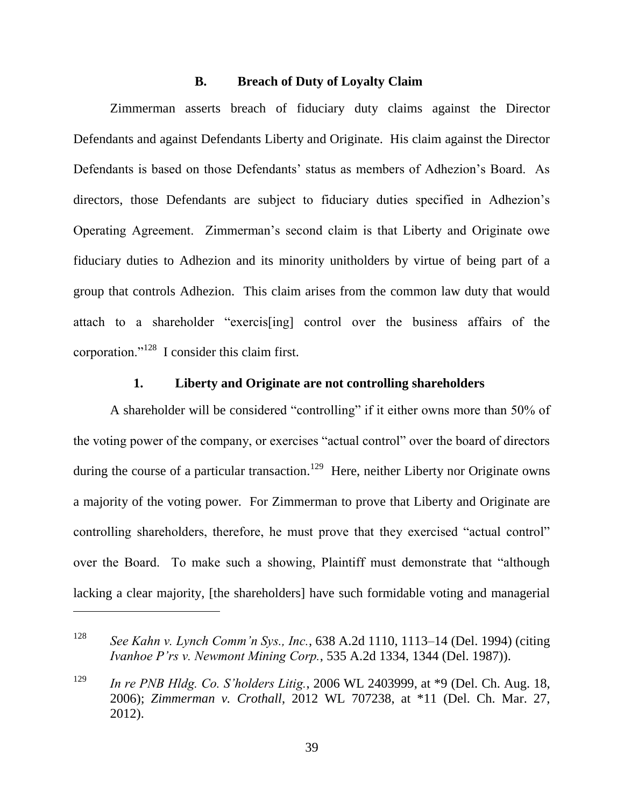#### **B. Breach of Duty of Loyalty Claim**

Zimmerman asserts breach of fiduciary duty claims against the Director Defendants and against Defendants Liberty and Originate. His claim against the Director Defendants is based on those Defendants' status as members of Adhezion's Board. As directors, those Defendants are subject to fiduciary duties specified in Adhezion's Operating Agreement. Zimmerman's second claim is that Liberty and Originate owe fiduciary duties to Adhezion and its minority unitholders by virtue of being part of a group that controls Adhezion. This claim arises from the common law duty that would attach to a shareholder "exercis[ing] control over the business affairs of the corporation."<sup>128</sup> I consider this claim first.

### **1. Liberty and Originate are not controlling shareholders**

A shareholder will be considered "controlling" if it either owns more than 50% of the voting power of the company, or exercises "actual control" over the board of directors during the course of a particular transaction.<sup>129</sup> Here, neither Liberty nor Originate owns a majority of the voting power. For Zimmerman to prove that Liberty and Originate are controlling shareholders, therefore, he must prove that they exercised "actual control" over the Board. To make such a showing, Plaintiff must demonstrate that "although lacking a clear majority, [the shareholders] have such formidable voting and managerial

<sup>128</sup> *See Kahn v. Lynch Comm'n Sys., Inc.*, 638 A.2d 1110, 1113–14 (Del. 1994) (citing *Ivanhoe P'rs v. Newmont Mining Corp.*, 535 A.2d 1334, 1344 (Del. 1987)).

<sup>129</sup> *In re PNB Hldg. Co. S'holders Litig.*, 2006 WL 2403999, at \*9 (Del. Ch. Aug. 18, 2006); *Zimmerman v. Crothall*, 2012 WL 707238, at \*11 (Del. Ch. Mar. 27, 2012).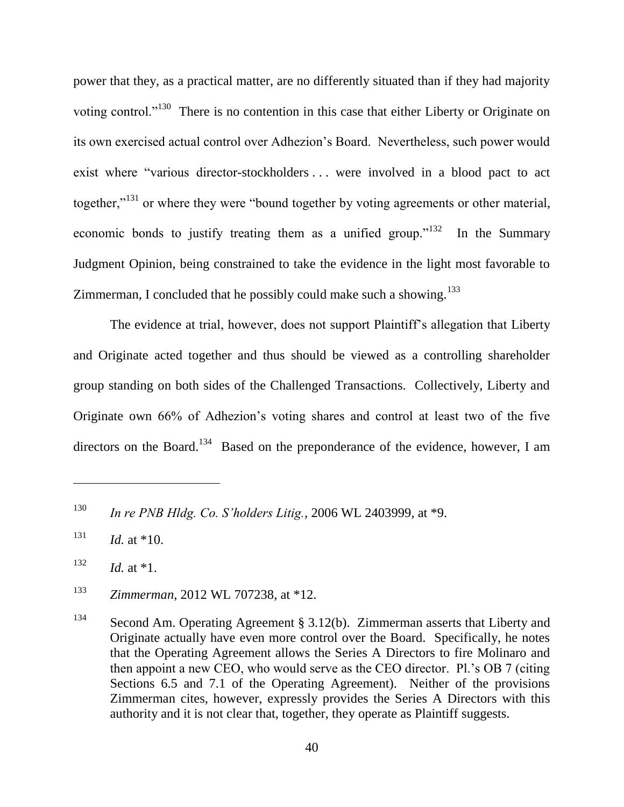power that they, as a practical matter, are no differently situated than if they had majority voting control."<sup>130</sup> There is no contention in this case that either Liberty or Originate on its own exercised actual control over Adhezion's Board. Nevertheless, such power would exist where "various director-stockholders ... were involved in a blood pact to act together," $131$  or where they were "bound together by voting agreements or other material, economic bonds to justify treating them as a unified group."<sup>132</sup> In the Summary Judgment Opinion, being constrained to take the evidence in the light most favorable to Zimmerman, I concluded that he possibly could make such a showing.<sup>133</sup>

The evidence at trial, however, does not support Plaintiff's allegation that Liberty and Originate acted together and thus should be viewed as a controlling shareholder group standing on both sides of the Challenged Transactions. Collectively, Liberty and Originate own 66% of Adhezion's voting shares and control at least two of the five directors on the Board.<sup>134</sup> Based on the preponderance of the evidence, however, I am

<sup>133</sup> *Zimmerman*, 2012 WL 707238, at \*12.

<sup>130</sup> *In re PNB Hldg. Co. S'holders Litig.*, 2006 WL 2403999, at \*9.

 $131$  *Id.* at \*10.

 $132$  *Id.* at \*1.

<sup>134</sup> Second Am. Operating Agreement § 3.12(b). Zimmerman asserts that Liberty and Originate actually have even more control over the Board. Specifically, he notes that the Operating Agreement allows the Series A Directors to fire Molinaro and then appoint a new CEO, who would serve as the CEO director. Pl.'s OB 7 (citing Sections 6.5 and 7.1 of the Operating Agreement). Neither of the provisions Zimmerman cites, however, expressly provides the Series A Directors with this authority and it is not clear that, together, they operate as Plaintiff suggests.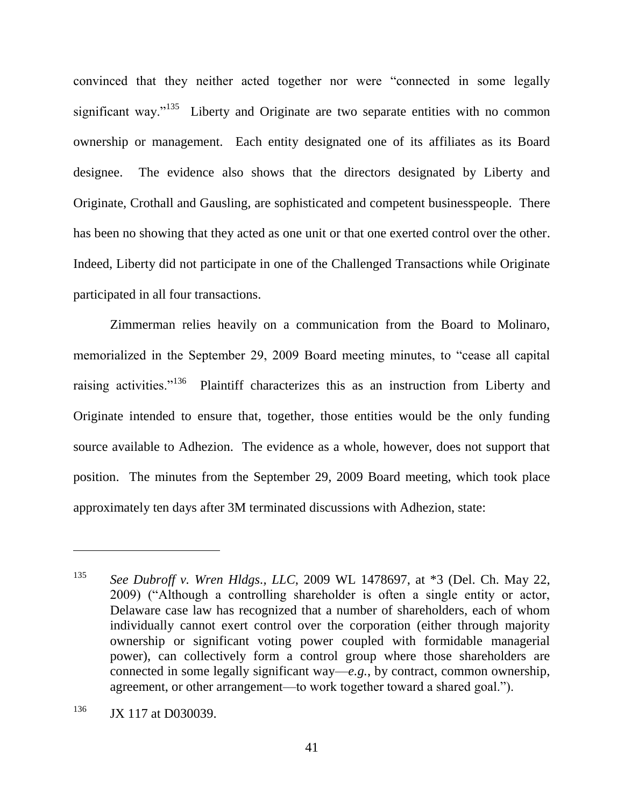convinced that they neither acted together nor were "connected in some legally significant way."<sup>135</sup> Liberty and Originate are two separate entities with no common ownership or management. Each entity designated one of its affiliates as its Board designee. The evidence also shows that the directors designated by Liberty and Originate, Crothall and Gausling, are sophisticated and competent businesspeople. There has been no showing that they acted as one unit or that one exerted control over the other. Indeed, Liberty did not participate in one of the Challenged Transactions while Originate participated in all four transactions.

Zimmerman relies heavily on a communication from the Board to Molinaro, memorialized in the September 29, 2009 Board meeting minutes, to "cease all capital raising activities." $136$  Plaintiff characterizes this as an instruction from Liberty and Originate intended to ensure that, together, those entities would be the only funding source available to Adhezion. The evidence as a whole, however, does not support that position. The minutes from the September 29, 2009 Board meeting, which took place approximately ten days after 3M terminated discussions with Adhezion, state:

<sup>135</sup> *See Dubroff v. Wren Hldgs., LLC*, 2009 WL 1478697, at \*3 (Del. Ch. May 22, 2009) ("Although a controlling shareholder is often a single entity or actor, Delaware case law has recognized that a number of shareholders, each of whom individually cannot exert control over the corporation (either through majority ownership or significant voting power coupled with formidable managerial power), can collectively form a control group where those shareholders are connected in some legally significant way—*e.g.*, by contract, common ownership, agreement, or other arrangement—to work together toward a shared goal.").

<sup>&</sup>lt;sup>136</sup> JX 117 at D030039.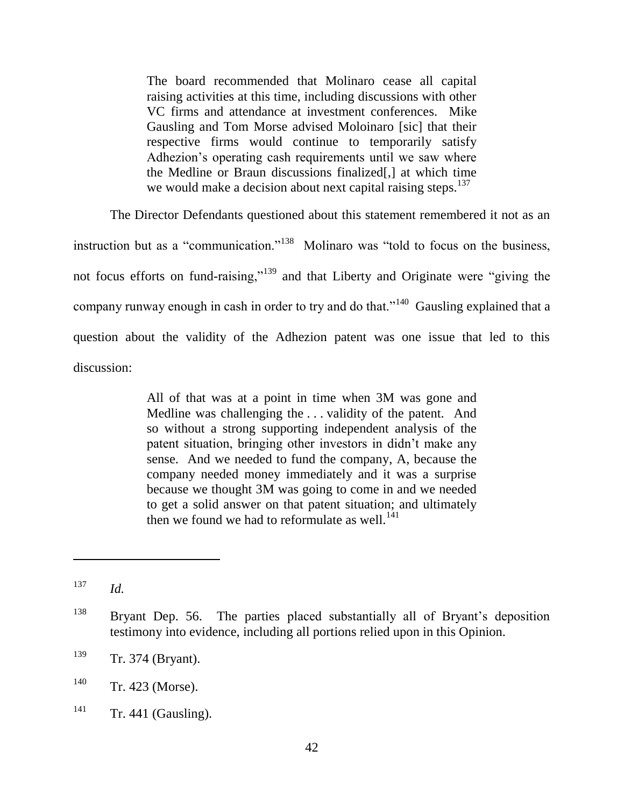The board recommended that Molinaro cease all capital raising activities at this time, including discussions with other VC firms and attendance at investment conferences. Mike Gausling and Tom Morse advised Moloinaro [sic] that their respective firms would continue to temporarily satisfy Adhezion's operating cash requirements until we saw where the Medline or Braun discussions finalized[,] at which time we would make a decision about next capital raising steps.<sup>137</sup>

The Director Defendants questioned about this statement remembered it not as an instruction but as a "communication."<sup>138</sup> Molinaro was "told to focus on the business, not focus efforts on fund-raising,"<sup>139</sup> and that Liberty and Originate were "giving the company runway enough in cash in order to try and do that."<sup>140</sup> Gausling explained that a question about the validity of the Adhezion patent was one issue that led to this discussion:

> All of that was at a point in time when 3M was gone and Medline was challenging the . . . validity of the patent. And so without a strong supporting independent analysis of the patent situation, bringing other investors in didn't make any sense. And we needed to fund the company, A, because the company needed money immediately and it was a surprise because we thought 3M was going to come in and we needed to get a solid answer on that patent situation; and ultimately then we found we had to reformulate as well. $^{141}$

<sup>137</sup> *Id.*

<sup>&</sup>lt;sup>138</sup> Bryant Dep. 56. The parties placed substantially all of Bryant's deposition testimony into evidence, including all portions relied upon in this Opinion.

<sup>139</sup> Tr. 374 (Bryant).

 $140$  Tr. 423 (Morse).

 $141$  Tr. 441 (Gausling).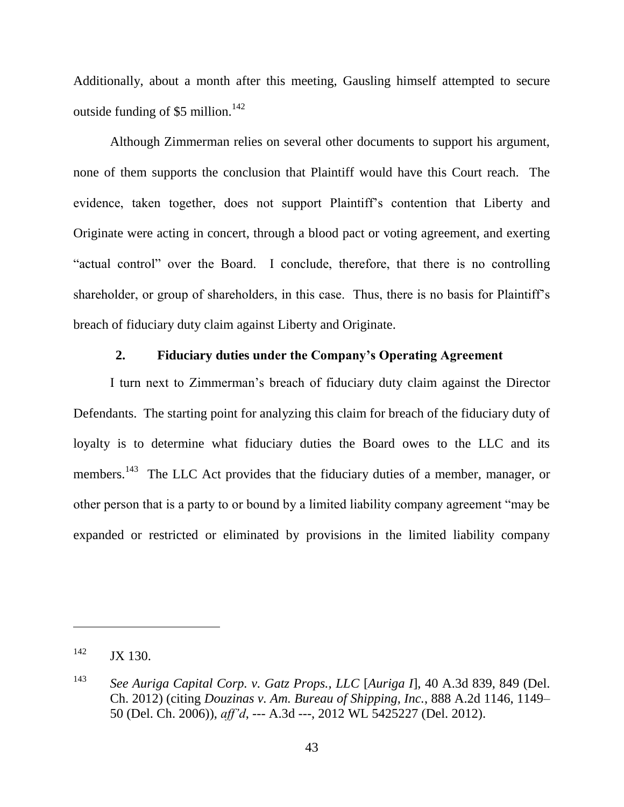Additionally, about a month after this meeting, Gausling himself attempted to secure outside funding of \$5 million. $142$ 

Although Zimmerman relies on several other documents to support his argument, none of them supports the conclusion that Plaintiff would have this Court reach. The evidence, taken together, does not support Plaintiff's contention that Liberty and Originate were acting in concert, through a blood pact or voting agreement, and exerting "actual control" over the Board. I conclude, therefore, that there is no controlling shareholder, or group of shareholders, in this case. Thus, there is no basis for Plaintiff's breach of fiduciary duty claim against Liberty and Originate.

# **2. Fiduciary duties under the Company's Operating Agreement**

I turn next to Zimmerman's breach of fiduciary duty claim against the Director Defendants. The starting point for analyzing this claim for breach of the fiduciary duty of loyalty is to determine what fiduciary duties the Board owes to the LLC and its members.<sup>143</sup> The LLC Act provides that the fiduciary duties of a member, manager, or other person that is a party to or bound by a limited liability company agreement "may be expanded or restricted or eliminated by provisions in the limited liability company

 $142$  JX 130.

<sup>143</sup> *See Auriga Capital Corp. v. Gatz Props., LLC* [*Auriga I*], 40 A.3d 839, 849 (Del. Ch. 2012) (citing *Douzinas v. Am. Bureau of Shipping, Inc.*, 888 A.2d 1146, 1149– 50 (Del. Ch. 2006)), *aff'd*, --- A.3d ---, 2012 WL 5425227 (Del. 2012).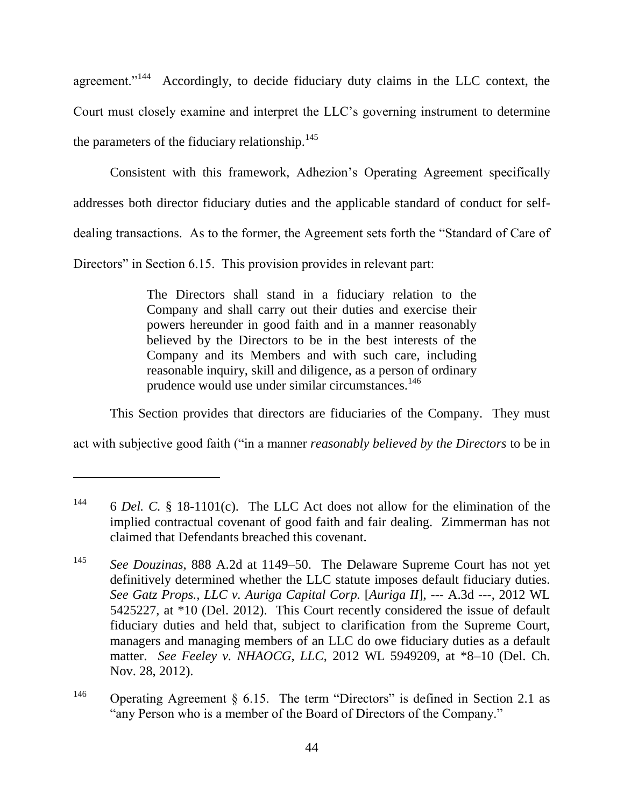agreement."<sup>144</sup> Accordingly, to decide fiduciary duty claims in the LLC context, the Court must closely examine and interpret the LLC's governing instrument to determine the parameters of the fiduciary relationship. $145$ 

Consistent with this framework, Adhezion's Operating Agreement specifically addresses both director fiduciary duties and the applicable standard of conduct for selfdealing transactions. As to the former, the Agreement sets forth the "Standard of Care of Directors" in Section 6.15. This provision provides in relevant part:

> The Directors shall stand in a fiduciary relation to the Company and shall carry out their duties and exercise their powers hereunder in good faith and in a manner reasonably believed by the Directors to be in the best interests of the Company and its Members and with such care, including reasonable inquiry, skill and diligence, as a person of ordinary prudence would use under similar circumstances.<sup>146</sup>

This Section provides that directors are fiduciaries of the Company. They must

act with subjective good faith ("in a manner *reasonably believed by the Directors* to be in

<sup>144</sup> 6 *Del. C.* § 18-1101(c). The LLC Act does not allow for the elimination of the implied contractual covenant of good faith and fair dealing. Zimmerman has not claimed that Defendants breached this covenant.

<sup>145</sup> *See Douzinas*, 888 A.2d at 1149–50. The Delaware Supreme Court has not yet definitively determined whether the LLC statute imposes default fiduciary duties. *See Gatz Props., LLC v. Auriga Capital Corp.* [*Auriga II*], --- A.3d ---, 2012 WL 5425227, at \*10 (Del. 2012). This Court recently considered the issue of default fiduciary duties and held that, subject to clarification from the Supreme Court, managers and managing members of an LLC do owe fiduciary duties as a default matter. *See Feeley v. NHAOCG, LLC*, 2012 WL 5949209, at \*8–10 (Del. Ch. Nov. 28, 2012).

<sup>&</sup>lt;sup>146</sup> Operating Agreement § 6.15. The term "Directors" is defined in Section 2.1 as "any Person who is a member of the Board of Directors of the Company."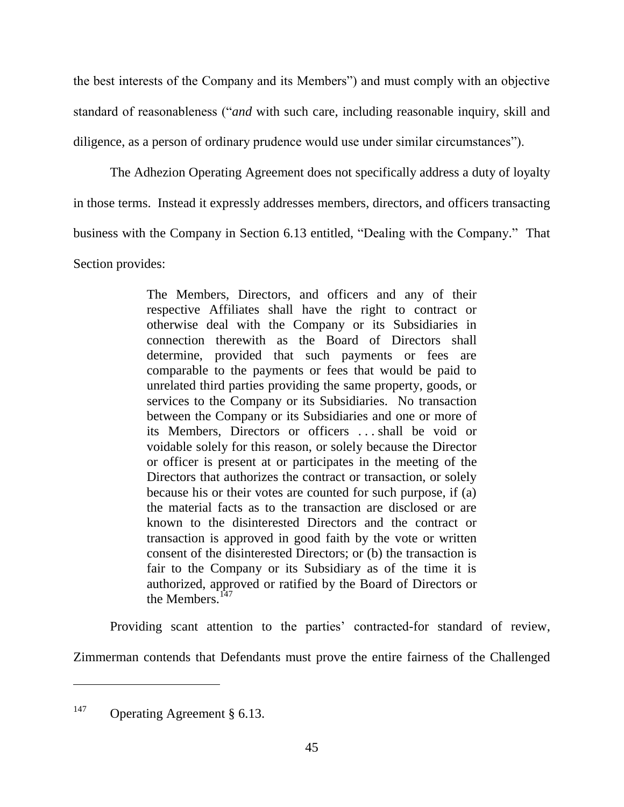the best interests of the Company and its Members") and must comply with an objective standard of reasonableness ("*and* with such care, including reasonable inquiry, skill and diligence, as a person of ordinary prudence would use under similar circumstances").

The Adhezion Operating Agreement does not specifically address a duty of loyalty in those terms. Instead it expressly addresses members, directors, and officers transacting business with the Company in Section 6.13 entitled, "Dealing with the Company." That Section provides:

> The Members, Directors, and officers and any of their respective Affiliates shall have the right to contract or otherwise deal with the Company or its Subsidiaries in connection therewith as the Board of Directors shall determine, provided that such payments or fees are comparable to the payments or fees that would be paid to unrelated third parties providing the same property, goods, or services to the Company or its Subsidiaries. No transaction between the Company or its Subsidiaries and one or more of its Members, Directors or officers . . . shall be void or voidable solely for this reason, or solely because the Director or officer is present at or participates in the meeting of the Directors that authorizes the contract or transaction, or solely because his or their votes are counted for such purpose, if (a) the material facts as to the transaction are disclosed or are known to the disinterested Directors and the contract or transaction is approved in good faith by the vote or written consent of the disinterested Directors; or (b) the transaction is fair to the Company or its Subsidiary as of the time it is authorized, approved or ratified by the Board of Directors or the Members.<sup>147</sup>

Providing scant attention to the parties' contracted-for standard of review,

Zimmerman contends that Defendants must prove the entire fairness of the Challenged

<sup>147</sup> Operating Agreement § 6.13.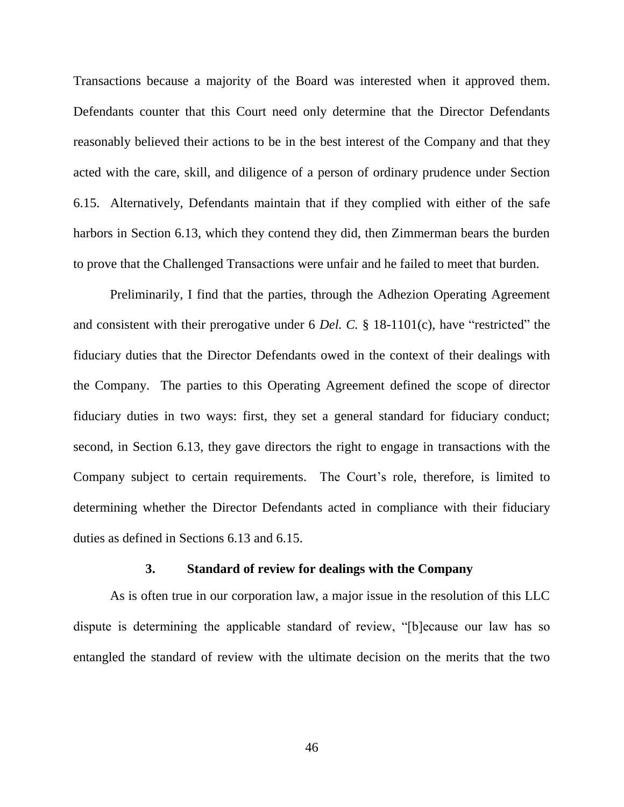Transactions because a majority of the Board was interested when it approved them. Defendants counter that this Court need only determine that the Director Defendants reasonably believed their actions to be in the best interest of the Company and that they acted with the care, skill, and diligence of a person of ordinary prudence under Section 6.15. Alternatively, Defendants maintain that if they complied with either of the safe harbors in Section 6.13, which they contend they did, then Zimmerman bears the burden to prove that the Challenged Transactions were unfair and he failed to meet that burden.

Preliminarily, I find that the parties, through the Adhezion Operating Agreement and consistent with their prerogative under  $6$  *Del. C.*  $\S$  18-1101(c), have "restricted" the fiduciary duties that the Director Defendants owed in the context of their dealings with the Company. The parties to this Operating Agreement defined the scope of director fiduciary duties in two ways: first, they set a general standard for fiduciary conduct; second, in Section 6.13, they gave directors the right to engage in transactions with the Company subject to certain requirements. The Court's role, therefore, is limited to determining whether the Director Defendants acted in compliance with their fiduciary duties as defined in Sections 6.13 and 6.15.

#### **3. Standard of review for dealings with the Company**

As is often true in our corporation law, a major issue in the resolution of this LLC dispute is determining the applicable standard of review, "[b] ecause our law has so entangled the standard of review with the ultimate decision on the merits that the two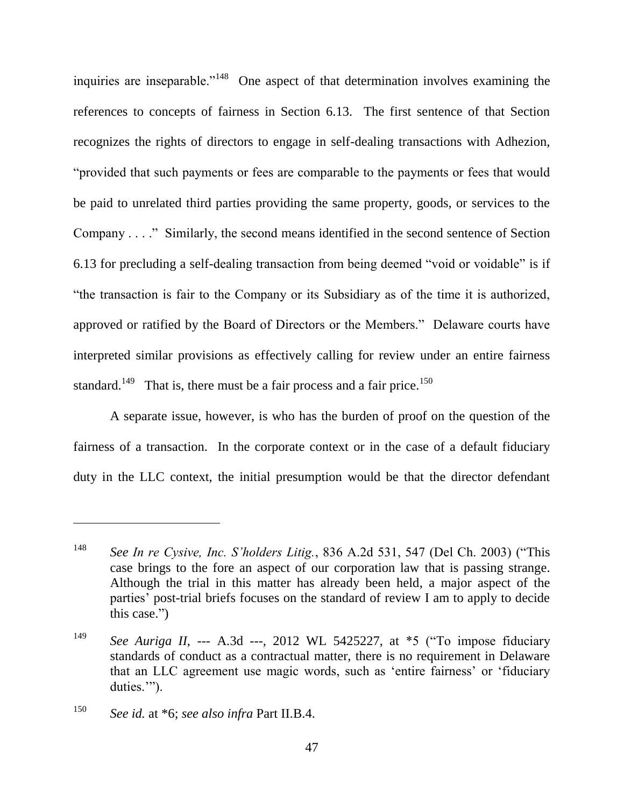inquiries are inseparable."<sup>148</sup> One aspect of that determination involves examining the references to concepts of fairness in Section 6.13. The first sentence of that Section recognizes the rights of directors to engage in self-dealing transactions with Adhezion, "provided that such payments or fees are comparable to the payments or fees that would be paid to unrelated third parties providing the same property, goods, or services to the Company . . . . "Similarly, the second means identified in the second sentence of Section 6.13 for precluding a self-dealing transaction from being deemed "void or voidable" is if "the transaction is fair to the Company or its Subsidiary as of the time it is authorized, approved or ratified by the Board of Directors or the Members." Delaware courts have interpreted similar provisions as effectively calling for review under an entire fairness standard.<sup>149</sup> That is, there must be a fair process and a fair price.<sup>150</sup>

A separate issue, however, is who has the burden of proof on the question of the fairness of a transaction. In the corporate context or in the case of a default fiduciary duty in the LLC context, the initial presumption would be that the director defendant

<sup>&</sup>lt;sup>148</sup> *See In re Cysive, Inc. S'holders Litig.*, 836 A.2d 531, 547 (Del Ch. 2003) ("This case brings to the fore an aspect of our corporation law that is passing strange. Although the trial in this matter has already been held, a major aspect of the parties' post-trial briefs focuses on the standard of review I am to apply to decide this case.")

<sup>&</sup>lt;sup>149</sup> *See Auriga II*, --- A.3d ---, 2012 WL 5425227, at  $*5$  ("To impose fiduciary standards of conduct as a contractual matter, there is no requirement in Delaware that an LLC agreement use magic words, such as 'entire fairness' or 'fiduciary duties."").

<sup>150</sup> *See id.* at \*6; *see also infra* Part [II.B.4.](#page-56-0)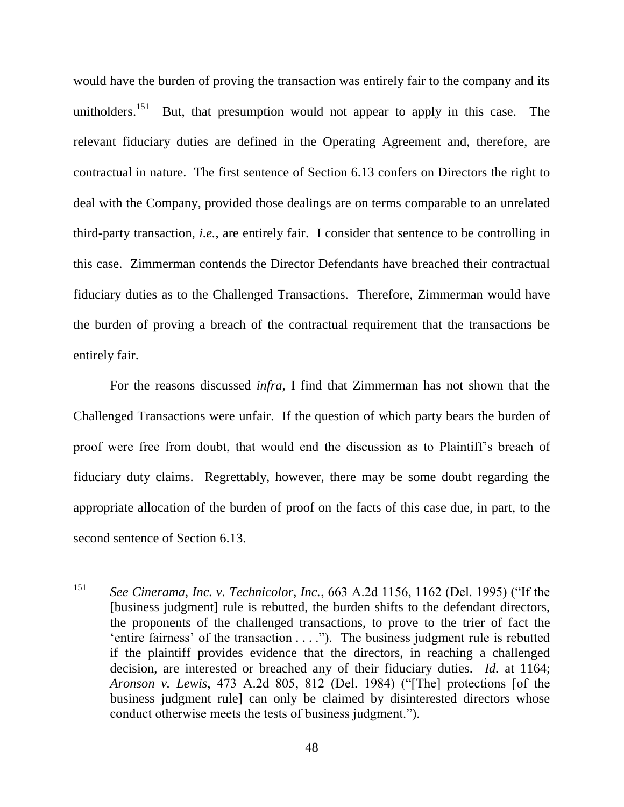would have the burden of proving the transaction was entirely fair to the company and its unitholders.<sup>151</sup> But, that presumption would not appear to apply in this case. The relevant fiduciary duties are defined in the Operating Agreement and, therefore, are contractual in nature. The first sentence of Section 6.13 confers on Directors the right to deal with the Company, provided those dealings are on terms comparable to an unrelated third-party transaction, *i.e.*, are entirely fair. I consider that sentence to be controlling in this case. Zimmerman contends the Director Defendants have breached their contractual fiduciary duties as to the Challenged Transactions. Therefore, Zimmerman would have the burden of proving a breach of the contractual requirement that the transactions be entirely fair.

For the reasons discussed *infra*, I find that Zimmerman has not shown that the Challenged Transactions were unfair. If the question of which party bears the burden of proof were free from doubt, that would end the discussion as to Plaintiff's breach of fiduciary duty claims. Regrettably, however, there may be some doubt regarding the appropriate allocation of the burden of proof on the facts of this case due, in part, to the second sentence of Section 6.13.

<sup>&</sup>lt;sup>151</sup> *See Cinerama, Inc. v. Technicolor, Inc.,* 663 A.2d 1156, 1162 (Del. 1995) ("If the [business judgment] rule is rebutted, the burden shifts to the defendant directors, the proponents of the challenged transactions, to prove to the trier of fact the 'entire fairness' of the transaction  $\dots$ ."). The business judgment rule is rebutted if the plaintiff provides evidence that the directors, in reaching a challenged decision, are interested or breached any of their fiduciary duties. *Id.* at 1164; *Aronson v. Lewis*, 473 A.2d 805, 812 (Del. 1984) ("[The] protections [of the business judgment rule] can only be claimed by disinterested directors whose conduct otherwise meets the tests of business judgment.").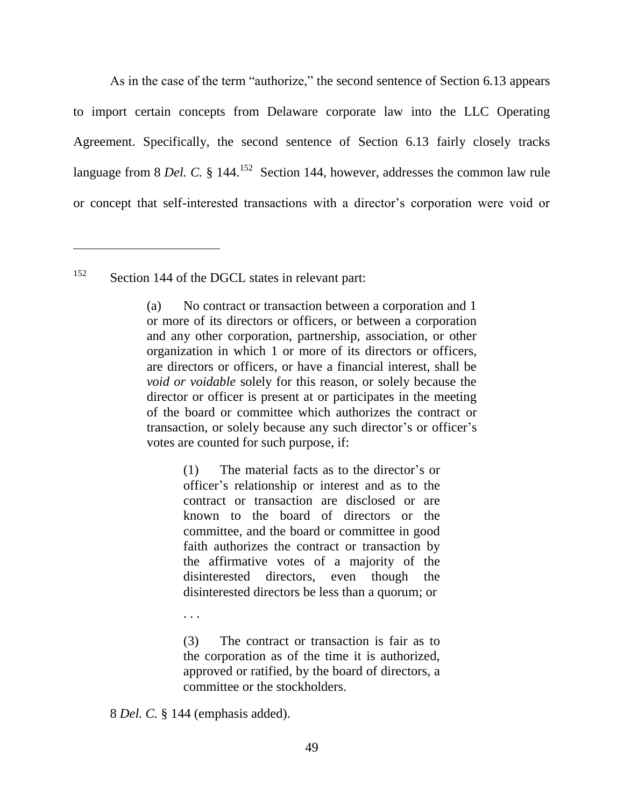As in the case of the term "authorize," the second sentence of Section 6.13 appears to import certain concepts from Delaware corporate law into the LLC Operating Agreement. Specifically, the second sentence of Section 6.13 fairly closely tracks language from 8 *Del. C*. § 144.<sup>152</sup> Section 144, however, addresses the common law rule or concept that self-interested transactions with a director's corporation were void or

 $\overline{a}$ 

(a) No contract or transaction between a corporation and 1 or more of its directors or officers, or between a corporation and any other corporation, partnership, association, or other organization in which 1 or more of its directors or officers, are directors or officers, or have a financial interest, shall be *void or voidable* solely for this reason, or solely because the director or officer is present at or participates in the meeting of the board or committee which authorizes the contract or transaction, or solely because any such director's or officer's votes are counted for such purpose, if:

> (1) The material facts as to the director's or officer's relationship or interest and as to the contract or transaction are disclosed or are known to the board of directors or the committee, and the board or committee in good faith authorizes the contract or transaction by the affirmative votes of a majority of the disinterested directors, even though the disinterested directors be less than a quorum; or

(3) The contract or transaction is fair as to the corporation as of the time it is authorized, approved or ratified, by the board of directors, a committee or the stockholders.

8 *Del. C.* § 144 (emphasis added).

<sup>&</sup>lt;sup>152</sup> Section 144 of the DGCL states in relevant part:

<sup>. . .</sup>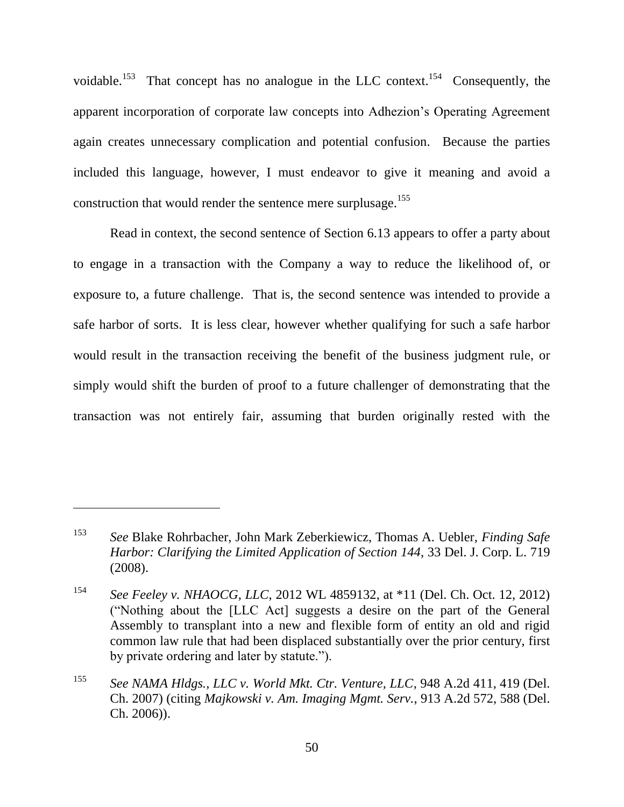<span id="page-50-0"></span>voidable.<sup>153</sup> That concept has no analogue in the LLC context.<sup>154</sup> Consequently, the apparent incorporation of corporate law concepts into Adhezion's Operating Agreement again creates unnecessary complication and potential confusion. Because the parties included this language, however, I must endeavor to give it meaning and avoid a construction that would render the sentence mere surplusage.<sup>155</sup>

Read in context, the second sentence of Section 6.13 appears to offer a party about to engage in a transaction with the Company a way to reduce the likelihood of, or exposure to, a future challenge. That is, the second sentence was intended to provide a safe harbor of sorts. It is less clear, however whether qualifying for such a safe harbor would result in the transaction receiving the benefit of the business judgment rule, or simply would shift the burden of proof to a future challenger of demonstrating that the transaction was not entirely fair, assuming that burden originally rested with the

<sup>153</sup> *See* Blake Rohrbacher, John Mark Zeberkiewicz, Thomas A. Uebler, *Finding Safe Harbor: Clarifying the Limited Application of Section 144*, 33 Del. J. Corp. L. 719 (2008).

<sup>154</sup> *See Feeley v. NHAOCG, LLC*, 2012 WL 4859132, at \*11 (Del. Ch. Oct. 12, 2012) (―Nothing about the [LLC Act] suggests a desire on the part of the General Assembly to transplant into a new and flexible form of entity an old and rigid common law rule that had been displaced substantially over the prior century, first by private ordering and later by statute.").

<sup>155</sup> *See NAMA Hldgs., LLC v. World Mkt. Ctr. Venture, LLC*, 948 A.2d 411, 419 (Del. Ch. 2007) (citing *Majkowski v. Am. Imaging Mgmt. Serv.*, 913 A.2d 572, 588 (Del. Ch. 2006)).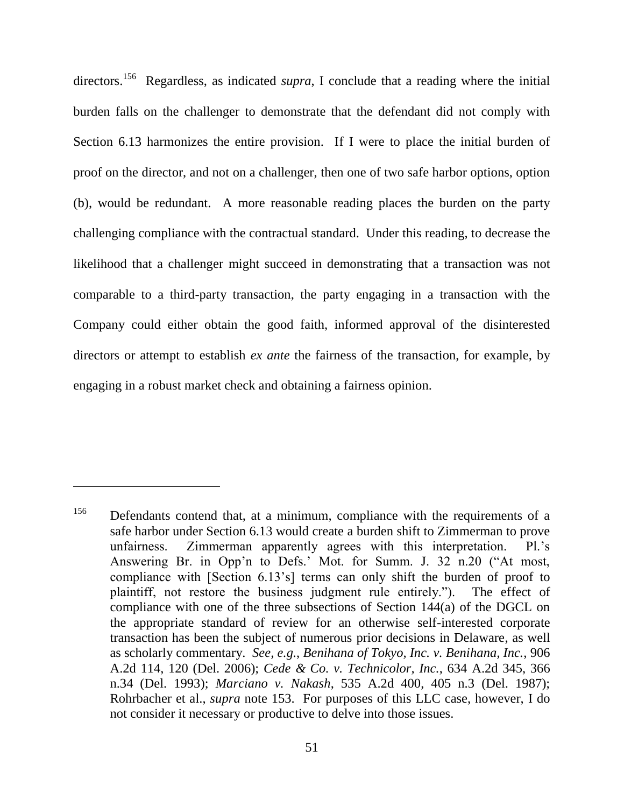directors.<sup>156</sup> Regardless, as indicated *supra*, I conclude that a reading where the initial burden falls on the challenger to demonstrate that the defendant did not comply with Section 6.13 harmonizes the entire provision. If I were to place the initial burden of proof on the director, and not on a challenger, then one of two safe harbor options, option (b), would be redundant. A more reasonable reading places the burden on the party challenging compliance with the contractual standard. Under this reading, to decrease the likelihood that a challenger might succeed in demonstrating that a transaction was not comparable to a third-party transaction, the party engaging in a transaction with the Company could either obtain the good faith, informed approval of the disinterested directors or attempt to establish *ex ante* the fairness of the transaction, for example, by engaging in a robust market check and obtaining a fairness opinion.

<sup>&</sup>lt;sup>156</sup> Defendants contend that, at a minimum, compliance with the requirements of a safe harbor under Section 6.13 would create a burden shift to Zimmerman to prove unfairness. Zimmerman apparently agrees with this interpretation. Pl.'s Answering Br. in Opp'n to Defs.' Mot. for Summ. J. 32 n.20 ("At most, compliance with [Section 6.13's] terms can only shift the burden of proof to plaintiff, not restore the business judgment rule entirely."). The effect of compliance with one of the three subsections of Section 144(a) of the DGCL on the appropriate standard of review for an otherwise self-interested corporate transaction has been the subject of numerous prior decisions in Delaware, as well as scholarly commentary. *See, e.g.*, *Benihana of Tokyo, Inc. v. Benihana, Inc.*, 906 A.2d 114, 120 (Del. 2006); *Cede & Co. v. Technicolor, Inc.*, 634 A.2d 345, 366 n.34 (Del. 1993); *Marciano v. Nakash*, 535 A.2d 400, 405 n.3 (Del. 1987); Rohrbacher et al., *supra* note [153.](#page-50-0) For purposes of this LLC case, however, I do not consider it necessary or productive to delve into those issues.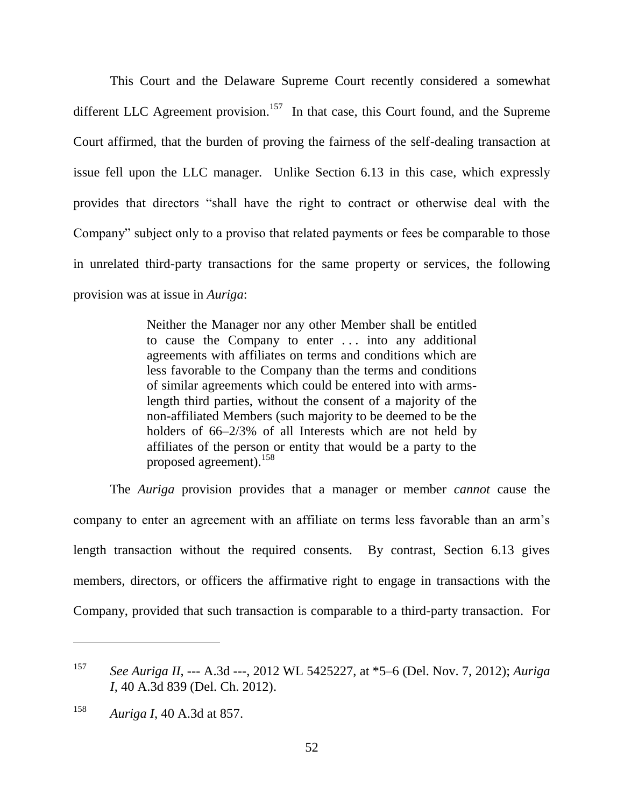This Court and the Delaware Supreme Court recently considered a somewhat different LLC Agreement provision.<sup>157</sup> In that case, this Court found, and the Supreme Court affirmed, that the burden of proving the fairness of the self-dealing transaction at issue fell upon the LLC manager. Unlike Section 6.13 in this case, which expressly provides that directors "shall have the right to contract or otherwise deal with the Company" subject only to a proviso that related payments or fees be comparable to those in unrelated third-party transactions for the same property or services, the following provision was at issue in *Auriga*:

> Neither the Manager nor any other Member shall be entitled to cause the Company to enter . . . into any additional agreements with affiliates on terms and conditions which are less favorable to the Company than the terms and conditions of similar agreements which could be entered into with armslength third parties, without the consent of a majority of the non-affiliated Members (such majority to be deemed to be the holders of 66–2/3% of all Interests which are not held by affiliates of the person or entity that would be a party to the proposed agreement).<sup>158</sup>

The *Auriga* provision provides that a manager or member *cannot* cause the company to enter an agreement with an affiliate on terms less favorable than an arm's length transaction without the required consents. By contrast, Section 6.13 gives members, directors, or officers the affirmative right to engage in transactions with the Company, provided that such transaction is comparable to a third-party transaction. For

<sup>157</sup> *See Auriga II*, --- A.3d ---, 2012 WL 5425227, at \*5–6 (Del. Nov. 7, 2012); *Auriga I*, 40 A.3d 839 (Del. Ch. 2012).

<sup>158</sup> *Auriga I*, 40 A.3d at 857.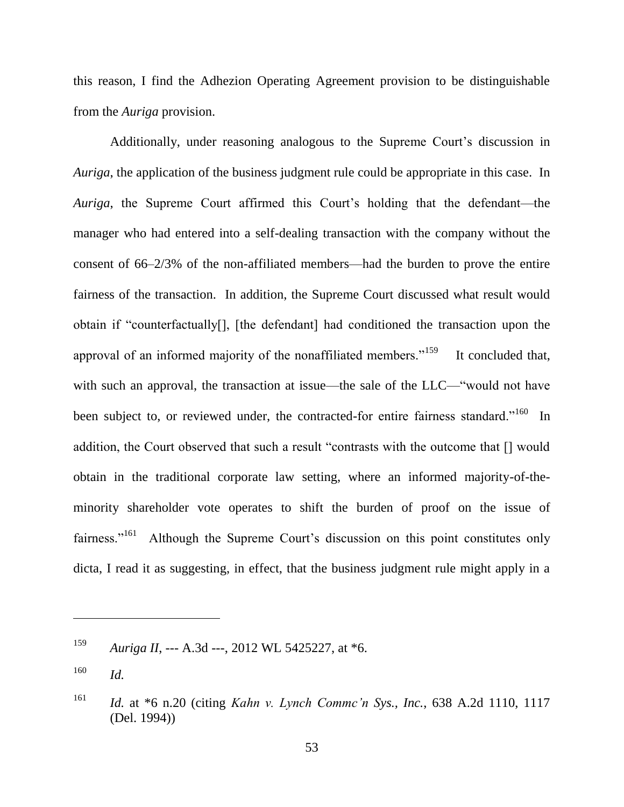this reason, I find the Adhezion Operating Agreement provision to be distinguishable from the *Auriga* provision.

Additionally, under reasoning analogous to the Supreme Court's discussion in *Auriga*, the application of the business judgment rule could be appropriate in this case. In *Auriga*, the Supreme Court affirmed this Court's holding that the defendant—the manager who had entered into a self-dealing transaction with the company without the consent of 66–2/3% of the non-affiliated members—had the burden to prove the entire fairness of the transaction. In addition, the Supreme Court discussed what result would obtain if "counterfactually<sup>[]</sup>, [the defendant] had conditioned the transaction upon the approval of an informed majority of the nonaffiliated members."<sup>159</sup> It concluded that, with such an approval, the transaction at issue—the sale of the LLC—"would not have been subject to, or reviewed under, the contracted-for entire fairness standard."<sup>160</sup> In addition, the Court observed that such a result "contrasts with the outcome that  $\lceil \rceil$  would obtain in the traditional corporate law setting, where an informed majority-of-theminority shareholder vote operates to shift the burden of proof on the issue of fairness."<sup>161</sup> Although the Supreme Court's discussion on this point constitutes only dicta, I read it as suggesting, in effect, that the business judgment rule might apply in a

<sup>159</sup> *Auriga II*, --- A.3d ---, 2012 WL 5425227, at \*6.

<sup>160</sup> *Id.*

<sup>161</sup> *Id.* at \*6 n.20 (citing *Kahn v. Lynch Commc'n Sys., Inc.*, 638 A.2d 1110, 1117 (Del. 1994))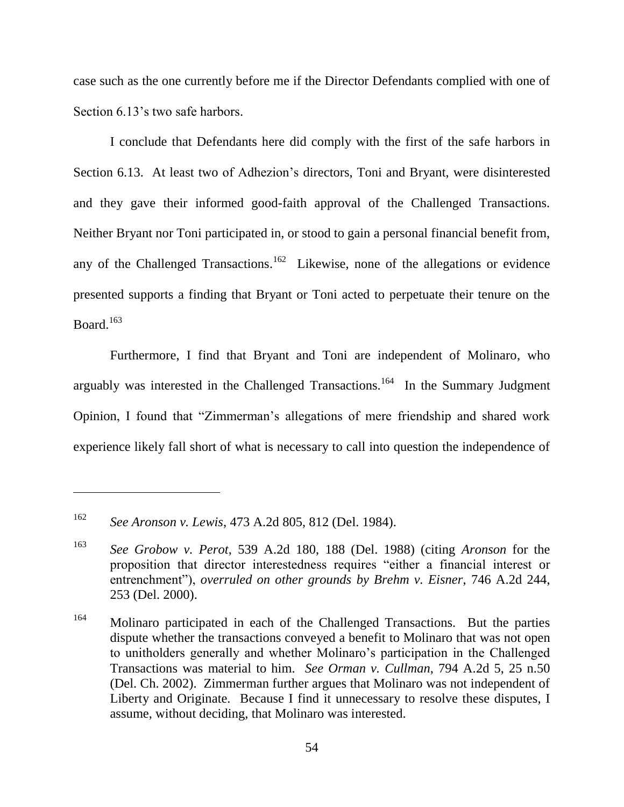case such as the one currently before me if the Director Defendants complied with one of Section 6.13's two safe harbors.

I conclude that Defendants here did comply with the first of the safe harbors in Section 6.13. At least two of Adhezion's directors, Toni and Bryant, were disinterested and they gave their informed good-faith approval of the Challenged Transactions. Neither Bryant nor Toni participated in, or stood to gain a personal financial benefit from, any of the Challenged Transactions.<sup>162</sup> Likewise, none of the allegations or evidence presented supports a finding that Bryant or Toni acted to perpetuate their tenure on the Board. $^{163}$ 

Furthermore, I find that Bryant and Toni are independent of Molinaro, who arguably was interested in the Challenged Transactions. 164 In the Summary Judgment Opinion, I found that "Zimmerman's allegations of mere friendship and shared work experience likely fall short of what is necessary to call into question the independence of

<sup>162</sup> *See Aronson v. Lewis*, 473 A.2d 805, 812 (Del. 1984).

<sup>164</sup> Molinaro participated in each of the Challenged Transactions. But the parties dispute whether the transactions conveyed a benefit to Molinaro that was not open to unitholders generally and whether Molinaro's participation in the Challenged Transactions was material to him. *See Orman v. Cullman*, 794 A.2d 5, 25 n.50 (Del. Ch. 2002). Zimmerman further argues that Molinaro was not independent of Liberty and Originate. Because I find it unnecessary to resolve these disputes, I assume, without deciding, that Molinaro was interested.

<sup>163</sup> *See Grobow v. Perot*, 539 A.2d 180, 188 (Del. 1988) (citing *Aronson* for the proposition that director interestedness requires "either a financial interest or entrenchment"), *overruled on other grounds by Brehm v. Eisner*, 746 A.2d 244, 253 (Del. 2000).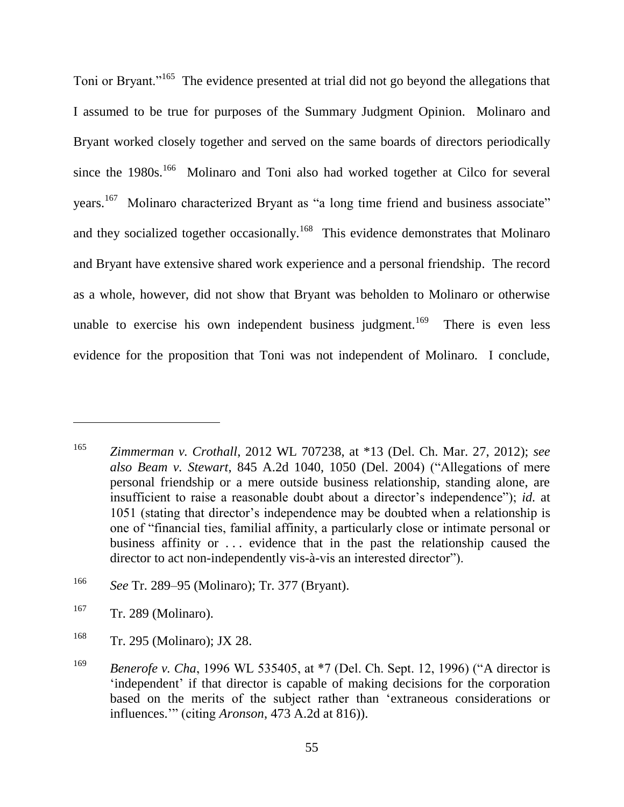Toni or Bryant."<sup>165</sup> The evidence presented at trial did not go beyond the allegations that I assumed to be true for purposes of the Summary Judgment Opinion. Molinaro and Bryant worked closely together and served on the same boards of directors periodically since the 1980s.<sup>166</sup> Molinaro and Toni also had worked together at Cilco for several years.<sup>167</sup> Molinaro characterized Bryant as "a long time friend and business associate" and they socialized together occasionally.<sup>168</sup> This evidence demonstrates that Molinaro and Bryant have extensive shared work experience and a personal friendship. The record as a whole, however, did not show that Bryant was beholden to Molinaro or otherwise unable to exercise his own independent business judgment.<sup>169</sup> There is even less evidence for the proposition that Toni was not independent of Molinaro. I conclude,

<sup>165</sup> *Zimmerman v. Crothall*, 2012 WL 707238, at \*13 (Del. Ch. Mar. 27, 2012); *see also Beam v. Stewart*, 845 A.2d 1040, 1050 (Del. 2004) ("Allegations of mere personal friendship or a mere outside business relationship, standing alone, are insufficient to raise a reasonable doubt about a director's independence"); *id.* at 1051 (stating that director's independence may be doubted when a relationship is one of "financial ties, familial affinity, a particularly close or intimate personal or business affinity or . . . evidence that in the past the relationship caused the director to act non-independently vis-à-vis an interested director").

<sup>166</sup> *See* Tr. 289–95 (Molinaro); Tr. 377 (Bryant).

<sup>167</sup> Tr. 289 (Molinaro).

<sup>168</sup> Tr. 295 (Molinaro); JX 28.

<sup>&</sup>lt;sup>169</sup> *Benerofe v. Cha*, 1996 WL 535405, at  $*7$  (Del. Ch. Sept. 12, 1996) ("A director is ‗independent' if that director is capable of making decisions for the corporation based on the merits of the subject rather than 'extraneous considerations or influences." (citing *Aronson*, 473 A.2d at 816)).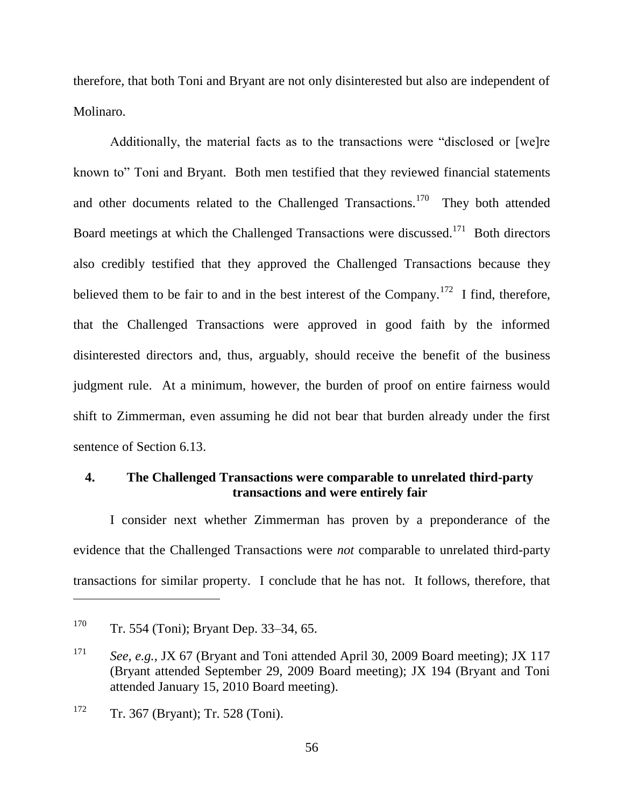therefore, that both Toni and Bryant are not only disinterested but also are independent of Molinaro.

Additionally, the material facts as to the transactions were "disclosed or [we]re known to" Toni and Bryant. Both men testified that they reviewed financial statements and other documents related to the Challenged Transactions.<sup>170</sup> They both attended Board meetings at which the Challenged Transactions were discussed.<sup>171</sup> Both directors also credibly testified that they approved the Challenged Transactions because they believed them to be fair to and in the best interest of the Company.<sup>172</sup> I find, therefore, that the Challenged Transactions were approved in good faith by the informed disinterested directors and, thus, arguably, should receive the benefit of the business judgment rule. At a minimum, however, the burden of proof on entire fairness would shift to Zimmerman, even assuming he did not bear that burden already under the first sentence of Section 6.13.

# <span id="page-56-0"></span>**4. The Challenged Transactions were comparable to unrelated third-party transactions and were entirely fair**

I consider next whether Zimmerman has proven by a preponderance of the evidence that the Challenged Transactions were *not* comparable to unrelated third-party transactions for similar property. I conclude that he has not. It follows, therefore, that

<sup>&</sup>lt;sup>170</sup> Tr. 554 (Toni); Bryant Dep. 33–34, 65.

<sup>171</sup> *See, e.g.*, JX 67 (Bryant and Toni attended April 30, 2009 Board meeting); JX 117 (Bryant attended September 29, 2009 Board meeting); JX 194 (Bryant and Toni attended January 15, 2010 Board meeting).

<sup>172</sup> Tr. 367 (Bryant); Tr. 528 (Toni).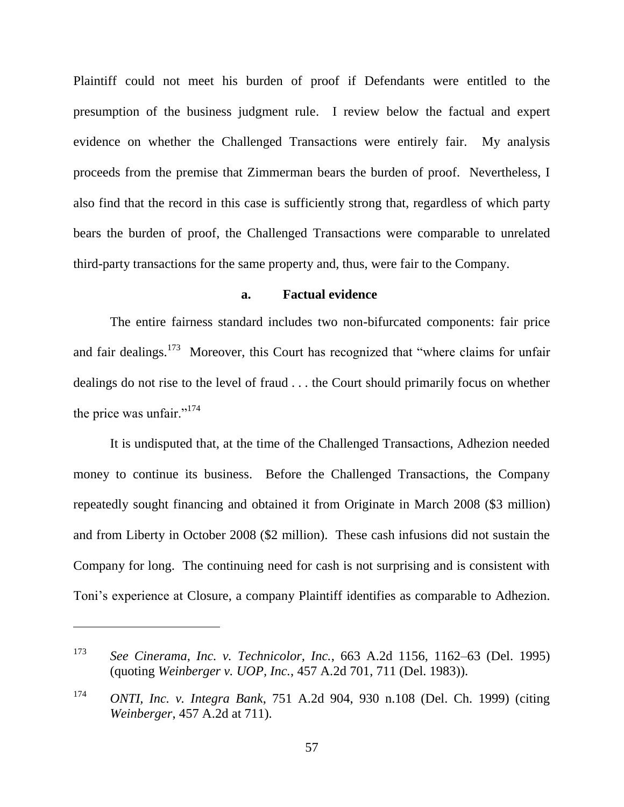Plaintiff could not meet his burden of proof if Defendants were entitled to the presumption of the business judgment rule. I review below the factual and expert evidence on whether the Challenged Transactions were entirely fair. My analysis proceeds from the premise that Zimmerman bears the burden of proof. Nevertheless, I also find that the record in this case is sufficiently strong that, regardless of which party bears the burden of proof, the Challenged Transactions were comparable to unrelated third-party transactions for the same property and, thus, were fair to the Company.

#### **a. Factual evidence**

The entire fairness standard includes two non-bifurcated components: fair price and fair dealings.<sup>173</sup> Moreover, this Court has recognized that "where claims for unfair dealings do not rise to the level of fraud . . . the Court should primarily focus on whether the price was unfair." $174$ 

It is undisputed that, at the time of the Challenged Transactions, Adhezion needed money to continue its business. Before the Challenged Transactions, the Company repeatedly sought financing and obtained it from Originate in March 2008 (\$3 million) and from Liberty in October 2008 (\$2 million). These cash infusions did not sustain the Company for long. The continuing need for cash is not surprising and is consistent with Toni's experience at Closure, a company Plaintiff identifies as comparable to Adhezion.

<sup>173</sup> *See Cinerama, Inc. v. Technicolor, Inc.*, 663 A.2d 1156, 1162–63 (Del. 1995) (quoting *Weinberger v. UOP, Inc.*, 457 A.2d 701, 711 (Del. 1983)).

<sup>174</sup> *ONTI, Inc. v. Integra Bank*, 751 A.2d 904, 930 n.108 (Del. Ch. 1999) (citing *Weinberger*, 457 A.2d at 711).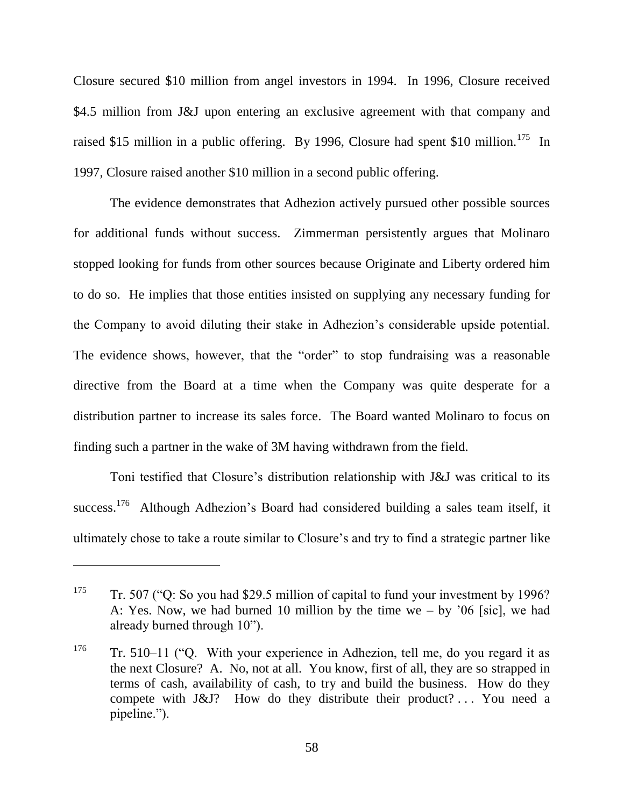Closure secured \$10 million from angel investors in 1994. In 1996, Closure received \$4.5 million from J&J upon entering an exclusive agreement with that company and raised \$15 million in a public offering. By 1996, Closure had spent \$10 million.<sup>175</sup> In 1997, Closure raised another \$10 million in a second public offering.

The evidence demonstrates that Adhezion actively pursued other possible sources for additional funds without success. Zimmerman persistently argues that Molinaro stopped looking for funds from other sources because Originate and Liberty ordered him to do so. He implies that those entities insisted on supplying any necessary funding for the Company to avoid diluting their stake in Adhezion's considerable upside potential. The evidence shows, however, that the "order" to stop fundraising was a reasonable directive from the Board at a time when the Company was quite desperate for a distribution partner to increase its sales force. The Board wanted Molinaro to focus on finding such a partner in the wake of 3M having withdrawn from the field.

Toni testified that Closure's distribution relationship with J&J was critical to its success.<sup>176</sup> Although Adhezion's Board had considered building a sales team itself, it ultimately chose to take a route similar to Closure's and try to find a strategic partner like

<sup>&</sup>lt;sup>175</sup> Tr. 507 ( $\degree$ O: So you had \$29.5 million of capital to fund your investment by 1996? A: Yes. Now, we had burned 10 million by the time we – by  $0/6$  [sic], we had already burned through 10").

 $176$  Tr. 510–11 ( $^{\circ}$ Q. With your experience in Adhezion, tell me, do you regard it as the next Closure? A. No, not at all. You know, first of all, they are so strapped in terms of cash, availability of cash, to try and build the business. How do they compete with J&J? How do they distribute their product? ... You need a pipeline.").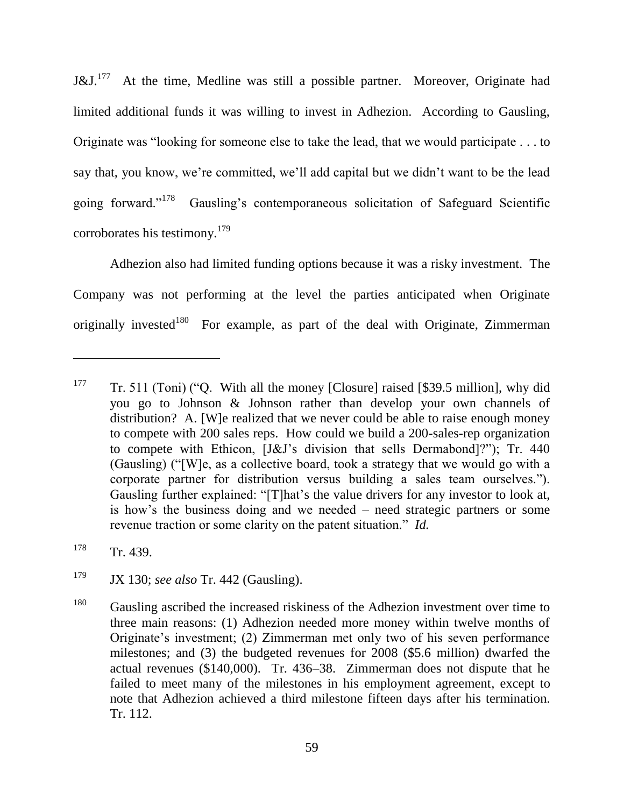$J&J.<sup>177</sup>$  At the time, Medline was still a possible partner. Moreover, Originate had limited additional funds it was willing to invest in Adhezion. According to Gausling, Originate was "looking for someone else to take the lead, that we would participate  $\dots$  to say that, you know, we're committed, we'll add capital but we didn't want to be the lead going forward." $178$  Gausling's contemporaneous solicitation of Safeguard Scientific corroborates his testimony.<sup>179</sup>

Adhezion also had limited funding options because it was a risky investment. The Company was not performing at the level the parties anticipated when Originate originally invested<sup>180</sup> For example, as part of the deal with Originate, Zimmerman

 $177$  Tr. 511 (Toni) ("Q. With all the money [Closure] raised [\$39.5 million], why did you go to Johnson & Johnson rather than develop your own channels of distribution? A. [W]e realized that we never could be able to raise enough money to compete with 200 sales reps. How could we build a 200-sales-rep organization to compete with Ethicon,  $[J&J's$  division that sells Dermabond]?"); Tr. 440 (Gausling) ( $\lq$ [W]e, as a collective board, took a strategy that we would go with a corporate partner for distribution versus building a sales team ourselves."). Gausling further explained: "[T]hat's the value drivers for any investor to look at, is how's the business doing and we needed – need strategic partners or some revenue traction or some clarity on the patent situation." *Id.* 

 $178$  Tr. 439.

<sup>179</sup> JX 130; *see also* Tr. 442 (Gausling).

<sup>&</sup>lt;sup>180</sup> Gausling ascribed the increased riskiness of the Adhezion investment over time to three main reasons: (1) Adhezion needed more money within twelve months of Originate's investment; (2) Zimmerman met only two of his seven performance milestones; and (3) the budgeted revenues for 2008 (\$5.6 million) dwarfed the actual revenues (\$140,000). Tr. 436–38. Zimmerman does not dispute that he failed to meet many of the milestones in his employment agreement, except to note that Adhezion achieved a third milestone fifteen days after his termination. Tr. 112.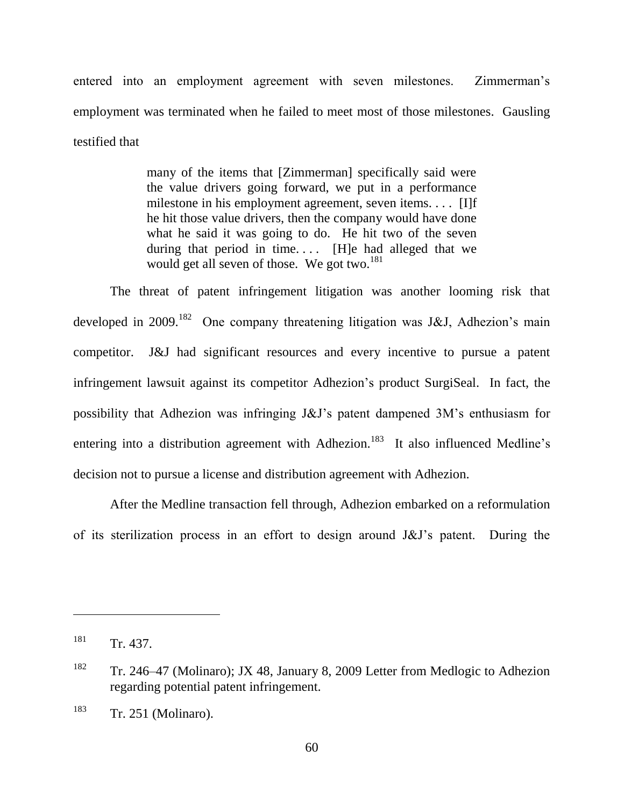entered into an employment agreement with seven milestones. Zimmerman's employment was terminated when he failed to meet most of those milestones. Gausling testified that

> many of the items that [Zimmerman] specifically said were the value drivers going forward, we put in a performance milestone in his employment agreement, seven items. . . . [I]f he hit those value drivers, then the company would have done what he said it was going to do. He hit two of the seven during that period in time.... [H]e had alleged that we would get all seven of those. We got two.<sup>181</sup>

The threat of patent infringement litigation was another looming risk that developed in 2009.<sup>182</sup> One company threatening litigation was J&J, Adhezion's main competitor. J&J had significant resources and every incentive to pursue a patent infringement lawsuit against its competitor Adhezion's product SurgiSeal. In fact, the possibility that Adhezion was infringing J&J's patent dampened 3M's enthusiasm for entering into a distribution agreement with Adhezion.<sup>183</sup> It also influenced Medline's decision not to pursue a license and distribution agreement with Adhezion.

After the Medline transaction fell through, Adhezion embarked on a reformulation of its sterilization process in an effort to design around J&J's patent. During the

 $181$  Tr. 437.

<sup>182</sup> Tr. 246–47 (Molinaro); JX 48, January 8, 2009 Letter from Medlogic to Adhezion regarding potential patent infringement.

<sup>183</sup> Tr. 251 (Molinaro).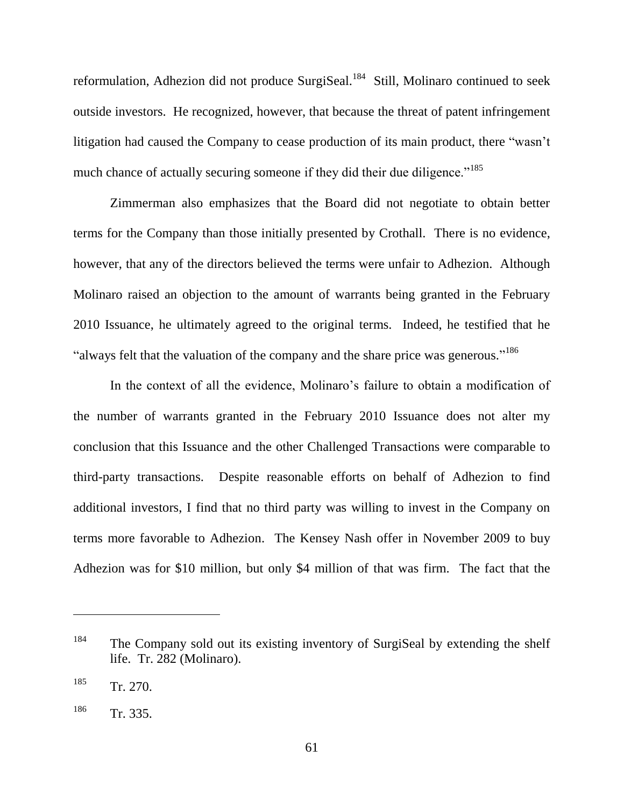reformulation, Adhezion did not produce SurgiSeal.<sup>184</sup> Still, Molinaro continued to seek outside investors. He recognized, however, that because the threat of patent infringement litigation had caused the Company to cease production of its main product, there "wasn't much chance of actually securing someone if they did their due diligence."<sup>185</sup>

Zimmerman also emphasizes that the Board did not negotiate to obtain better terms for the Company than those initially presented by Crothall. There is no evidence, however, that any of the directors believed the terms were unfair to Adhezion. Although Molinaro raised an objection to the amount of warrants being granted in the February 2010 Issuance, he ultimately agreed to the original terms. Indeed, he testified that he "always felt that the valuation of the company and the share price was generous."<sup>186</sup>

In the context of all the evidence, Molinaro's failure to obtain a modification of the number of warrants granted in the February 2010 Issuance does not alter my conclusion that this Issuance and the other Challenged Transactions were comparable to third-party transactions. Despite reasonable efforts on behalf of Adhezion to find additional investors, I find that no third party was willing to invest in the Company on terms more favorable to Adhezion. The Kensey Nash offer in November 2009 to buy Adhezion was for \$10 million, but only \$4 million of that was firm. The fact that the

<sup>&</sup>lt;sup>184</sup> The Company sold out its existing inventory of SurgiSeal by extending the shelf life. Tr. 282 (Molinaro).

 $185$  Tr. 270.

<sup>186</sup> Tr. 335.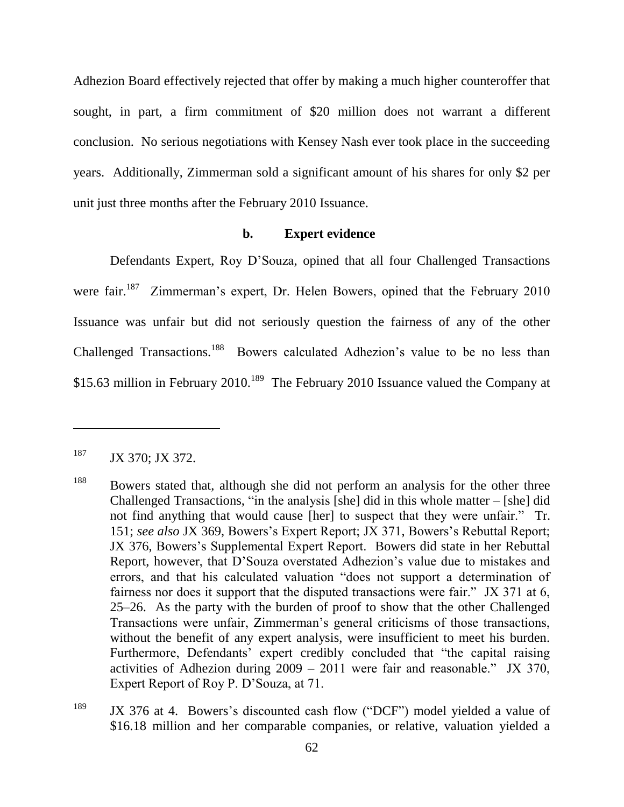Adhezion Board effectively rejected that offer by making a much higher counteroffer that sought, in part, a firm commitment of \$20 million does not warrant a different conclusion. No serious negotiations with Kensey Nash ever took place in the succeeding years. Additionally, Zimmerman sold a significant amount of his shares for only \$2 per unit just three months after the February 2010 Issuance.

# **b. Expert evidence**

Defendants Expert, Roy D'Souza, opined that all four Challenged Transactions were fair.<sup>187</sup> Zimmerman's expert, Dr. Helen Bowers, opined that the February 2010 Issuance was unfair but did not seriously question the fairness of any of the other Challenged Transactions.<sup>188</sup> Bowers calculated Adhezion's value to be no less than \$15.63 million in February  $2010$ .<sup>189</sup> The February 2010 Issuance valued the Company at

<sup>&</sup>lt;sup>187</sup> JX 370; JX 372.

<sup>&</sup>lt;sup>188</sup> Bowers stated that, although she did not perform an analysis for the other three Challenged Transactions, "in the analysis [she] did in this whole matter  $-$  [she] did not find anything that would cause [her] to suspect that they were unfair." Tr. 151; *see also* JX 369, Bowers's Expert Report; JX 371, Bowers's Rebuttal Report; JX 376, Bowers's Supplemental Expert Report. Bowers did state in her Rebuttal Report, however, that D'Souza overstated Adhezion's value due to mistakes and errors, and that his calculated valuation "does not support a determination of fairness nor does it support that the disputed transactions were fair." JX 371 at 6, 25–26. As the party with the burden of proof to show that the other Challenged Transactions were unfair, Zimmerman's general criticisms of those transactions, without the benefit of any expert analysis, were insufficient to meet his burden. Furthermore, Defendants' expert credibly concluded that "the capital raising activities of Adhezion during  $2009 - 2011$  were fair and reasonable." JX 370, Expert Report of Roy P. D'Souza, at 71.

 $189$  JX 376 at 4. Bowers's discounted cash flow ("DCF") model yielded a value of \$16.18 million and her comparable companies, or relative, valuation yielded a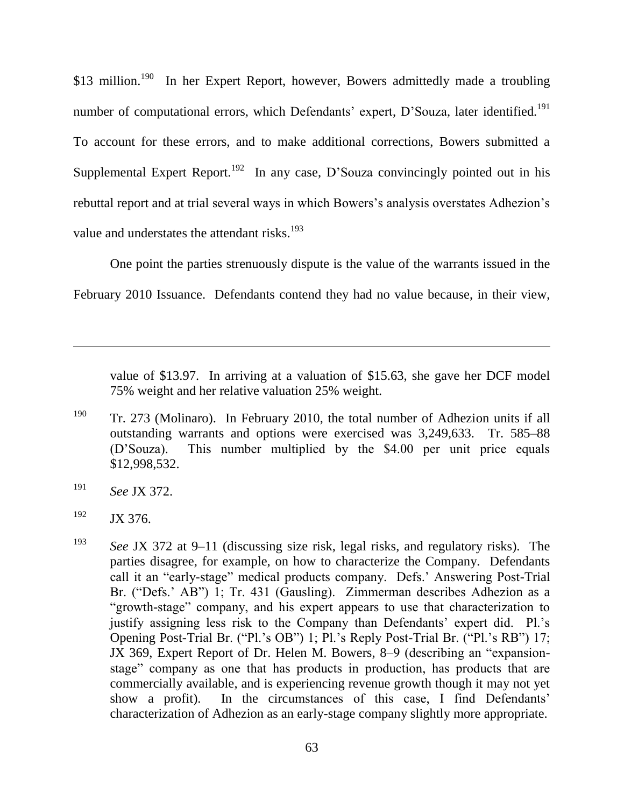\$13 million.<sup>190</sup> In her Expert Report, however, Bowers admittedly made a troubling number of computational errors, which Defendants' expert, D'Souza, later identified.<sup>191</sup> To account for these errors, and to make additional corrections, Bowers submitted a Supplemental Expert Report.<sup>192</sup> In any case, D'Souza convincingly pointed out in his rebuttal report and at trial several ways in which Bowers's analysis overstates Adhezion's value and understates the attendant risks.<sup>193</sup>

One point the parties strenuously dispute is the value of the warrants issued in the February 2010 Issuance. Defendants contend they had no value because, in their view,

value of \$13.97. In arriving at a valuation of \$15.63, she gave her DCF model 75% weight and her relative valuation 25% weight.

- <sup>190</sup> Tr. 273 (Molinaro). In February 2010, the total number of Adhezion units if all outstanding warrants and options were exercised was 3,249,633. Tr. 585–88 (D'Souza). This number multiplied by the \$4.00 per unit price equals \$12,998,532.
- <sup>191</sup> *See* JX 372.
- $192$  JX 376.

<sup>193</sup> *See* JX 372 at 9–11 (discussing size risk, legal risks, and regulatory risks). The parties disagree, for example, on how to characterize the Company. Defendants call it an "early-stage" medical products company. Defs.' Answering Post-Trial Br. ("Defs.' AB") 1; Tr. 431 (Gausling). Zimmerman describes Adhezion as a "growth-stage" company, and his expert appears to use that characterization to justify assigning less risk to the Company than Defendants' expert did. Pl.'s Opening Post-Trial Br. ("Pl.'s OB") 1; Pl.'s Reply Post-Trial Br. ("Pl.'s RB") 17; JX 369, Expert Report of Dr. Helen M. Bowers, 8–9 (describing an "expansionstage" company as one that has products in production, has products that are commercially available, and is experiencing revenue growth though it may not yet show a profit). In the circumstances of this case, I find Defendants' characterization of Adhezion as an early-stage company slightly more appropriate.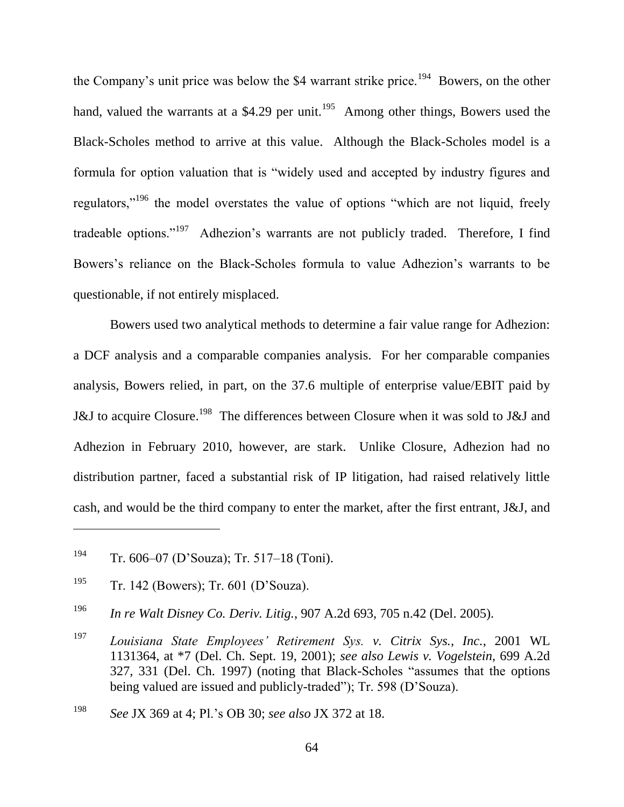the Company's unit price was below the \$4 warrant strike price.<sup>194</sup> Bowers, on the other hand, valued the warrants at a \$4.29 per unit.<sup>195</sup> Among other things, Bowers used the Black-Scholes method to arrive at this value. Although the Black-Scholes model is a formula for option valuation that is "widely used and accepted by industry figures and regulators,"<sup>196</sup> the model overstates the value of options "which are not liquid, freely tradeable options."<sup>197</sup> Adhezion's warrants are not publicly traded. Therefore, I find Bowers's reliance on the Black-Scholes formula to value Adhezion's warrants to be questionable, if not entirely misplaced.

Bowers used two analytical methods to determine a fair value range for Adhezion: a DCF analysis and a comparable companies analysis. For her comparable companies analysis, Bowers relied, in part, on the 37.6 multiple of enterprise value/EBIT paid by J&J to acquire Closure.<sup>198</sup> The differences between Closure when it was sold to J&J and Adhezion in February 2010, however, are stark. Unlike Closure, Adhezion had no distribution partner, faced a substantial risk of IP litigation, had raised relatively little cash, and would be the third company to enter the market, after the first entrant, J&J, and

<sup>&</sup>lt;sup>194</sup> Tr. 606–07 (D'Souza); Tr. 517–18 (Toni).

<sup>&</sup>lt;sup>195</sup> Tr. 142 (Bowers); Tr. 601 (D'Souza).

<sup>196</sup> *In re Walt Disney Co. Deriv. Litig.*, 907 A.2d 693, 705 n.42 (Del. 2005).

<sup>197</sup> *Louisiana State Employees' Retirement Sys. v. Citrix Sys., Inc.*, 2001 WL 1131364, at \*7 (Del. Ch. Sept. 19, 2001); *see also Lewis v. Vogelstein*, 699 A.2d 327, 331 (Del. Ch. 1997) (noting that Black-Scholes "assumes that the options being valued are issued and publicly-traded"); Tr. 598 (D'Souza).

<sup>198</sup> *See* JX 369 at 4; Pl.'s OB 30; *see also* JX 372 at 18.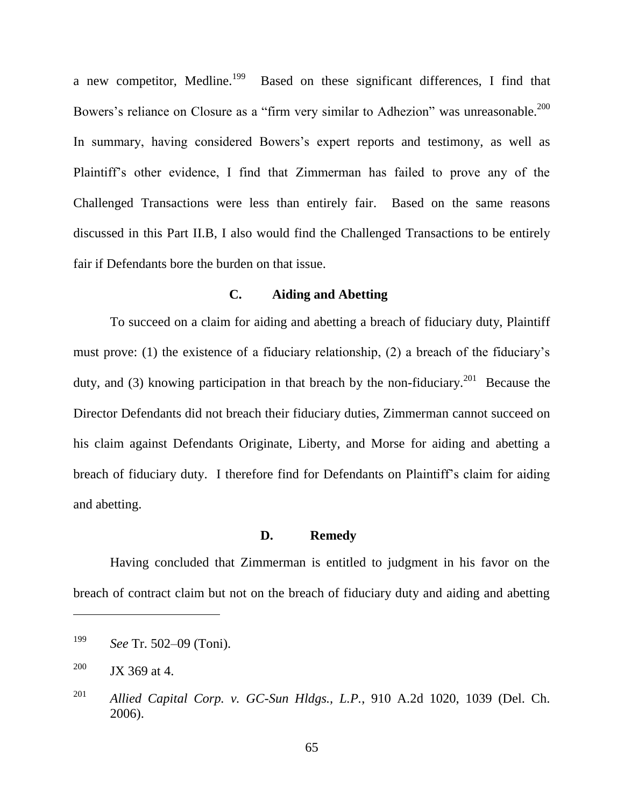a new competitor, Medline.<sup>199</sup> Based on these significant differences, I find that Bowers's reliance on Closure as a "firm very similar to Adhezion" was unreasonable.<sup>200</sup> In summary, having considered Bowers's expert reports and testimony, as well as Plaintiff's other evidence, I find that Zimmerman has failed to prove any of the Challenged Transactions were less than entirely fair. Based on the same reasons discussed in this Part II.B, I also would find the Challenged Transactions to be entirely fair if Defendants bore the burden on that issue.

### **C. Aiding and Abetting**

To succeed on a claim for aiding and abetting a breach of fiduciary duty, Plaintiff must prove: (1) the existence of a fiduciary relationship, (2) a breach of the fiduciary's duty, and (3) knowing participation in that breach by the non-fiduciary.<sup>201</sup> Because the Director Defendants did not breach their fiduciary duties, Zimmerman cannot succeed on his claim against Defendants Originate, Liberty, and Morse for aiding and abetting a breach of fiduciary duty. I therefore find for Defendants on Plaintiff's claim for aiding and abetting.

#### <span id="page-65-0"></span>**D. Remedy**

Having concluded that Zimmerman is entitled to judgment in his favor on the breach of contract claim but not on the breach of fiduciary duty and aiding and abetting

<sup>199</sup> *See* Tr. 502–09 (Toni).

<sup>&</sup>lt;sup>200</sup> JX 369 at 4.

<sup>201</sup> *Allied Capital Corp. v. GC-Sun Hldgs., L.P.*, 910 A.2d 1020, 1039 (Del. Ch. 2006).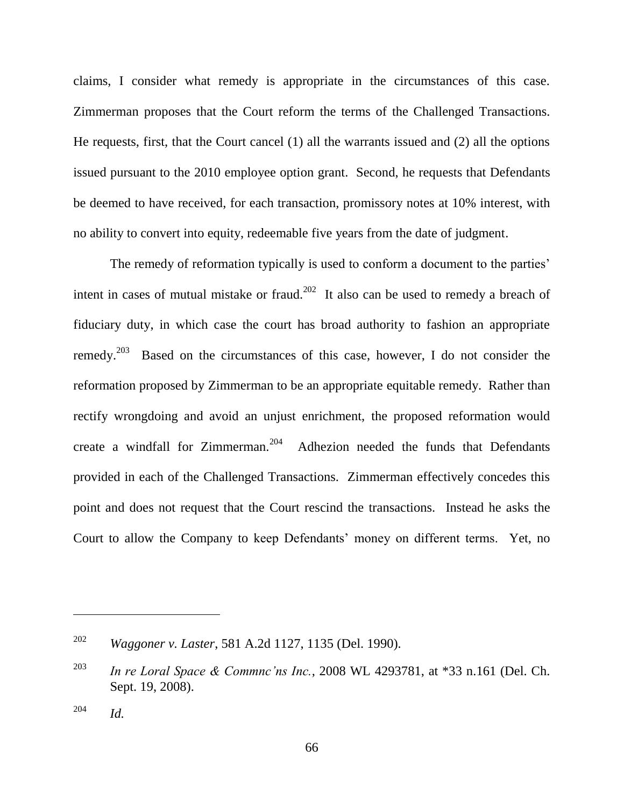claims, I consider what remedy is appropriate in the circumstances of this case. Zimmerman proposes that the Court reform the terms of the Challenged Transactions. He requests, first, that the Court cancel (1) all the warrants issued and (2) all the options issued pursuant to the 2010 employee option grant. Second, he requests that Defendants be deemed to have received, for each transaction, promissory notes at 10% interest, with no ability to convert into equity, redeemable five years from the date of judgment.

The remedy of reformation typically is used to conform a document to the parties' intent in cases of mutual mistake or fraud.<sup>202</sup> It also can be used to remedy a breach of fiduciary duty, in which case the court has broad authority to fashion an appropriate remedy.<sup>203</sup> Based on the circumstances of this case, however, I do not consider the reformation proposed by Zimmerman to be an appropriate equitable remedy. Rather than rectify wrongdoing and avoid an unjust enrichment, the proposed reformation would create a windfall for Zimmerman.<sup>204</sup> Adhezion needed the funds that Defendants provided in each of the Challenged Transactions. Zimmerman effectively concedes this point and does not request that the Court rescind the transactions. Instead he asks the Court to allow the Company to keep Defendants' money on different terms. Yet, no

<sup>202</sup> *Waggoner v. Laster*, 581 A.2d 1127, 1135 (Del. 1990).

<sup>203</sup> *In re Loral Space & Commnc'ns Inc.*, 2008 WL 4293781, at \*33 n.161 (Del. Ch. Sept. 19, 2008).

<sup>204</sup> *Id.*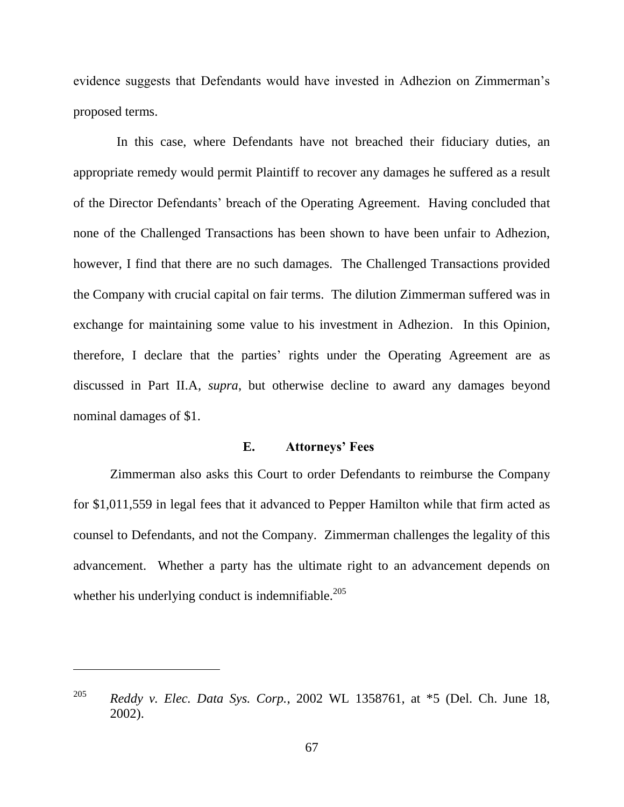evidence suggests that Defendants would have invested in Adhezion on Zimmerman's proposed terms.

 In this case, where Defendants have not breached their fiduciary duties, an appropriate remedy would permit Plaintiff to recover any damages he suffered as a result of the Director Defendants' breach of the Operating Agreement. Having concluded that none of the Challenged Transactions has been shown to have been unfair to Adhezion, however, I find that there are no such damages. The Challenged Transactions provided the Company with crucial capital on fair terms. The dilution Zimmerman suffered was in exchange for maintaining some value to his investment in Adhezion. In this Opinion, therefore, I declare that the parties' rights under the Operating Agreement are as discussed in Part [II.A,](#page-21-0) *supra*, but otherwise decline to award any damages beyond nominal damages of \$1.

#### **E. Attorneys' Fees**

Zimmerman also asks this Court to order Defendants to reimburse the Company for \$1,011,559 in legal fees that it advanced to Pepper Hamilton while that firm acted as counsel to Defendants, and not the Company. Zimmerman challenges the legality of this advancement. Whether a party has the ultimate right to an advancement depends on whether his underlying conduct is indemnifiable. $205$ 

<sup>205</sup> *Reddy v. Elec. Data Sys. Corp.*, 2002 WL 1358761, at \*5 (Del. Ch. June 18, 2002).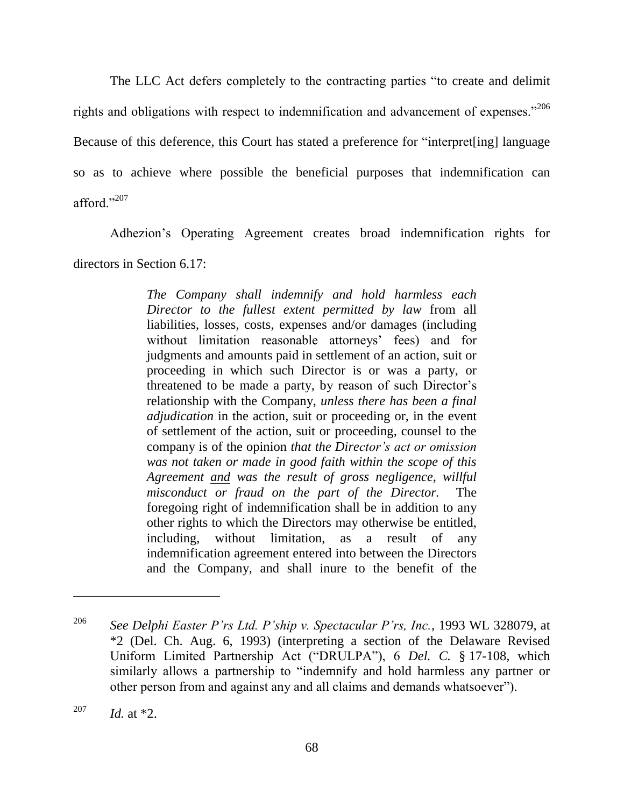The LLC Act defers completely to the contracting parties "to create and delimit rights and obligations with respect to indemnification and advancement of expenses." $206$ Because of this deference, this Court has stated a preference for "interpret [ing] language so as to achieve where possible the beneficial purposes that indemnification can afford."207

Adhezion's Operating Agreement creates broad indemnification rights for directors in Section 6.17:

> *The Company shall indemnify and hold harmless each Director to the fullest extent permitted by law* from all liabilities, losses, costs, expenses and/or damages (including without limitation reasonable attorneys' fees) and for judgments and amounts paid in settlement of an action, suit or proceeding in which such Director is or was a party, or threatened to be made a party, by reason of such Director's relationship with the Company, *unless there has been a final adjudication* in the action, suit or proceeding or, in the event of settlement of the action, suit or proceeding, counsel to the company is of the opinion *that the Director's act or omission was not taken or made in good faith within the scope of this Agreement and was the result of gross negligence, willful misconduct or fraud on the part of the Director.* The foregoing right of indemnification shall be in addition to any other rights to which the Directors may otherwise be entitled, including, without limitation, as a result of any indemnification agreement entered into between the Directors and the Company, and shall inure to the benefit of the

<sup>206</sup> *See Delphi Easter P'rs Ltd. P'ship v. Spectacular P'rs, Inc.*, 1993 WL 328079, at \*2 (Del. Ch. Aug. 6, 1993) (interpreting a section of the Delaware Revised Uniform Limited Partnership Act ("DRULPA"), 6 *Del. C.* § 17-108, which similarly allows a partnership to "indemnify and hold harmless any partner or other person from and against any and all claims and demands whatsoever").

<sup>&</sup>lt;sup>207</sup> *Id.* at  $*2$ .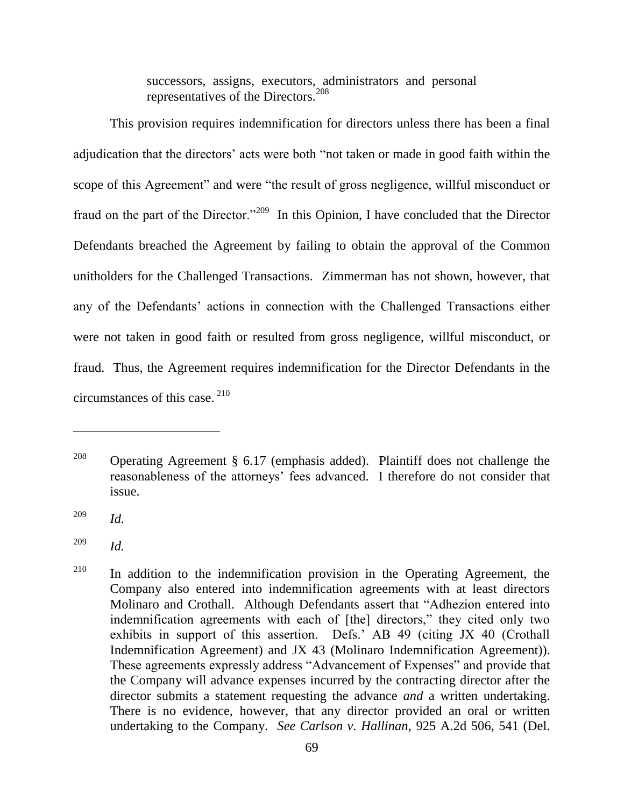successors, assigns, executors, administrators and personal representatives of the Directors.<sup>208</sup>

This provision requires indemnification for directors unless there has been a final adjudication that the directors' acts were both "not taken or made in good faith within the scope of this Agreement" and were "the result of gross negligence, willful misconduct or fraud on the part of the Director."<sup>209</sup> In this Opinion, I have concluded that the Director Defendants breached the Agreement by failing to obtain the approval of the Common unitholders for the Challenged Transactions. Zimmerman has not shown, however, that any of the Defendants' actions in connection with the Challenged Transactions either were not taken in good faith or resulted from gross negligence, willful misconduct, or fraud. Thus, the Agreement requires indemnification for the Director Defendants in the circumstances of this case.  $210$ 

<sup>&</sup>lt;sup>208</sup> Operating Agreement § 6.17 (emphasis added). Plaintiff does not challenge the reasonableness of the attorneys' fees advanced. I therefore do not consider that issue.

<sup>209</sup> *Id.*

<sup>209</sup> *Id.*

<sup>&</sup>lt;sup>210</sup> In addition to the indemnification provision in the Operating Agreement, the Company also entered into indemnification agreements with at least directors Molinaro and Crothall. Although Defendants assert that "Adhezion entered into indemnification agreements with each of [the] directors," they cited only two exhibits in support of this assertion. Defs.' AB 49 (citing JX 40 (Crothall Indemnification Agreement) and JX 43 (Molinaro Indemnification Agreement)). These agreements expressly address "Advancement of Expenses" and provide that the Company will advance expenses incurred by the contracting director after the director submits a statement requesting the advance *and* a written undertaking. There is no evidence, however, that any director provided an oral or written undertaking to the Company. *See Carlson v. Hallinan*, 925 A.2d 506, 541 (Del.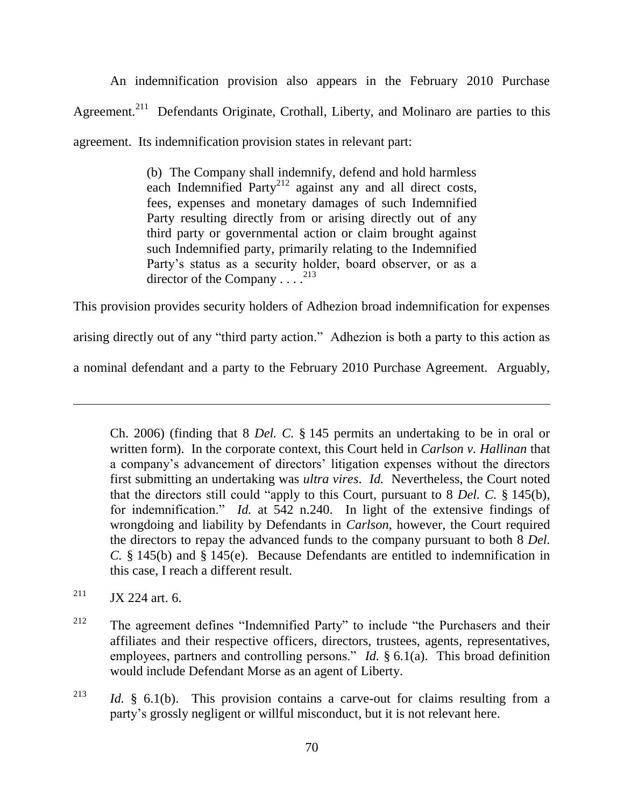An indemnification provision also appears in the February 2010 Purchase Agreement.<sup>211</sup> Defendants Originate, Crothall, Liberty, and Molinaro are parties to this agreement. Its indemnification provision states in relevant part:

> (b) The Company shall indemnify, defend and hold harmless each Indemnified Party<sup>212</sup> against any and all direct costs, fees, expenses and monetary damages of such Indemnified Party resulting directly from or arising directly out of any third party or governmental action or claim brought against such Indemnified party, primarily relating to the Indemnified Party's status as a security holder, board observer, or as a director of the Company  $\ldots$ <sup>213</sup>

This provision provides security holders of Adhezion broad indemnification for expenses

arising directly out of any "third party action." Adhezion is both a party to this action as

a nominal defendant and a party to the February 2010 Purchase Agreement. Arguably,

 $211$  JX 224 art. 6.

- <sup>212</sup> The agreement defines "Indemnified Party" to include "the Purchasers and their affiliates and their respective officers, directors, trustees, agents, representatives, employees, partners and controlling persons." *Id.*  $\S 6.1(a)$ . This broad definition would include Defendant Morse as an agent of Liberty.
- <sup>213</sup> *Id.* § 6.1(b). This provision contains a carve-out for claims resulting from a party's grossly negligent or willful misconduct, but it is not relevant here.

Ch. 2006) (finding that 8 *Del. C.* § 145 permits an undertaking to be in oral or written form). In the corporate context, this Court held in *Carlson v. Hallinan* that a company's advancement of directors' litigation expenses without the directors first submitting an undertaking was *ultra vires*. *Id.* Nevertheless, the Court noted that the directors still could "apply to this Court, pursuant to  $8$  *Del. C.*  $\S$  145(b), for indemnification." *Id.* at 542 n.240. In light of the extensive findings of wrongdoing and liability by Defendants in *Carlson*, however, the Court required the directors to repay the advanced funds to the company pursuant to both 8 *Del. C.* § 145(b) and § 145(e). Because Defendants are entitled to indemnification in this case, I reach a different result.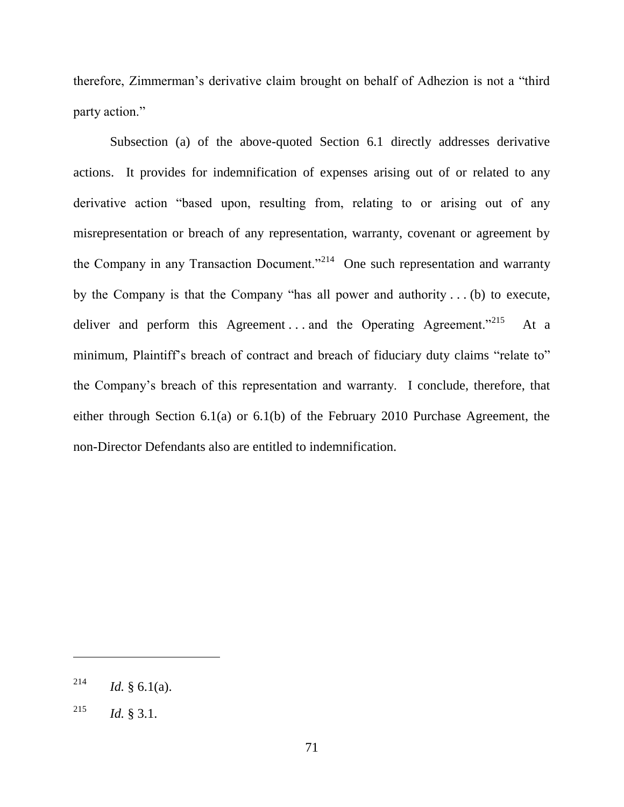therefore, Zimmerman's derivative claim brought on behalf of Adhezion is not a "third" party action."

Subsection (a) of the above-quoted Section 6.1 directly addresses derivative actions. It provides for indemnification of expenses arising out of or related to any derivative action "based upon, resulting from, relating to or arising out of any misrepresentation or breach of any representation, warranty, covenant or agreement by the Company in any Transaction Document.<sup> $214$ </sup> One such representation and warranty by the Company is that the Company "has all power and authority  $\dots$  (b) to execute, deliver and perform this Agreement ... and the Operating Agreement.<sup> $215$ </sup> At a minimum, Plaintiff's breach of contract and breach of fiduciary duty claims "relate to" the Company's breach of this representation and warranty. I conclude, therefore, that either through Section 6.1(a) or 6.1(b) of the February 2010 Purchase Agreement, the non-Director Defendants also are entitled to indemnification.

<sup>&</sup>lt;sup>214</sup> *Id.* § 6.1(a).

<sup>&</sup>lt;sup>215</sup> *Id.* § 3.1.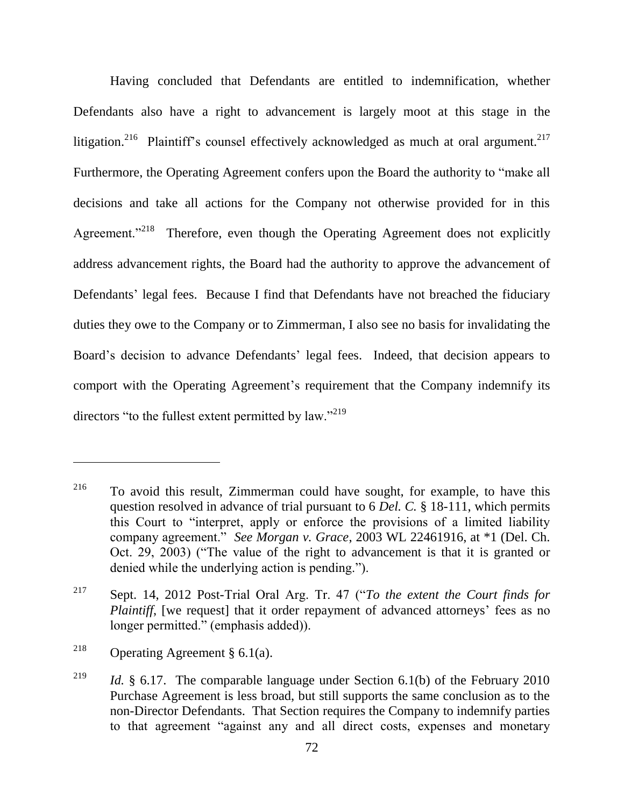Having concluded that Defendants are entitled to indemnification, whether Defendants also have a right to advancement is largely moot at this stage in the litigation.<sup>216</sup> Plaintiff's counsel effectively acknowledged as much at oral argument.<sup>217</sup> Furthermore, the Operating Agreement confers upon the Board the authority to "make all decisions and take all actions for the Company not otherwise provided for in this Agreement. $^{218}$  Therefore, even though the Operating Agreement does not explicitly address advancement rights, the Board had the authority to approve the advancement of Defendants' legal fees. Because I find that Defendants have not breached the fiduciary duties they owe to the Company or to Zimmerman, I also see no basis for invalidating the Board's decision to advance Defendants' legal fees. Indeed, that decision appears to comport with the Operating Agreement's requirement that the Company indemnify its directors "to the fullest extent permitted by  $\alpha$ <sup>219</sup>

 $\overline{a}$ 

 $216$  To avoid this result, Zimmerman could have sought, for example, to have this question resolved in advance of trial pursuant to 6 *Del. C.* § 18-111, which permits this Court to "interpret, apply or enforce the provisions of a limited liability company agreement.‖ *See Morgan v. Grace*, 2003 WL 22461916, at \*1 (Del. Ch. Oct. 29, 2003) ("The value of the right to advancement is that it is granted or denied while the underlying action is pending.").

<sup>&</sup>lt;sup>217</sup> Sept. 14, 2012 Post-Trial Oral Arg. Tr. 47 ( $\degree$ To the extent the Court finds for *Plaintiff*, [we request] that it order repayment of advanced attorneys' fees as no longer permitted." (emphasis added)).

<sup>&</sup>lt;sup>218</sup> Operating Agreement § 6.1(a).

<sup>219</sup> *Id.* § 6.17. The comparable language under Section 6.1(b) of the February 2010 Purchase Agreement is less broad, but still supports the same conclusion as to the non-Director Defendants. That Section requires the Company to indemnify parties to that agreement "against any and all direct costs, expenses and monetary